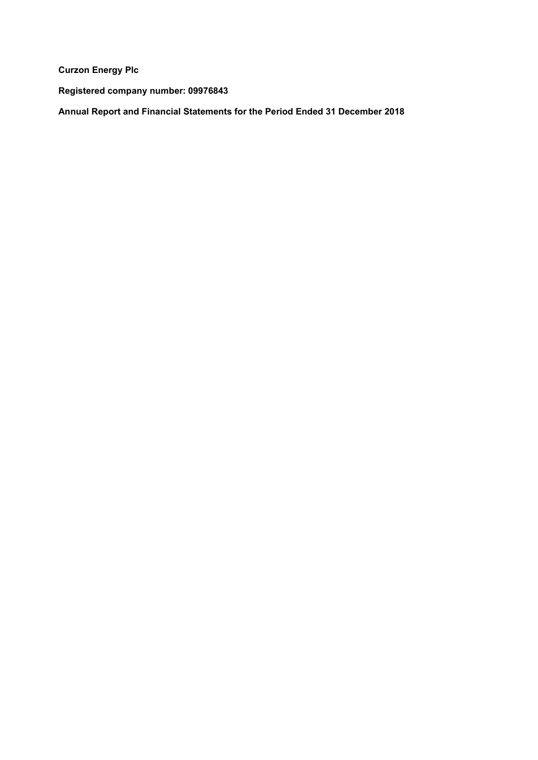**Curzon Energy Plc** 

**Registered company number: 09976843**

**Annual Report and Financial Statements for the Period Ended 31 December 2018**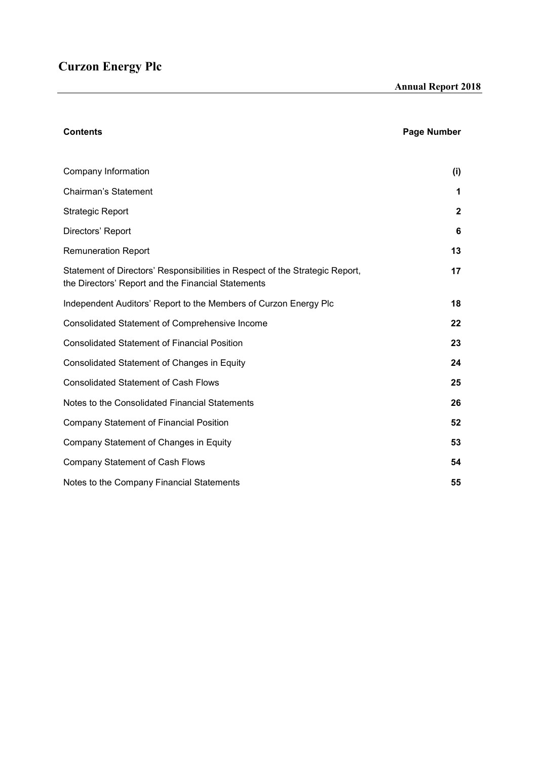## **Contents Page Number**

| Company Information                                                                                                                | (i)          |
|------------------------------------------------------------------------------------------------------------------------------------|--------------|
| <b>Chairman's Statement</b>                                                                                                        | 1            |
| <b>Strategic Report</b>                                                                                                            | $\mathbf{2}$ |
| Directors' Report                                                                                                                  | 6            |
| <b>Remuneration Report</b>                                                                                                         | 13           |
| Statement of Directors' Responsibilities in Respect of the Strategic Report,<br>the Directors' Report and the Financial Statements | 17           |
| Independent Auditors' Report to the Members of Curzon Energy Plc                                                                   | 18           |
| Consolidated Statement of Comprehensive Income                                                                                     | 22           |
| <b>Consolidated Statement of Financial Position</b>                                                                                | 23           |
| Consolidated Statement of Changes in Equity                                                                                        | 24           |
| <b>Consolidated Statement of Cash Flows</b>                                                                                        | 25           |
| Notes to the Consolidated Financial Statements                                                                                     | 26           |
| <b>Company Statement of Financial Position</b>                                                                                     | 52           |
| Company Statement of Changes in Equity                                                                                             | 53           |
| <b>Company Statement of Cash Flows</b>                                                                                             | 54           |
| Notes to the Company Financial Statements                                                                                          | 55           |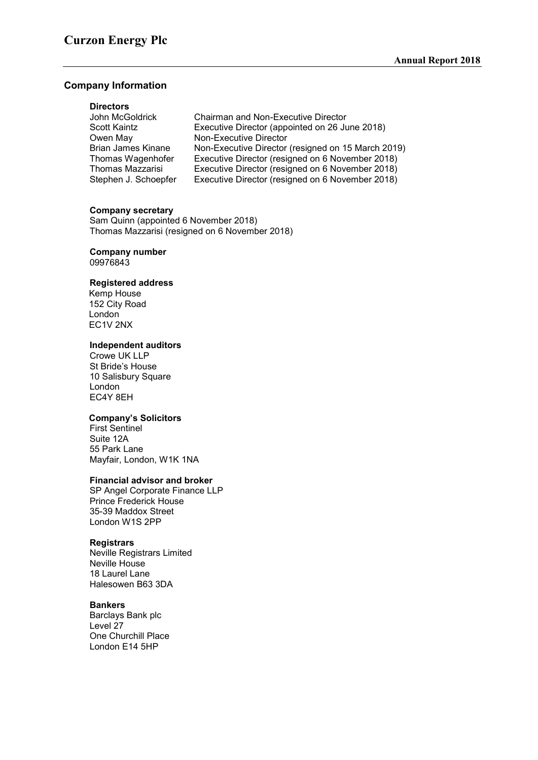## **Company Information**

### **Directors**

| John McGoldrick      | Chairman and Non-Executive Director                |
|----------------------|----------------------------------------------------|
| Scott Kaintz         | Executive Director (appointed on 26 June 2018)     |
| Owen May             | Non-Executive Director                             |
| Brian James Kinane   | Non-Executive Director (resigned on 15 March 2019) |
| Thomas Wagenhofer    | Executive Director (resigned on 6 November 2018)   |
| Thomas Mazzarisi     | Executive Director (resigned on 6 November 2018)   |
| Stephen J. Schoepfer | Executive Director (resigned on 6 November 2018)   |

#### **Company secretary**

Sam Quinn (appointed 6 November 2018) Thomas Mazzarisi (resigned on 6 November 2018)

**Company number** 09976843

## **Registered address**

 Kemp House 152 City Road London EC1V 2NX

#### **Independent auditors**

Crowe UK LLP St Bride's House 10 Salisbury Square London EC4Y 8EH

#### **Company's Solicitors**

First Sentinel Suite 12A 55 Park Lane Mayfair, London, W1K 1NA

#### **Financial advisor and broker**

SP Angel Corporate Finance LLP Prince Frederick House 35-39 Maddox Street London W1S 2PP

#### **Registrars**

Neville Registrars Limited Neville House 18 Laurel Lane Halesowen B63 3DA

#### **Bankers**

Barclays Bank plc Level 27 One Churchill Place London E14 5HP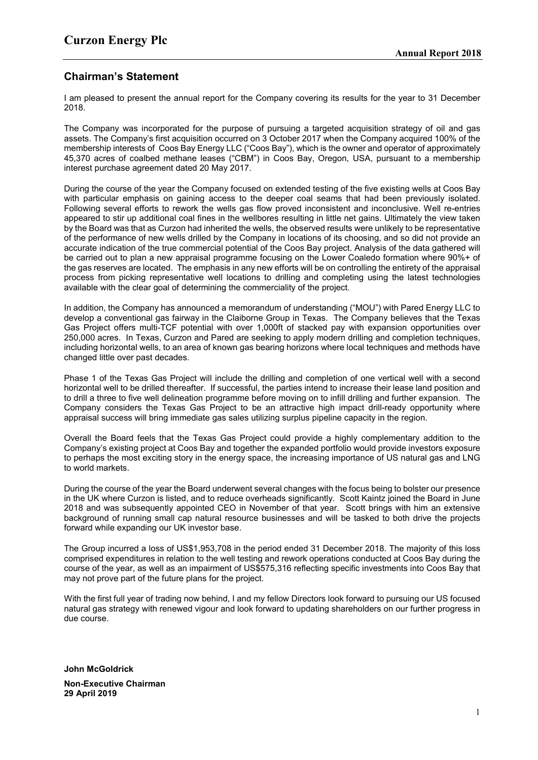## **Chairman's Statement**

I am pleased to present the annual report for the Company covering its results for the year to 31 December 2018.

The Company was incorporated for the purpose of pursuing a targeted acquisition strategy of oil and gas assets. The Company's first acquisition occurred on 3 October 2017 when the Company acquired 100% of the membership interests of Coos Bay Energy LLC ("Coos Bay"), which is the owner and operator of approximately 45,370 acres of coalbed methane leases ("CBM") in Coos Bay, Oregon, USA, pursuant to a membership interest purchase agreement dated 20 May 2017.

During the course of the year the Company focused on extended testing of the five existing wells at Coos Bay with particular emphasis on gaining access to the deeper coal seams that had been previously isolated. Following several efforts to rework the wells gas flow proved inconsistent and inconclusive. Well re-entries appeared to stir up additional coal fines in the wellbores resulting in little net gains. Ultimately the view taken by the Board was that as Curzon had inherited the wells, the observed results were unlikely to be representative of the performance of new wells drilled by the Company in locations of its choosing, and so did not provide an accurate indication of the true commercial potential of the Coos Bay project. Analysis of the data gathered will be carried out to plan a new appraisal programme focusing on the Lower Coaledo formation where 90%+ of the gas reserves are located. The emphasis in any new efforts will be on controlling the entirety of the appraisal process from picking representative well locations to drilling and completing using the latest technologies available with the clear goal of determining the commerciality of the project.

In addition, the Company has announced a memorandum of understanding ("MOU") with Pared Energy LLC to develop a conventional gas fairway in the Claiborne Group in Texas. The Company believes that the Texas Gas Project offers multi-TCF potential with over 1,000ft of stacked pay with expansion opportunities over 250,000 acres. In Texas, Curzon and Pared are seeking to apply modern drilling and completion techniques, including horizontal wells, to an area of known gas bearing horizons where local techniques and methods have changed little over past decades.

Phase 1 of the Texas Gas Project will include the drilling and completion of one vertical well with a second horizontal well to be drilled thereafter. If successful, the parties intend to increase their lease land position and to drill a three to five well delineation programme before moving on to infill drilling and further expansion. The Company considers the Texas Gas Project to be an attractive high impact drill-ready opportunity where appraisal success will bring immediate gas sales utilizing surplus pipeline capacity in the region.

Overall the Board feels that the Texas Gas Project could provide a highly complementary addition to the Company's existing project at Coos Bay and together the expanded portfolio would provide investors exposure to perhaps the most exciting story in the energy space, the increasing importance of US natural gas and LNG to world markets.

During the course of the year the Board underwent several changes with the focus being to bolster our presence in the UK where Curzon is listed, and to reduce overheads significantly. Scott Kaintz joined the Board in June 2018 and was subsequently appointed CEO in November of that year. Scott brings with him an extensive background of running small cap natural resource businesses and will be tasked to both drive the projects forward while expanding our UK investor base.

The Group incurred a loss of US\$1,953,708 in the period ended 31 December 2018. The majority of this loss comprised expenditures in relation to the well testing and rework operations conducted at Coos Bay during the course of the year, as well as an impairment of US\$575,316 reflecting specific investments into Coos Bay that may not prove part of the future plans for the project.

With the first full year of trading now behind, I and my fellow Directors look forward to pursuing our US focused natural gas strategy with renewed vigour and look forward to updating shareholders on our further progress in due course.

**John McGoldrick**

**Non-Executive Chairman 29 April 2019**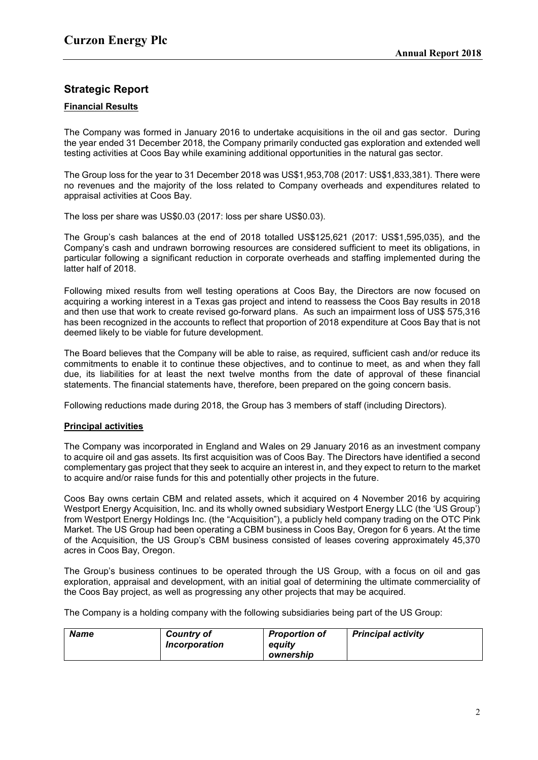## **Strategic Report**

## **Financial Results**

The Company was formed in January 2016 to undertake acquisitions in the oil and gas sector. During the year ended 31 December 2018, the Company primarily conducted gas exploration and extended well testing activities at Coos Bay while examining additional opportunities in the natural gas sector.

The Group loss for the year to 31 December 2018 was US\$1,953,708 (2017: US\$1,833,381). There were no revenues and the majority of the loss related to Company overheads and expenditures related to appraisal activities at Coos Bay.

The loss per share was US\$0.03 (2017: loss per share US\$0.03).

The Group's cash balances at the end of 2018 totalled US\$125,621 (2017: US\$1,595,035), and the Company's cash and undrawn borrowing resources are considered sufficient to meet its obligations, in particular following a significant reduction in corporate overheads and staffing implemented during the latter half of 2018.

Following mixed results from well testing operations at Coos Bay, the Directors are now focused on acquiring a working interest in a Texas gas project and intend to reassess the Coos Bay results in 2018 and then use that work to create revised go-forward plans. As such an impairment loss of US\$ 575,316 has been recognized in the accounts to reflect that proportion of 2018 expenditure at Coos Bay that is not deemed likely to be viable for future development.

The Board believes that the Company will be able to raise, as required, sufficient cash and/or reduce its commitments to enable it to continue these objectives, and to continue to meet, as and when they fall due, its liabilities for at least the next twelve months from the date of approval of these financial statements. The financial statements have, therefore, been prepared on the going concern basis.

Following reductions made during 2018, the Group has 3 members of staff (including Directors).

## **Principal activities**

The Company was incorporated in England and Wales on 29 January 2016 as an investment company to acquire oil and gas assets. Its first acquisition was of Coos Bay. The Directors have identified a second complementary gas project that they seek to acquire an interest in, and they expect to return to the market to acquire and/or raise funds for this and potentially other projects in the future.

Coos Bay owns certain CBM and related assets, which it acquired on 4 November 2016 by acquiring Westport Energy Acquisition, Inc. and its wholly owned subsidiary Westport Energy LLC (the 'US Group') from Westport Energy Holdings Inc. (the "Acquisition"), a publicly held company trading on the OTC Pink Market. The US Group had been operating a CBM business in Coos Bay, Oregon for 6 years. At the time of the Acquisition, the US Group's CBM business consisted of leases covering approximately 45,370 acres in Coos Bay, Oregon.

The Group's business continues to be operated through the US Group, with a focus on oil and gas exploration, appraisal and development, with an initial goal of determining the ultimate commerciality of the Coos Bay project, as well as progressing any other projects that may be acquired.

The Company is a holding company with the following subsidiaries being part of the US Group:

| <b>Name</b> | <b>Country of</b><br>Incorporation | <b>Proportion of</b><br>equity<br>ownership | <b>Principal activity</b> |
|-------------|------------------------------------|---------------------------------------------|---------------------------|
|             |                                    |                                             |                           |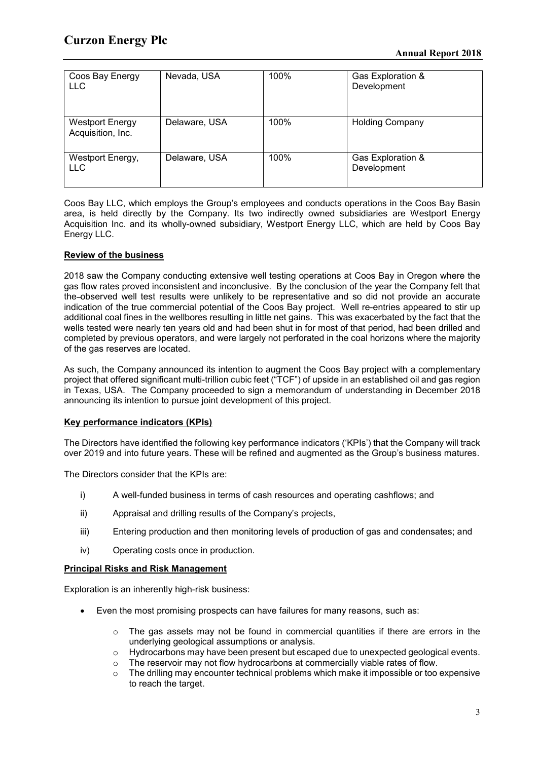| Coos Bay Energy<br><b>LLC</b>               | Nevada, USA   | 100% | Gas Exploration &<br>Development |
|---------------------------------------------|---------------|------|----------------------------------|
| <b>Westport Energy</b><br>Acquisition, Inc. | Delaware, USA | 100% | <b>Holding Company</b>           |
| Westport Energy,<br><b>LLC</b>              | Delaware, USA | 100% | Gas Exploration &<br>Development |

Coos Bay LLC, which employs the Group's employees and conducts operations in the Coos Bay Basin area, is held directly by the Company. Its two indirectly owned subsidiaries are Westport Energy Acquisition Inc. and its wholly-owned subsidiary, Westport Energy LLC, which are held by Coos Bay Energy LLC.

## **Review of the business**

2018 saw the Company conducting extensive well testing operations at Coos Bay in Oregon where the gas flow rates proved inconsistent and inconclusive. By the conclusion of the year the Company felt that the observed well test results were unlikely to be representative and so did not provide an accurate indication of the true commercial potential of the Coos Bay project. Well re-entries appeared to stir up additional coal fines in the wellbores resulting in little net gains. This was exacerbated by the fact that the wells tested were nearly ten years old and had been shut in for most of that period, had been drilled and completed by previous operators, and were largely not perforated in the coal horizons where the majority of the gas reserves are located.

As such, the Company announced its intention to augment the Coos Bay project with a complementary project that offered significant multi-trillion cubic feet ("TCF") of upside in an established oil and gas region in Texas, USA. The Company proceeded to sign a memorandum of understanding in December 2018 announcing its intention to pursue joint development of this project.

## **Key performance indicators (KPIs)**

The Directors have identified the following key performance indicators ('KPIs') that the Company will track over 2019 and into future years. These will be refined and augmented as the Group's business matures.

The Directors consider that the KPIs are:

- i) A well-funded business in terms of cash resources and operating cashflows; and
- ii) Appraisal and drilling results of the Company's projects,
- iii) Entering production and then monitoring levels of production of gas and condensates; and
- iv) Operating costs once in production.

## **Principal Risks and Risk Management**

Exploration is an inherently high-risk business:

- Even the most promising prospects can have failures for many reasons, such as:
	- $\circ$  The gas assets may not be found in commercial quantities if there are errors in the underlying geological assumptions or analysis.
	- o Hydrocarbons may have been present but escaped due to unexpected geological events.
	- $\circ$  The reservoir may not flow hydrocarbons at commercially viable rates of flow.<br>  $\circ$  The drilling may encounter technical problems which make it impossible or too
	- The drilling may encounter technical problems which make it impossible or too expensive to reach the target.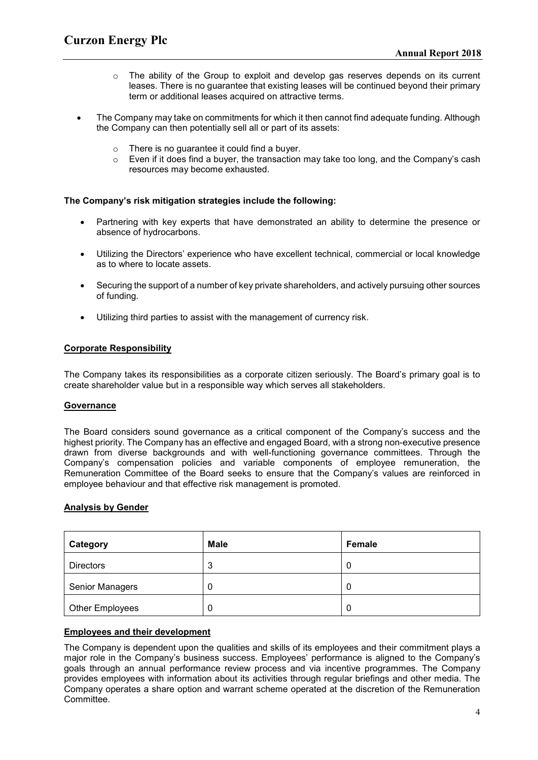- $\circ$  The ability of the Group to exploit and develop gas reserves depends on its current leases. There is no guarantee that existing leases will be continued beyond their primary term or additional leases acquired on attractive terms.
- The Company may take on commitments for which it then cannot find adequate funding. Although the Company can then potentially sell all or part of its assets:
	- o There is no guarantee it could find a buyer.
	- $\circ$  Even if it does find a buyer, the transaction may take too long, and the Company's cash resources may become exhausted.

#### **The Company's risk mitigation strategies include the following:**

- Partnering with key experts that have demonstrated an ability to determine the presence or absence of hydrocarbons.
- Utilizing the Directors' experience who have excellent technical, commercial or local knowledge as to where to locate assets.
- Securing the support of a number of key private shareholders, and actively pursuing other sources of funding.
- Utilizing third parties to assist with the management of currency risk.

#### **Corporate Responsibility**

The Company takes its responsibilities as a corporate citizen seriously. The Board's primary goal is to create shareholder value but in a responsible way which serves all stakeholders.

#### **Governance**

The Board considers sound governance as a critical component of the Company's success and the highest priority. The Company has an effective and engaged Board, with a strong non-executive presence drawn from diverse backgrounds and with well-functioning governance committees. Through the Company's compensation policies and variable components of employee remuneration, the Remuneration Committee of the Board seeks to ensure that the Company's values are reinforced in employee behaviour and that effective risk management is promoted.

#### **Analysis by Gender**

| <b>Category</b>        | <b>Male</b> | Female |
|------------------------|-------------|--------|
| <b>Directors</b>       | 3           | 0      |
| <b>Senior Managers</b> | 0           | 0      |
| <b>Other Employees</b> | 0           | 0      |

## **Employees and their development**

The Company is dependent upon the qualities and skills of its employees and their commitment plays a major role in the Company's business success. Employees' performance is aligned to the Company's goals through an annual performance review process and via incentive programmes. The Company provides employees with information about its activities through regular briefings and other media. The Company operates a share option and warrant scheme operated at the discretion of the Remuneration Committee.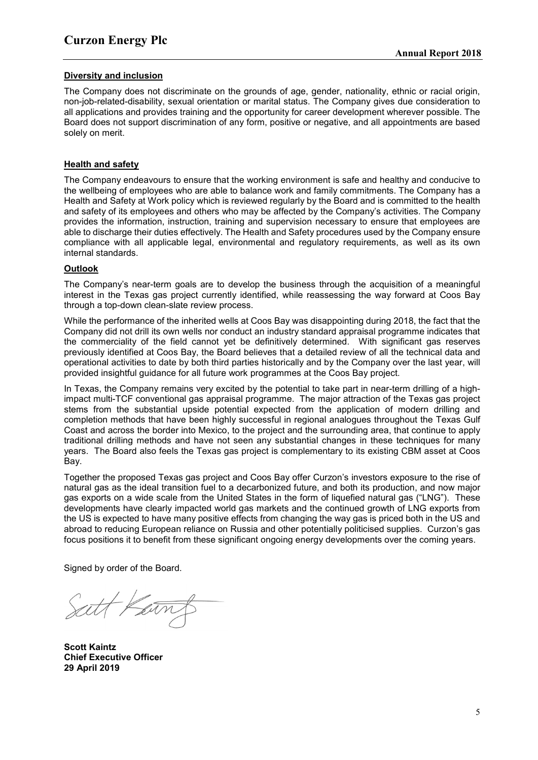#### **Diversity and inclusion**

The Company does not discriminate on the grounds of age, gender, nationality, ethnic or racial origin, non-job-related-disability, sexual orientation or marital status. The Company gives due consideration to all applications and provides training and the opportunity for career development wherever possible. The Board does not support discrimination of any form, positive or negative, and all appointments are based solely on merit.

### **Health and safety**

The Company endeavours to ensure that the working environment is safe and healthy and conducive to the wellbeing of employees who are able to balance work and family commitments. The Company has a Health and Safety at Work policy which is reviewed regularly by the Board and is committed to the health and safety of its employees and others who may be affected by the Company's activities. The Company provides the information, instruction, training and supervision necessary to ensure that employees are able to discharge their duties effectively. The Health and Safety procedures used by the Company ensure compliance with all applicable legal, environmental and regulatory requirements, as well as its own internal standards.

#### **Outlook**

The Company's near-term goals are to develop the business through the acquisition of a meaningful interest in the Texas gas project currently identified, while reassessing the way forward at Coos Bay through a top-down clean-slate review process.

While the performance of the inherited wells at Coos Bay was disappointing during 2018, the fact that the Company did not drill its own wells nor conduct an industry standard appraisal programme indicates that the commerciality of the field cannot yet be definitively determined. With significant gas reserves previously identified at Coos Bay, the Board believes that a detailed review of all the technical data and operational activities to date by both third parties historically and by the Company over the last year, will provided insightful guidance for all future work programmes at the Coos Bay project.

In Texas, the Company remains very excited by the potential to take part in near-term drilling of a highimpact multi-TCF conventional gas appraisal programme. The major attraction of the Texas gas project stems from the substantial upside potential expected from the application of modern drilling and completion methods that have been highly successful in regional analogues throughout the Texas Gulf Coast and across the border into Mexico, to the project and the surrounding area, that continue to apply traditional drilling methods and have not seen any substantial changes in these techniques for many years. The Board also feels the Texas gas project is complementary to its existing CBM asset at Coos Bay.

Together the proposed Texas gas project and Coos Bay offer Curzon's investors exposure to the rise of natural gas as the ideal transition fuel to a decarbonized future, and both its production, and now major gas exports on a wide scale from the United States in the form of liquefied natural gas ("LNG"). These developments have clearly impacted world gas markets and the continued growth of LNG exports from the US is expected to have many positive effects from changing the way gas is priced both in the US and abroad to reducing European reliance on Russia and other potentially politicised supplies. Curzon's gas focus positions it to benefit from these significant ongoing energy developments over the coming years.

Signed by order of the Board.

**Scott Kaintz Chief Executive Officer 29 April 2019**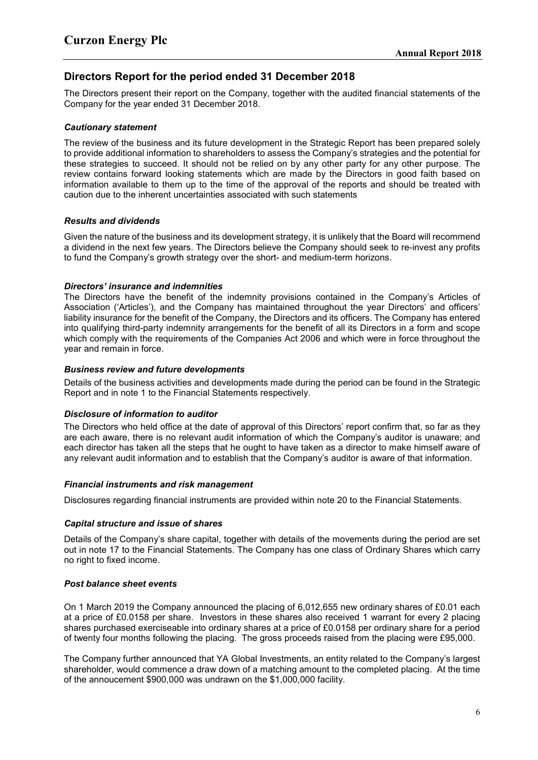## **Directors Report for the period ended 31 December 2018**

The Directors present their report on the Company, together with the audited financial statements of the Company for the year ended 31 December 2018.

### *Cautionary statement*

The review of the business and its future development in the Strategic Report has been prepared solely to provide additional information to shareholders to assess the Company's strategies and the potential for these strategies to succeed. It should not be relied on by any other party for any other purpose. The review contains forward looking statements which are made by the Directors in good faith based on information available to them up to the time of the approval of the reports and should be treated with caution due to the inherent uncertainties associated with such statements

#### *Results and dividends*

Given the nature of the business and its development strategy, it is unlikely that the Board will recommend a dividend in the next few years. The Directors believe the Company should seek to re-invest any profits to fund the Company's growth strategy over the short- and medium-term horizons.

#### *Directors' insurance and indemnities*

The Directors have the benefit of the indemnity provisions contained in the Company's Articles of Association ('Articles'), and the Company has maintained throughout the year Directors' and officers' liability insurance for the benefit of the Company, the Directors and its officers. The Company has entered into qualifying third-party indemnity arrangements for the benefit of all its Directors in a form and scope which comply with the requirements of the Companies Act 2006 and which were in force throughout the year and remain in force.

#### *Business review and future developments*

Details of the business activities and developments made during the period can be found in the Strategic Report and in note [1](#page-28-0) to the Financial Statements respectively.

## *Disclosure of information to auditor*

The Directors who held office at the date of approval of this Directors' report confirm that, so far as they are each aware, there is no relevant audit information of which the Company's auditor is unaware; and each director has taken all the steps that he ought to have taken as a director to make himself aware of any relevant audit information and to establish that the Company's auditor is aware of that information.

#### *Financial instruments and risk management*

Disclosures regarding financial instruments are provided within note [20](#page-50-0) to the Financial Statements.

## *Capital structure and issue of shares*

Details of the Company's share capital, together with details of the movements during the period are set out in note [17](#page-46-0) to the Financial Statements. The Company has one class of Ordinary Shares which carry no right to fixed income.

## *Post balance sheet events*

On 1 March 2019 the Company announced the placing of 6,012,655 new ordinary shares of £0.01 each at a price of £0.0158 per share. Investors in these shares also received 1 warrant for every 2 placing shares purchased exerciseable into ordinary shares at a price of £0.0158 per ordinary share for a period of twenty four months following the placing. The gross proceeds raised from the placing were £95,000.

The Company further announced that YA Global Investments, an entity related to the Company's largest shareholder, would commence a draw down of a matching amount to the completed placing. At the time of the annoucement \$900,000 was undrawn on the \$1,000,000 facility.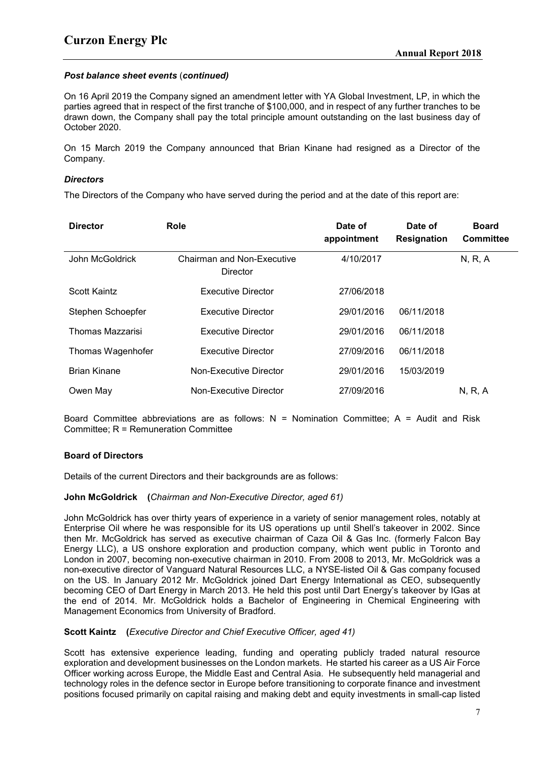## *Post balance sheet events* (*continued)*

On 16 April 2019 the Company signed an amendment letter with YA Global Investment, LP, in which the parties agreed that in respect of the first tranche of \$100,000, and in respect of any further tranches to be drawn down, the Company shall pay the total principle amount outstanding on the last business day of October 2020.

On 15 March 2019 the Company announced that Brian Kinane had resigned as a Director of the Company.

### *Directors*

The Directors of the Company who have served during the period and at the date of this report are:

| <b>Director</b>     | <b>Role</b>                            | Date of<br>appointment | Date of<br><b>Resignation</b> | <b>Board</b><br><b>Committee</b> |
|---------------------|----------------------------------------|------------------------|-------------------------------|----------------------------------|
| John McGoldrick     | Chairman and Non-Executive<br>Director | 4/10/2017              |                               | N, R, A                          |
| Scott Kaintz        | <b>Executive Director</b>              | 27/06/2018             |                               |                                  |
| Stephen Schoepfer   | <b>Executive Director</b>              | 29/01/2016             | 06/11/2018                    |                                  |
| Thomas Mazzarisi    | <b>Executive Director</b>              | 29/01/2016             | 06/11/2018                    |                                  |
| Thomas Wagenhofer   | <b>Executive Director</b>              | 27/09/2016             | 06/11/2018                    |                                  |
| <b>Brian Kinane</b> | Non-Executive Director                 | 29/01/2016             | 15/03/2019                    |                                  |
| Owen May            | Non-Executive Director                 | 27/09/2016             |                               | N, R, A                          |

Board Committee abbreviations are as follows:  $N =$  Nomination Committee; A = Audit and Risk Committee; R = Remuneration Committee

#### **Board of Directors**

Details of the current Directors and their backgrounds are as follows:

#### **John McGoldrick (***Chairman and Non-Executive Director, aged 61)*

John McGoldrick has over thirty years of experience in a variety of senior management roles, notably at Enterprise Oil where he was responsible for its US operations up until Shell's takeover in 2002. Since then Mr. McGoldrick has served as executive chairman of Caza Oil & Gas Inc. (formerly Falcon Bay Energy LLC), a US onshore exploration and production company, which went public in Toronto and London in 2007, becoming non-executive chairman in 2010. From 2008 to 2013, Mr. McGoldrick was a non-executive director of Vanguard Natural Resources LLC, a NYSE-listed Oil & Gas company focused on the US. In January 2012 Mr. McGoldrick joined Dart Energy International as CEO, subsequently becoming CEO of Dart Energy in March 2013. He held this post until Dart Energy's takeover by IGas at the end of 2014. Mr. McGoldrick holds a Bachelor of Engineering in Chemical Engineering with Management Economics from University of Bradford.

**Scott Kaintz (***Executive Director and Chief Executive Officer, aged 41)* 

Scott has extensive experience leading, funding and operating publicly traded natural resource exploration and development businesses on the London markets. He started his career as a US Air Force Officer working across Europe, the Middle East and Central Asia. He subsequently held managerial and technology roles in the defence sector in Europe before transitioning to corporate finance and investment positions focused primarily on capital raising and making debt and equity investments in small-cap listed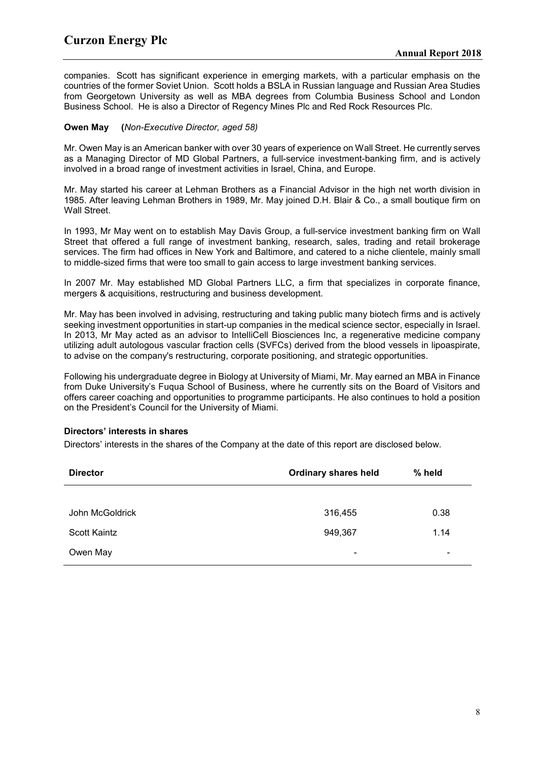companies. Scott has significant experience in emerging markets, with a particular emphasis on the countries of the former Soviet Union. Scott holds a BSLA in Russian language and Russian Area Studies from Georgetown University as well as MBA degrees from Columbia Business School and London Business School. He is also a Director of Regency Mines Plc and Red Rock Resources Plc.

#### **Owen May (***Non-Executive Director, aged 58)*

Mr. Owen May is an American banker with over 30 years of experience on Wall Street. He currently serves as a Managing Director of MD Global Partners, a full-service investment-banking firm, and is actively involved in a broad range of investment activities in Israel, China, and Europe.

Mr. May started his career at Lehman Brothers as a Financial Advisor in the high net worth division in 1985. After leaving Lehman Brothers in 1989, Mr. May joined D.H. Blair & Co., a small boutique firm on Wall Street.

In 1993, Mr May went on to establish May Davis Group, a full-service investment banking firm on Wall Street that offered a full range of investment banking, research, sales, trading and retail brokerage services. The firm had offices in New York and Baltimore, and catered to a niche clientele, mainly small to middle-sized firms that were too small to gain access to large investment banking services.

In 2007 Mr. May established MD Global Partners LLC, a firm that specializes in corporate finance, mergers & acquisitions, restructuring and business development.

Mr. May has been involved in advising, restructuring and taking public many biotech firms and is actively seeking investment opportunities in start-up companies in the medical science sector, especially in Israel. In 2013, Mr May acted as an advisor to IntelliCell Biosciences Inc, a regenerative medicine company utilizing adult autologous vascular fraction cells (SVFCs) derived from the blood vessels in lipoaspirate, to advise on the company's restructuring, corporate positioning, and strategic opportunities.

Following his undergraduate degree in Biology at University of Miami, Mr. May earned an MBA in Finance from Duke University's Fuqua School of Business, where he currently sits on the Board of Visitors and offers career coaching and opportunities to programme participants. He also continues to hold a position on the President's Council for the University of Miami.

## **Directors' interests in shares**

Directors' interests in the shares of the Company at the date of this report are disclosed below.

| <b>Director</b> | <b>Ordinary shares held</b> | % held |
|-----------------|-----------------------------|--------|
|                 |                             |        |
| John McGoldrick | 316,455                     | 0.38   |
| Scott Kaintz    | 949,367                     | 1.14   |
| Owen May        | ۰                           | ۰      |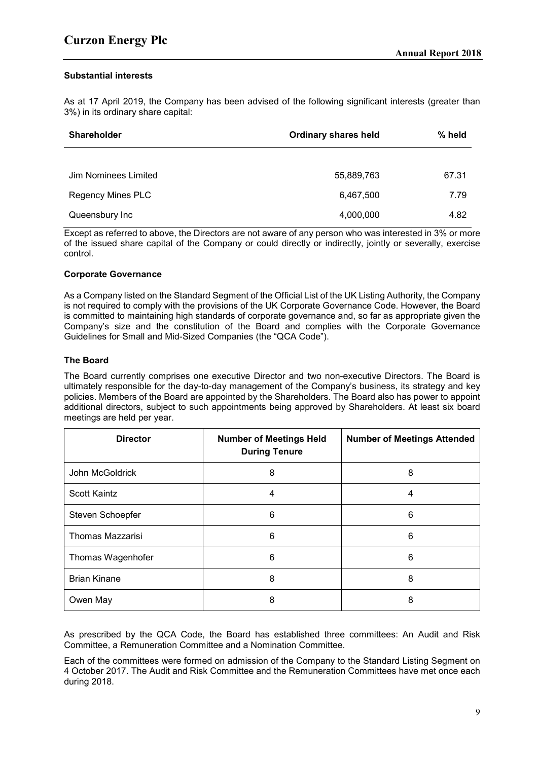#### **Substantial interests**

As at 17 April 2019, the Company has been advised of the following significant interests (greater than 3%) in its ordinary share capital:

| <b>Shareholder</b>       | <b>Ordinary shares held</b> |       |  |
|--------------------------|-----------------------------|-------|--|
|                          |                             |       |  |
| Jim Nominees Limited     | 55,889,763                  | 67.31 |  |
| <b>Regency Mines PLC</b> | 6,467,500                   | 7.79  |  |
| Queensbury Inc           | 4,000,000                   | 4.82  |  |

Except as referred to above, the Directors are not aware of any person who was interested in 3% or more of the issued share capital of the Company or could directly or indirectly, jointly or severally, exercise control.

#### **Corporate Governance**

As a Company listed on the Standard Segment of the Official List of the UK Listing Authority, the Company is not required to comply with the provisions of the UK Corporate Governance Code. However, the Board is committed to maintaining high standards of corporate governance and, so far as appropriate given the Company's size and the constitution of the Board and complies with the Corporate Governance Guidelines for Small and Mid-Sized Companies (the "QCA Code").

#### **The Board**

The Board currently comprises one executive Director and two non-executive Directors. The Board is ultimately responsible for the day-to-day management of the Company's business, its strategy and key policies. Members of the Board are appointed by the Shareholders. The Board also has power to appoint additional directors, subject to such appointments being approved by Shareholders. At least six board meetings are held per year.

| <b>Director</b>         | <b>Number of Meetings Held</b><br><b>During Tenure</b> | <b>Number of Meetings Attended</b> |
|-------------------------|--------------------------------------------------------|------------------------------------|
| John McGoldrick         | 8                                                      | 8                                  |
| <b>Scott Kaintz</b>     | 4                                                      | 4                                  |
| Steven Schoepfer        | 6                                                      | 6                                  |
| <b>Thomas Mazzarisi</b> | 6                                                      | 6                                  |
| Thomas Wagenhofer       | 6                                                      | 6                                  |
| <b>Brian Kinane</b>     | 8                                                      | 8                                  |
| Owen May                | 8                                                      | 8                                  |

As prescribed by the QCA Code, the Board has established three committees: An Audit and Risk Committee, a Remuneration Committee and a Nomination Committee.

Each of the committees were formed on admission of the Company to the Standard Listing Segment on 4 October 2017. The Audit and Risk Committee and the Remuneration Committees have met once each during 2018.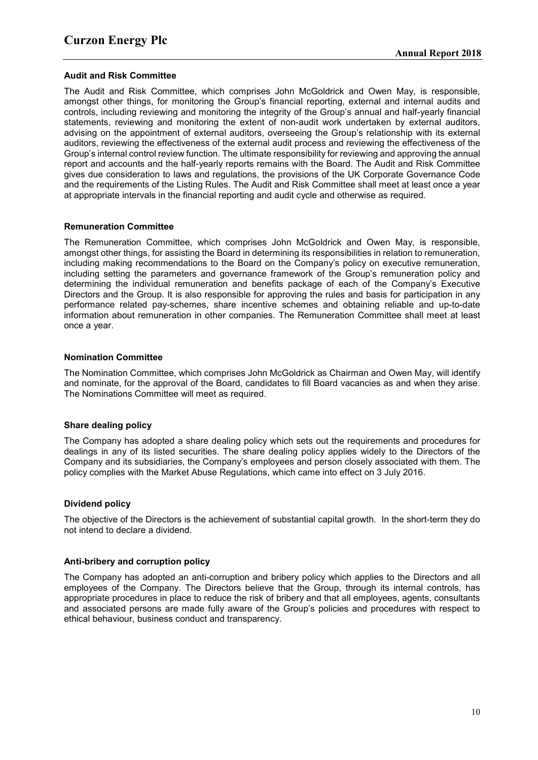#### **Audit and Risk Committee**

The Audit and Risk Committee, which comprises John McGoldrick and Owen May, is responsible, amongst other things, for monitoring the Group's financial reporting, external and internal audits and controls, including reviewing and monitoring the integrity of the Group's annual and half-yearly financial statements, reviewing and monitoring the extent of non-audit work undertaken by external auditors, advising on the appointment of external auditors, overseeing the Group's relationship with its external auditors, reviewing the effectiveness of the external audit process and reviewing the effectiveness of the Group's internal control review function. The ultimate responsibility for reviewing and approving the annual report and accounts and the half-yearly reports remains with the Board. The Audit and Risk Committee gives due consideration to laws and regulations, the provisions of the UK Corporate Governance Code and the requirements of the Listing Rules. The Audit and Risk Committee shall meet at least once a year at appropriate intervals in the financial reporting and audit cycle and otherwise as required.

#### **Remuneration Committee**

The Remuneration Committee, which comprises John McGoldrick and Owen May, is responsible, amongst other things, for assisting the Board in determining its responsibilities in relation to remuneration, including making recommendations to the Board on the Company's policy on executive remuneration, including setting the parameters and governance framework of the Group's remuneration policy and determining the individual remuneration and benefits package of each of the Company's Executive Directors and the Group. It is also responsible for approving the rules and basis for participation in any performance related pay-schemes, share incentive schemes and obtaining reliable and up-to-date information about remuneration in other companies. The Remuneration Committee shall meet at least once a year.

#### **Nomination Committee**

The Nomination Committee, which comprises John McGoldrick as Chairman and Owen May, will identify and nominate, for the approval of the Board, candidates to fill Board vacancies as and when they arise. The Nominations Committee will meet as required.

## **Share dealing policy**

The Company has adopted a share dealing policy which sets out the requirements and procedures for dealings in any of its listed securities. The share dealing policy applies widely to the Directors of the Company and its subsidiaries, the Company's employees and person closely associated with them. The policy complies with the Market Abuse Regulations, which came into effect on 3 July 2016.

## **Dividend policy**

The objective of the Directors is the achievement of substantial capital growth. In the short-term they do not intend to declare a dividend.

#### **Anti-bribery and corruption policy**

The Company has adopted an anti-corruption and bribery policy which applies to the Directors and all employees of the Company. The Directors believe that the Group, through its internal controls, has appropriate procedures in place to reduce the risk of bribery and that all employees, agents, consultants and associated persons are made fully aware of the Group's policies and procedures with respect to ethical behaviour, business conduct and transparency.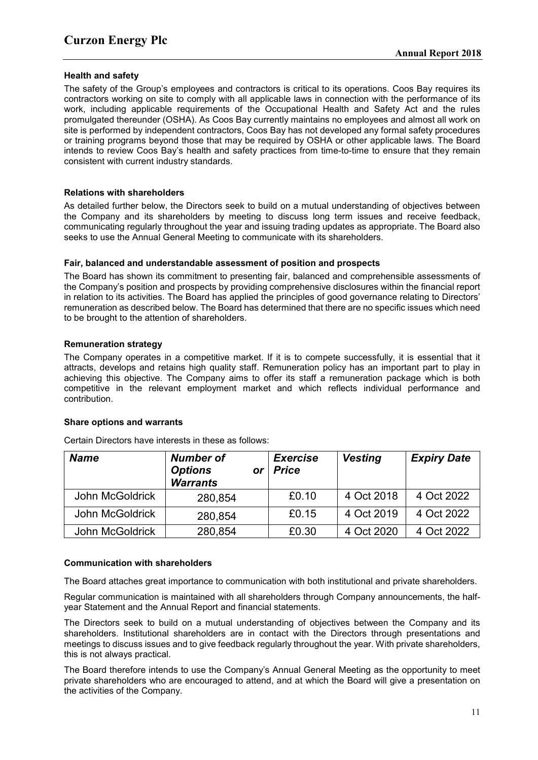### **Health and safety**

The safety of the Group's employees and contractors is critical to its operations. Coos Bay requires its contractors working on site to comply with all applicable laws in connection with the performance of its work, including applicable requirements of the Occupational Health and Safety Act and the rules promulgated thereunder (OSHA). As Coos Bay currently maintains no employees and almost all work on site is performed by independent contractors, Coos Bay has not developed any formal safety procedures or training programs beyond those that may be required by OSHA or other applicable laws. The Board intends to review Coos Bay's health and safety practices from time-to-time to ensure that they remain consistent with current industry standards.

#### **Relations with shareholders**

As detailed further below, the Directors seek to build on a mutual understanding of objectives between the Company and its shareholders by meeting to discuss long term issues and receive feedback, communicating regularly throughout the year and issuing trading updates as appropriate. The Board also seeks to use the Annual General Meeting to communicate with its shareholders.

#### **Fair, balanced and understandable assessment of position and prospects**

The Board has shown its commitment to presenting fair, balanced and comprehensible assessments of the Company's position and prospects by providing comprehensive disclosures within the financial report in relation to its activities. The Board has applied the principles of good governance relating to Directors' remuneration as described below. The Board has determined that there are no specific issues which need to be brought to the attention of shareholders.

#### **Remuneration strategy**

The Company operates in a competitive market. If it is to compete successfully, it is essential that it attracts, develops and retains high quality staff. Remuneration policy has an important part to play in achieving this objective. The Company aims to offer its staff a remuneration package which is both competitive in the relevant employment market and which reflects individual performance and contribution.

#### **Share options and warrants**

| <b>Name</b>     | <b>Number of</b><br><b>Options</b><br>Οľ<br><b>Warrants</b> | <b>Exercise</b><br><b>Price</b> | <b>Vesting</b> | <b>Expiry Date</b> |
|-----------------|-------------------------------------------------------------|---------------------------------|----------------|--------------------|
| John McGoldrick | 280,854                                                     | £0.10                           | 4 Oct 2018     | 4 Oct 2022         |
| John McGoldrick | 280,854                                                     | £0.15                           | 4 Oct 2019     | 4 Oct 2022         |
| John McGoldrick | 280,854                                                     | £0.30                           | 4 Oct 2020     | 4 Oct 2022         |

Certain Directors have interests in these as follows:

#### **Communication with shareholders**

The Board attaches great importance to communication with both institutional and private shareholders.

Regular communication is maintained with all shareholders through Company announcements, the halfyear Statement and the Annual Report and financial statements.

The Directors seek to build on a mutual understanding of objectives between the Company and its shareholders. Institutional shareholders are in contact with the Directors through presentations and meetings to discuss issues and to give feedback regularly throughout the year. With private shareholders, this is not always practical.

The Board therefore intends to use the Company's Annual General Meeting as the opportunity to meet private shareholders who are encouraged to attend, and at which the Board will give a presentation on the activities of the Company.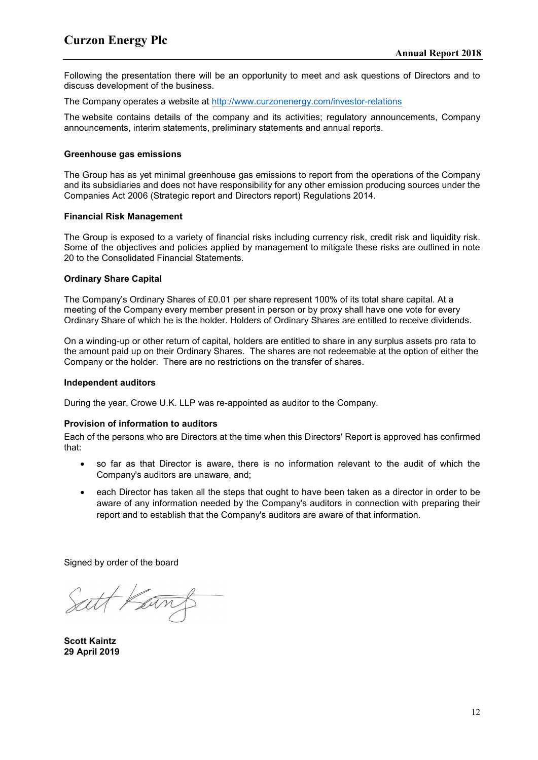Following the presentation there will be an opportunity to meet and ask questions of Directors and to discuss development of the business.

The Company operates a website at<http://www.curzonenergy.com/investor-relations>

The website contains details of the company and its activities; regulatory announcements, Company announcements, interim statements, preliminary statements and annual reports.

#### **Greenhouse gas emissions**

The Group has as yet minimal greenhouse gas emissions to report from the operations of the Company and its subsidiaries and does not have responsibility for any other emission producing sources under the Companies Act 2006 (Strategic report and Directors report) Regulations 2014.

#### **Financial Risk Management**

The Group is exposed to a variety of financial risks including currency risk, credit risk and liquidity risk. Some of the objectives and policies applied by management to mitigate these risks are outlined in note [20](#page-50-0) to the Consolidated Financial Statements.

#### **Ordinary Share Capital**

The Company's Ordinary Shares of £0.01 per share represent 100% of its total share capital. At a meeting of the Company every member present in person or by proxy shall have one vote for every Ordinary Share of which he is the holder. Holders of Ordinary Shares are entitled to receive dividends.

On a winding-up or other return of capital, holders are entitled to share in any surplus assets pro rata to the amount paid up on their Ordinary Shares. The shares are not redeemable at the option of either the Company or the holder. There are no restrictions on the transfer of shares.

#### **Independent auditors**

During the year, Crowe U.K. LLP was re-appointed as auditor to the Company.

#### **Provision of information to auditors**

Each of the persons who are Directors at the time when this Directors' Report is approved has confirmed that:

- so far as that Director is aware, there is no information relevant to the audit of which the Company's auditors are unaware, and;
- each Director has taken all the steps that ought to have been taken as a director in order to be aware of any information needed by the Company's auditors in connection with preparing their report and to establish that the Company's auditors are aware of that information.

Signed by order of the board

att Kornf

**Scott Kaintz 29 April 2019**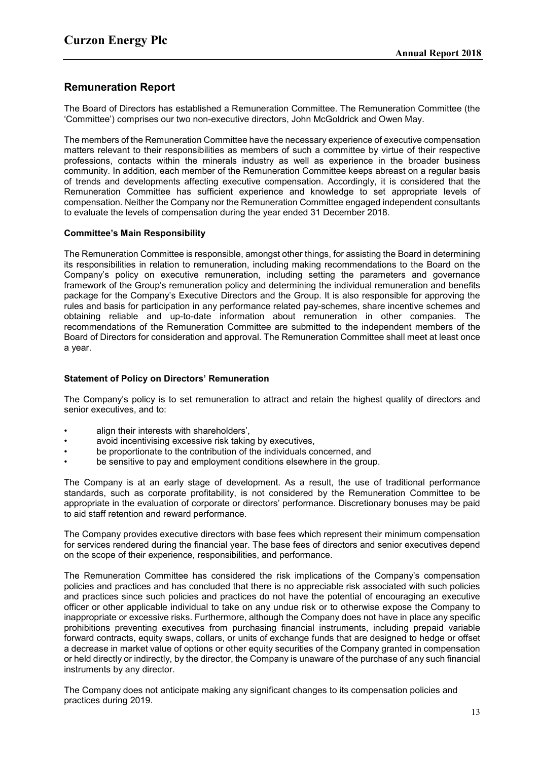## **Remuneration Report**

The Board of Directors has established a Remuneration Committee. The Remuneration Committee (the 'Committee') comprises our two non-executive directors, John McGoldrick and Owen May.

The members of the Remuneration Committee have the necessary experience of executive compensation matters relevant to their responsibilities as members of such a committee by virtue of their respective professions, contacts within the minerals industry as well as experience in the broader business community. In addition, each member of the Remuneration Committee keeps abreast on a regular basis of trends and developments affecting executive compensation. Accordingly, it is considered that the Remuneration Committee has sufficient experience and knowledge to set appropriate levels of compensation. Neither the Company nor the Remuneration Committee engaged independent consultants to evaluate the levels of compensation during the year ended 31 December 2018.

## **Committee's Main Responsibility**

The Remuneration Committee is responsible, amongst other things, for assisting the Board in determining its responsibilities in relation to remuneration, including making recommendations to the Board on the Company's policy on executive remuneration, including setting the parameters and governance framework of the Group's remuneration policy and determining the individual remuneration and benefits package for the Company's Executive Directors and the Group. It is also responsible for approving the rules and basis for participation in any performance related pay-schemes, share incentive schemes and obtaining reliable and up-to-date information about remuneration in other companies. The recommendations of the Remuneration Committee are submitted to the independent members of the Board of Directors for consideration and approval. The Remuneration Committee shall meet at least once a year.

## **Statement of Policy on Directors' Remuneration**

The Company's policy is to set remuneration to attract and retain the highest quality of directors and senior executives, and to:

- align their interests with shareholders'.
- avoid incentivising excessive risk taking by executives,
- be proportionate to the contribution of the individuals concerned, and
- be sensitive to pay and employment conditions elsewhere in the group.

The Company is at an early stage of development. As a result, the use of traditional performance standards, such as corporate profitability, is not considered by the Remuneration Committee to be appropriate in the evaluation of corporate or directors' performance. Discretionary bonuses may be paid to aid staff retention and reward performance.

The Company provides executive directors with base fees which represent their minimum compensation for services rendered during the financial year. The base fees of directors and senior executives depend on the scope of their experience, responsibilities, and performance.

The Remuneration Committee has considered the risk implications of the Company's compensation policies and practices and has concluded that there is no appreciable risk associated with such policies and practices since such policies and practices do not have the potential of encouraging an executive officer or other applicable individual to take on any undue risk or to otherwise expose the Company to inappropriate or excessive risks. Furthermore, although the Company does not have in place any specific prohibitions preventing executives from purchasing financial instruments, including prepaid variable forward contracts, equity swaps, collars, or units of exchange funds that are designed to hedge or offset a decrease in market value of options or other equity securities of the Company granted in compensation or held directly or indirectly, by the director, the Company is unaware of the purchase of any such financial instruments by any director.

The Company does not anticipate making any significant changes to its compensation policies and practices during 2019.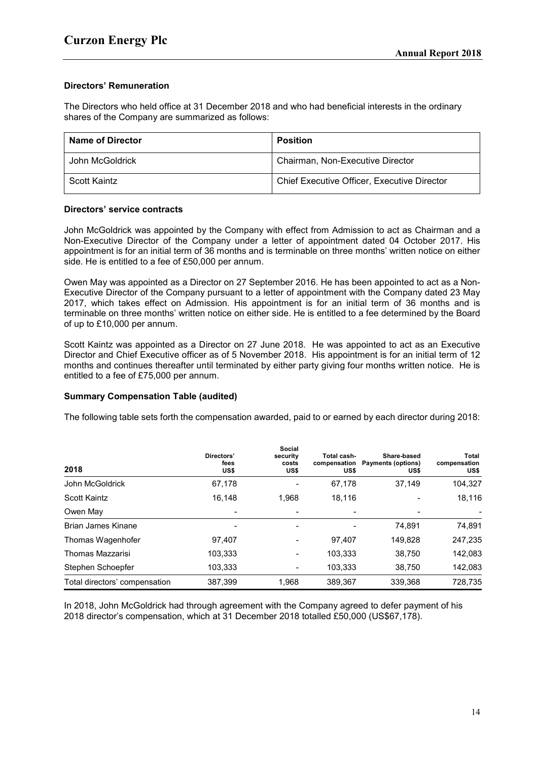## **Directors' Remuneration**

The Directors who held office at 31 December 2018 and who had beneficial interests in the ordinary shares of the Company are summarized as follows:

| Name of Director | <b>Position</b>                             |
|------------------|---------------------------------------------|
| John McGoldrick  | Chairman, Non-Executive Director            |
| Scott Kaintz     | Chief Executive Officer, Executive Director |

## **Directors' service contracts**

John McGoldrick was appointed by the Company with effect from Admission to act as Chairman and a Non-Executive Director of the Company under a letter of appointment dated 04 October 2017. His appointment is for an initial term of 36 months and is terminable on three months' written notice on either side. He is entitled to a fee of £50,000 per annum.

Owen May was appointed as a Director on 27 September 2016. He has been appointed to act as a Non-Executive Director of the Company pursuant to a letter of appointment with the Company dated 23 May 2017, which takes effect on Admission. His appointment is for an initial term of 36 months and is terminable on three months' written notice on either side. He is entitled to a fee determined by the Board of up to £10,000 per annum.

Scott Kaintz was appointed as a Director on 27 June 2018. He was appointed to act as an Executive Director and Chief Executive officer as of 5 November 2018. His appointment is for an initial term of 12 months and continues thereafter until terminated by either party giving four months written notice. He is entitled to a fee of £75,000 per annum.

## **Summary Compensation Table (audited)**

The following table sets forth the compensation awarded, paid to or earned by each director during 2018:

| 2018                          | Directors'<br>fees<br>US\$ | Social<br>security<br>costs<br>US\$ | Total cash-<br>compensation<br>US\$ | Share-based<br><b>Payments (options)</b><br>US\$ | Total<br>compensation<br>US\$ |
|-------------------------------|----------------------------|-------------------------------------|-------------------------------------|--------------------------------------------------|-------------------------------|
| John McGoldrick               | 67,178                     |                                     | 67,178                              | 37.149                                           | 104,327                       |
| <b>Scott Kaintz</b>           | 16.148                     | 1.968                               | 18,116                              |                                                  | 18,116                        |
| Owen May                      |                            |                                     |                                     |                                                  |                               |
| <b>Brian James Kinane</b>     |                            | $\overline{\phantom{a}}$            |                                     | 74,891                                           | 74,891                        |
| Thomas Wagenhofer             | 97,407                     |                                     | 97,407                              | 149.828                                          | 247,235                       |
| Thomas Mazzarisi              | 103,333                    |                                     | 103,333                             | 38,750                                           | 142,083                       |
| Stephen Schoepfer             | 103,333                    |                                     | 103,333                             | 38,750                                           | 142,083                       |
| Total directors' compensation | 387,399                    | 1,968                               | 389,367                             | 339,368                                          | 728,735                       |

In 2018, John McGoldrick had through agreement with the Company agreed to defer payment of his 2018 director's compensation, which at 31 December 2018 totalled £50,000 (US\$67,178).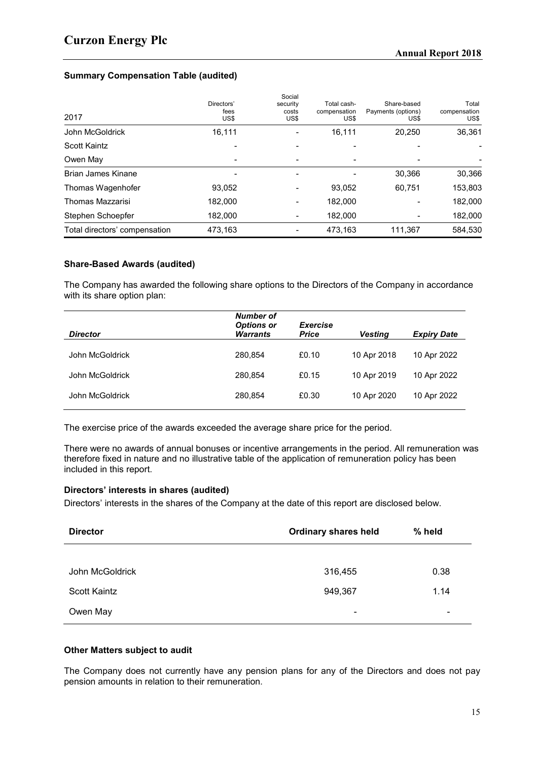## **Summary Compensation Table (audited)**

| 2017                          | Directors'<br>fees<br>US\$ | Social<br>security<br>costs<br>US\$ | Total cash-<br>compensation<br>US\$ | Share-based<br>Payments (options)<br>US\$ | Total<br>compensation<br>US\$ |
|-------------------------------|----------------------------|-------------------------------------|-------------------------------------|-------------------------------------------|-------------------------------|
| John McGoldrick               | 16,111                     |                                     | 16,111                              | 20.250                                    | 36,361                        |
| Scott Kaintz                  |                            |                                     |                                     |                                           |                               |
| Owen May                      |                            |                                     |                                     |                                           |                               |
| Brian James Kinane            |                            |                                     |                                     | 30,366                                    | 30,366                        |
| Thomas Wagenhofer             | 93.052                     |                                     | 93.052                              | 60.751                                    | 153,803                       |
| <b>Thomas Mazzarisi</b>       | 182.000                    |                                     | 182,000                             |                                           | 182,000                       |
| Stephen Schoepfer             | 182.000                    |                                     | 182.000                             |                                           | 182,000                       |
| Total directors' compensation | 473,163                    |                                     | 473.163                             | 111.367                                   | 584,530                       |

#### **Share-Based Awards (audited)**

The Company has awarded the following share options to the Directors of the Company in accordance with its share option plan:

| <b>Director</b> | <b>Number of</b><br><b>Options or</b><br><b>Warrants</b> | <b>Exercise</b><br><b>Price</b> | <b>Vesting</b> | <b>Expiry Date</b> |
|-----------------|----------------------------------------------------------|---------------------------------|----------------|--------------------|
| John McGoldrick | 280.854                                                  | £0.10                           | 10 Apr 2018    | 10 Apr 2022        |
| John McGoldrick | 280.854                                                  | £0.15                           | 10 Apr 2019    | 10 Apr 2022        |
| John McGoldrick | 280,854                                                  | £0.30                           | 10 Apr 2020    | 10 Apr 2022        |

The exercise price of the awards exceeded the average share price for the period.

There were no awards of annual bonuses or incentive arrangements in the period. All remuneration was therefore fixed in nature and no illustrative table of the application of remuneration policy has been included in this report.

## **Directors' interests in shares (audited)**

Directors' interests in the shares of the Company at the date of this report are disclosed below.

| <b>Director</b>     | <b>Ordinary shares held</b> | % held |
|---------------------|-----------------------------|--------|
|                     |                             |        |
| John McGoldrick     | 316,455                     | 0.38   |
| <b>Scott Kaintz</b> | 949,367                     | 1.14   |
| Owen May            | ۰                           | ٠      |

#### **Other Matters subject to audit**

The Company does not currently have any pension plans for any of the Directors and does not pay pension amounts in relation to their remuneration.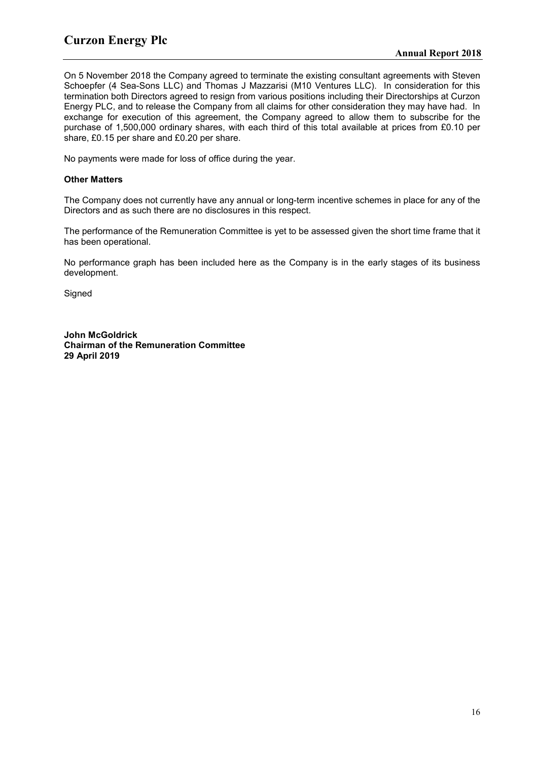# **Curzon Energy Plc** Annual Report 2018

On 5 November 2018 the Company agreed to terminate the existing consultant agreements with Steven Schoepfer (4 Sea-Sons LLC) and Thomas J Mazzarisi (M10 Ventures LLC). In consideration for this termination both Directors agreed to resign from various positions including their Directorships at Curzon Energy PLC, and to release the Company from all claims for other consideration they may have had. In exchange for execution of this agreement, the Company agreed to allow them to subscribe for the purchase of 1,500,000 ordinary shares, with each third of this total available at prices from £0.10 per share, £0.15 per share and £0.20 per share.

No payments were made for loss of office during the year.

#### **Other Matters**

The Company does not currently have any annual or long-term incentive schemes in place for any of the Directors and as such there are no disclosures in this respect.

The performance of the Remuneration Committee is yet to be assessed given the short time frame that it has been operational.

No performance graph has been included here as the Company is in the early stages of its business development.

**Signed** 

**John McGoldrick Chairman of the Remuneration Committee 29 April 2019**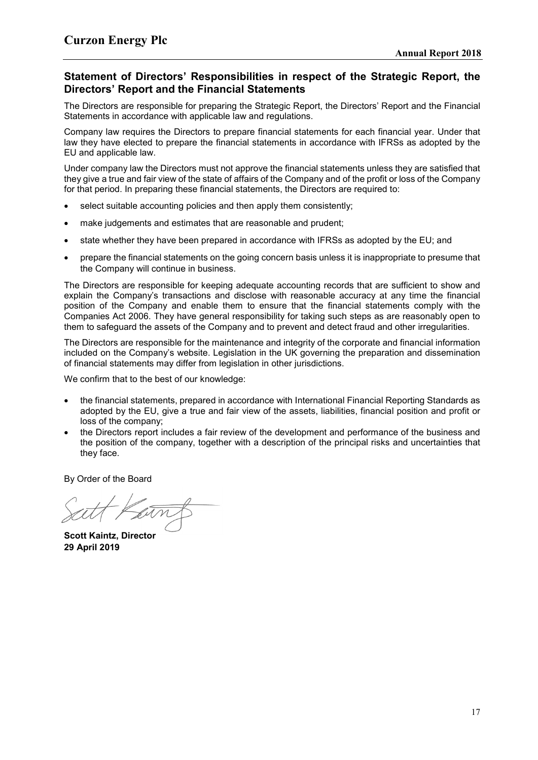## **Statement of Directors' Responsibilities in respect of the Strategic Report, the Directors' Report and the Financial Statements**

The Directors are responsible for preparing the Strategic Report, the Directors' Report and the Financial Statements in accordance with applicable law and regulations.

Company law requires the Directors to prepare financial statements for each financial year. Under that law they have elected to prepare the financial statements in accordance with IFRSs as adopted by the EU and applicable law.

Under company law the Directors must not approve the financial statements unless they are satisfied that they give a true and fair view of the state of affairs of the Company and of the profit or loss of the Company for that period. In preparing these financial statements, the Directors are required to:

- select suitable accounting policies and then apply them consistently;
- make judgements and estimates that are reasonable and prudent;
- state whether they have been prepared in accordance with IFRSs as adopted by the EU; and
- prepare the financial statements on the going concern basis unless it is inappropriate to presume that the Company will continue in business.

The Directors are responsible for keeping adequate accounting records that are sufficient to show and explain the Company's transactions and disclose with reasonable accuracy at any time the financial position of the Company and enable them to ensure that the financial statements comply with the Companies Act 2006. They have general responsibility for taking such steps as are reasonably open to them to safeguard the assets of the Company and to prevent and detect fraud and other irregularities.

The Directors are responsible for the maintenance and integrity of the corporate and financial information included on the Company's website. Legislation in the UK governing the preparation and dissemination of financial statements may differ from legislation in other jurisdictions.

We confirm that to the best of our knowledge:

- the financial statements, prepared in accordance with International Financial Reporting Standards as adopted by the EU, give a true and fair view of the assets, liabilities, financial position and profit or loss of the company;
- the Directors report includes a fair review of the development and performance of the business and the position of the company, together with a description of the principal risks and uncertainties that they face.

By Order of the Board

**Scott Kaintz, Director 29 April 2019**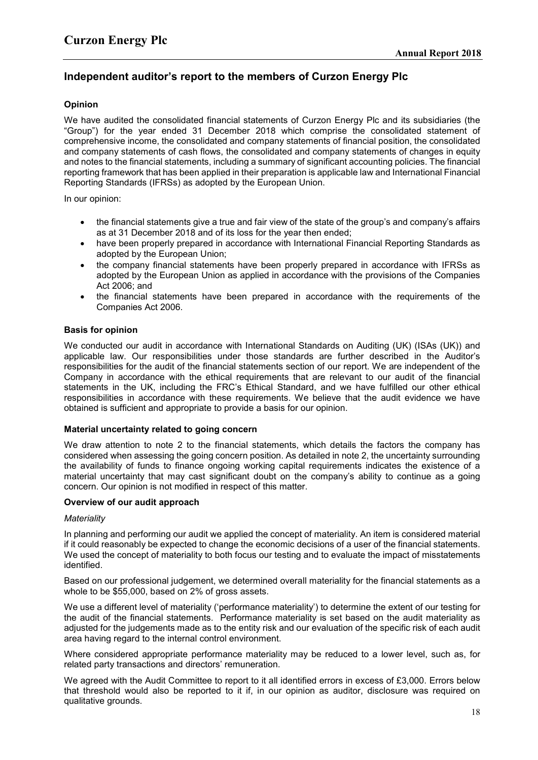## **Independent auditor's report to the members of Curzon Energy Plc**

## **Opinion**

We have audited the consolidated financial statements of Curzon Energy Plc and its subsidiaries (the "Group") for the year ended 31 December 2018 which comprise the consolidated statement of comprehensive income, the consolidated and company statements of financial position, the consolidated and company statements of cash flows, the consolidated and company statements of changes in equity and notes to the financial statements, including a summary of significant accounting policies. The financial reporting framework that has been applied in their preparation is applicable law and International Financial Reporting Standards (IFRSs) as adopted by the European Union.

In our opinion:

- the financial statements give a true and fair view of the state of the group's and company's affairs as at 31 December 2018 and of its loss for the year then ended;
- have been properly prepared in accordance with International Financial Reporting Standards as adopted by the European Union;
- the company financial statements have been properly prepared in accordance with IFRSs as adopted by the European Union as applied in accordance with the provisions of the Companies Act 2006; and
- the financial statements have been prepared in accordance with the requirements of the Companies Act 2006.

## **Basis for opinion**

We conducted our audit in accordance with International Standards on Auditing (UK) (ISAs (UK)) and applicable law. Our responsibilities under those standards are further described in the Auditor's responsibilities for the audit of the financial statements section of our report. We are independent of the Company in accordance with the ethical requirements that are relevant to our audit of the financial statements in the UK, including the FRC's Ethical Standard, and we have fulfilled our other ethical responsibilities in accordance with these requirements. We believe that the audit evidence we have obtained is sufficient and appropriate to provide a basis for our opinion.

#### **Material uncertainty related to going concern**

We draw attention to note 2 to the financial statements, which details the factors the company has considered when assessing the going concern position. As detailed in note 2, the uncertainty surrounding the availability of funds to finance ongoing working capital requirements indicates the existence of a material uncertainty that may cast significant doubt on the company's ability to continue as a going concern. Our opinion is not modified in respect of this matter.

#### **Overview of our audit approach**

#### *Materiality*

In planning and performing our audit we applied the concept of materiality. An item is considered material if it could reasonably be expected to change the economic decisions of a user of the financial statements. We used the concept of materiality to both focus our testing and to evaluate the impact of misstatements identified.

Based on our professional judgement, we determined overall materiality for the financial statements as a whole to be \$55,000, based on 2% of gross assets.

We use a different level of materiality ('performance materiality') to determine the extent of our testing for the audit of the financial statements. Performance materiality is set based on the audit materiality as adjusted for the judgements made as to the entity risk and our evaluation of the specific risk of each audit area having regard to the internal control environment.

Where considered appropriate performance materiality may be reduced to a lower level, such as, for related party transactions and directors' remuneration.

We agreed with the Audit Committee to report to it all identified errors in excess of £3,000. Errors below that threshold would also be reported to it if, in our opinion as auditor, disclosure was required on qualitative grounds.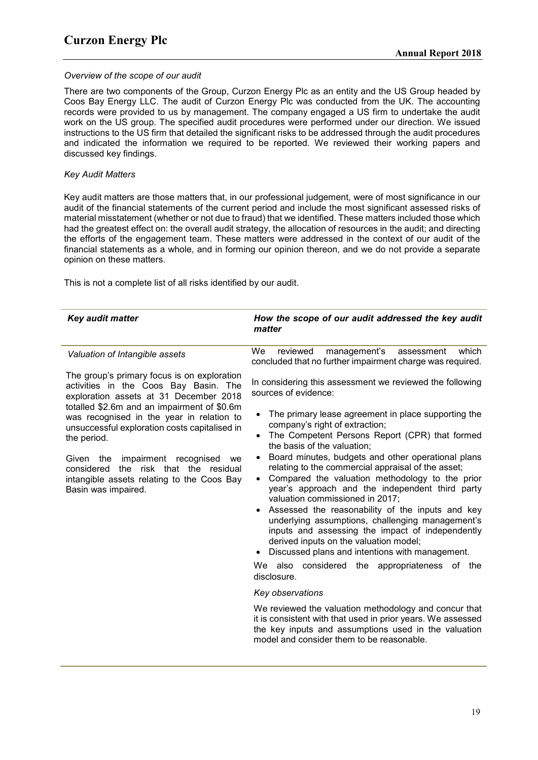#### *Overview of the scope of our audit*

There are two components of the Group, Curzon Energy Plc as an entity and the US Group headed by Coos Bay Energy LLC. The audit of Curzon Energy Plc was conducted from the UK. The accounting records were provided to us by management. The company engaged a US firm to undertake the audit work on the US group. The specified audit procedures were performed under our direction. We issued instructions to the US firm that detailed the significant risks to be addressed through the audit procedures and indicated the information we required to be reported. We reviewed their working papers and discussed key findings.

#### *Key Audit Matters*

Key audit matters are those matters that, in our professional judgement, were of most significance in our audit of the financial statements of the current period and include the most significant assessed risks of material misstatement (whether or not due to fraud) that we identified. These matters included those which had the greatest effect on: the overall audit strategy, the allocation of resources in the audit; and directing the efforts of the engagement team. These matters were addressed in the context of our audit of the financial statements as a whole, and in forming our opinion thereon, and we do not provide a separate opinion on these matters.

This is not a complete list of all risks identified by our audit.

| <b>Key audit matter</b>                                                                                                                                  | How the scope of our audit addressed the key audit<br>matter                                                                                                                                                                                                                                                                                                                                                                                                                                                                                                                                     |
|----------------------------------------------------------------------------------------------------------------------------------------------------------|--------------------------------------------------------------------------------------------------------------------------------------------------------------------------------------------------------------------------------------------------------------------------------------------------------------------------------------------------------------------------------------------------------------------------------------------------------------------------------------------------------------------------------------------------------------------------------------------------|
| Valuation of Intangible assets                                                                                                                           | We<br>which<br>reviewed<br>management's<br>assessment<br>concluded that no further impairment charge was required.                                                                                                                                                                                                                                                                                                                                                                                                                                                                               |
| The group's primary focus is on exploration<br>activities in the Coos Bay Basin. The<br>exploration assets at 31 December 2018                           | In considering this assessment we reviewed the following<br>sources of evidence:                                                                                                                                                                                                                                                                                                                                                                                                                                                                                                                 |
| totalled \$2.6m and an impairment of \$0.6m<br>was recognised in the year in relation to<br>unsuccessful exploration costs capitalised in<br>the period. | The primary lease agreement in place supporting the<br>company's right of extraction;<br>The Competent Persons Report (CPR) that formed<br>$\bullet$<br>the basis of the valuation;                                                                                                                                                                                                                                                                                                                                                                                                              |
| Given the impairment recognised we<br>the risk that the residual<br>considered<br>intangible assets relating to the Coos Bay<br>Basin was impaired.      | Board minutes, budgets and other operational plans<br>٠<br>relating to the commercial appraisal of the asset;<br>Compared the valuation methodology to the prior<br>$\bullet$<br>year's approach and the independent third party<br>valuation commissioned in 2017;<br>Assessed the reasonability of the inputs and key<br>underlying assumptions, challenging management's<br>inputs and assessing the impact of independently<br>derived inputs on the valuation model;<br>Discussed plans and intentions with management.<br>$\bullet$<br>We also<br>appropriateness of the<br>considered the |
|                                                                                                                                                          | disclosure.                                                                                                                                                                                                                                                                                                                                                                                                                                                                                                                                                                                      |
|                                                                                                                                                          | Key observations                                                                                                                                                                                                                                                                                                                                                                                                                                                                                                                                                                                 |
|                                                                                                                                                          | We reviewed the valuation methodology and concur that<br>it is consistent with that used in prior years. We assessed<br>the key inputs and assumptions used in the valuation<br>model and consider them to be reasonable.                                                                                                                                                                                                                                                                                                                                                                        |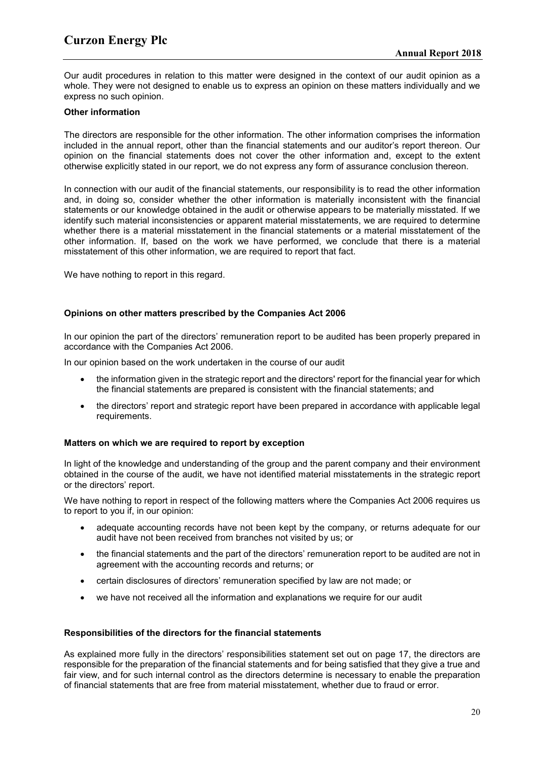Our audit procedures in relation to this matter were designed in the context of our audit opinion as a whole. They were not designed to enable us to express an opinion on these matters individually and we express no such opinion.

#### **Other information**

The directors are responsible for the other information. The other information comprises the information included in the annual report, other than the financial statements and our auditor's report thereon. Our opinion on the financial statements does not cover the other information and, except to the extent otherwise explicitly stated in our report, we do not express any form of assurance conclusion thereon.

In connection with our audit of the financial statements, our responsibility is to read the other information and, in doing so, consider whether the other information is materially inconsistent with the financial statements or our knowledge obtained in the audit or otherwise appears to be materially misstated. If we identify such material inconsistencies or apparent material misstatements, we are required to determine whether there is a material misstatement in the financial statements or a material misstatement of the other information. If, based on the work we have performed, we conclude that there is a material misstatement of this other information, we are required to report that fact.

We have nothing to report in this regard.

#### **Opinions on other matters prescribed by the Companies Act 2006**

In our opinion the part of the directors' remuneration report to be audited has been properly prepared in accordance with the Companies Act 2006.

In our opinion based on the work undertaken in the course of our audit

- the information given in the strategic report and the directors' report for the financial year for which the financial statements are prepared is consistent with the financial statements; and
- the directors' report and strategic report have been prepared in accordance with applicable legal requirements.

#### **Matters on which we are required to report by exception**

In light of the knowledge and understanding of the group and the parent company and their environment obtained in the course of the audit, we have not identified material misstatements in the strategic report or the directors' report.

We have nothing to report in respect of the following matters where the Companies Act 2006 requires us to report to you if, in our opinion:

- adequate accounting records have not been kept by the company, or returns adequate for our audit have not been received from branches not visited by us; or
- the financial statements and the part of the directors' remuneration report to be audited are not in agreement with the accounting records and returns; or
- certain disclosures of directors' remuneration specified by law are not made; or
- we have not received all the information and explanations we require for our audit

#### **Responsibilities of the directors for the financial statements**

As explained more fully in the directors' responsibilities statement set out on page 17, the directors are responsible for the preparation of the financial statements and for being satisfied that they give a true and fair view, and for such internal control as the directors determine is necessary to enable the preparation of financial statements that are free from material misstatement, whether due to fraud or error.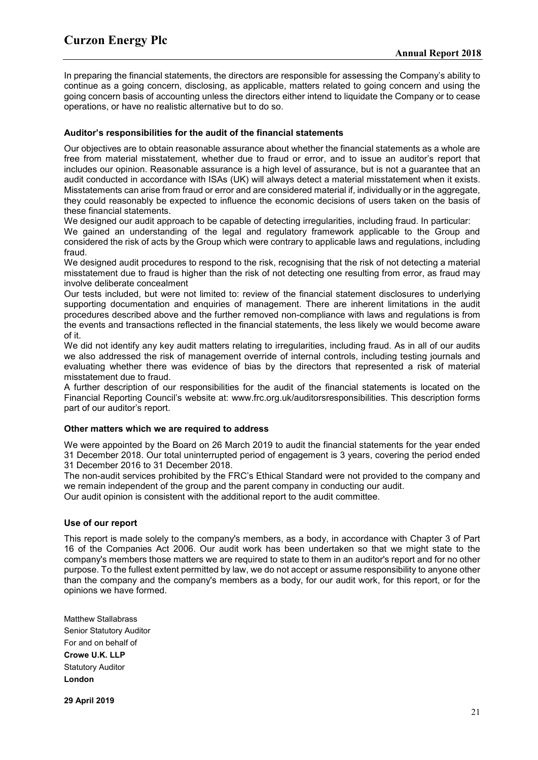In preparing the financial statements, the directors are responsible for assessing the Company's ability to continue as a going concern, disclosing, as applicable, matters related to going concern and using the going concern basis of accounting unless the directors either intend to liquidate the Company or to cease operations, or have no realistic alternative but to do so.

### **Auditor's responsibilities for the audit of the financial statements**

Our objectives are to obtain reasonable assurance about whether the financial statements as a whole are free from material misstatement, whether due to fraud or error, and to issue an auditor's report that includes our opinion. Reasonable assurance is a high level of assurance, but is not a guarantee that an audit conducted in accordance with ISAs (UK) will always detect a material misstatement when it exists. Misstatements can arise from fraud or error and are considered material if, individually or in the aggregate, they could reasonably be expected to influence the economic decisions of users taken on the basis of these financial statements.

We designed our audit approach to be capable of detecting irregularities, including fraud. In particular: We gained an understanding of the legal and regulatory framework applicable to the Group and considered the risk of acts by the Group which were contrary to applicable laws and regulations, including fraud.

We designed audit procedures to respond to the risk, recognising that the risk of not detecting a material misstatement due to fraud is higher than the risk of not detecting one resulting from error, as fraud may involve deliberate concealment

Our tests included, but were not limited to: review of the financial statement disclosures to underlying supporting documentation and enquiries of management. There are inherent limitations in the audit procedures described above and the further removed non-compliance with laws and regulations is from the events and transactions reflected in the financial statements, the less likely we would become aware of it.

We did not identify any key audit matters relating to irregularities, including fraud. As in all of our audits we also addressed the risk of management override of internal controls, including testing journals and evaluating whether there was evidence of bias by the directors that represented a risk of material misstatement due to fraud.

A further description of our responsibilities for the audit of the financial statements is located on the Financial Reporting Council's website at: www.frc.org.uk/auditorsresponsibilities. This description forms part of our auditor's report.

#### **Other matters which we are required to address**

We were appointed by the Board on 26 March 2019 to audit the financial statements for the year ended 31 December 2018. Our total uninterrupted period of engagement is 3 years, covering the period ended 31 December 2016 to 31 December 2018.

The non-audit services prohibited by the FRC's Ethical Standard were not provided to the company and we remain independent of the group and the parent company in conducting our audit.

Our audit opinion is consistent with the additional report to the audit committee.

#### **Use of our report**

This report is made solely to the company's members, as a body, in accordance with Chapter 3 of Part 16 of the Companies Act 2006. Our audit work has been undertaken so that we might state to the company's members those matters we are required to state to them in an auditor's report and for no other purpose. To the fullest extent permitted by law, we do not accept or assume responsibility to anyone other than the company and the company's members as a body, for our audit work, for this report, or for the opinions we have formed.

Matthew Stallabrass Senior Statutory Auditor For and on behalf of **Crowe U.K. LLP** Statutory Auditor **London**

**29 April 2019**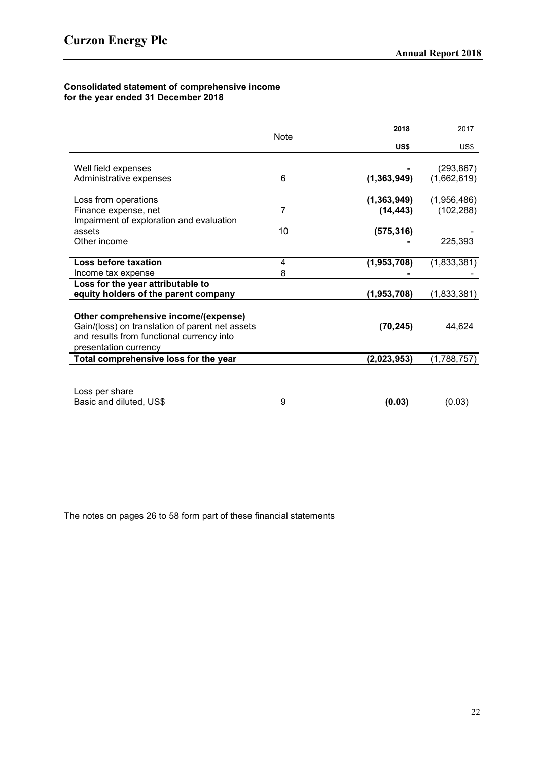#### **Consolidated statement of comprehensive income for the year ended 31 December 2018**

|                                                 | <b>Note</b> | 2018          | 2017        |
|-------------------------------------------------|-------------|---------------|-------------|
|                                                 |             | US\$          | US\$        |
| Well field expenses                             |             |               | (293, 867)  |
| Administrative expenses                         | 6           | (1, 363, 949) | (1,662,619) |
|                                                 |             |               |             |
| Loss from operations                            |             | (1,363,949)   | (1,956,486) |
| Finance expense, net                            | 7           | (14, 443)     | (102, 288)  |
| Impairment of exploration and evaluation        |             |               |             |
| assets                                          | 10          | (575, 316)    |             |
| Other income                                    |             |               | 225,393     |
|                                                 |             |               |             |
| Loss before taxation                            | 4           | (1,953,708)   | (1,833,381) |
| Income tax expense                              | 8           |               |             |
| Loss for the year attributable to               |             |               |             |
| equity holders of the parent company            |             | (1,953,708)   | (1,833,381) |
|                                                 |             |               |             |
| Other comprehensive income/(expense)            |             |               |             |
| Gain/(loss) on translation of parent net assets |             | (70, 245)     | 44,624      |
| and results from functional currency into       |             |               |             |
| presentation currency                           |             |               |             |
| Total comprehensive loss for the year           |             | (2,023,953)   | (1,788,757) |
|                                                 |             |               |             |
|                                                 |             |               |             |
| Loss per share                                  |             |               |             |
| Basic and diluted, US\$                         | 9           | (0.03)        | (0.03)      |

The notes on pages [26](#page-28-0) to [58](#page-60-0) form part of these financial statements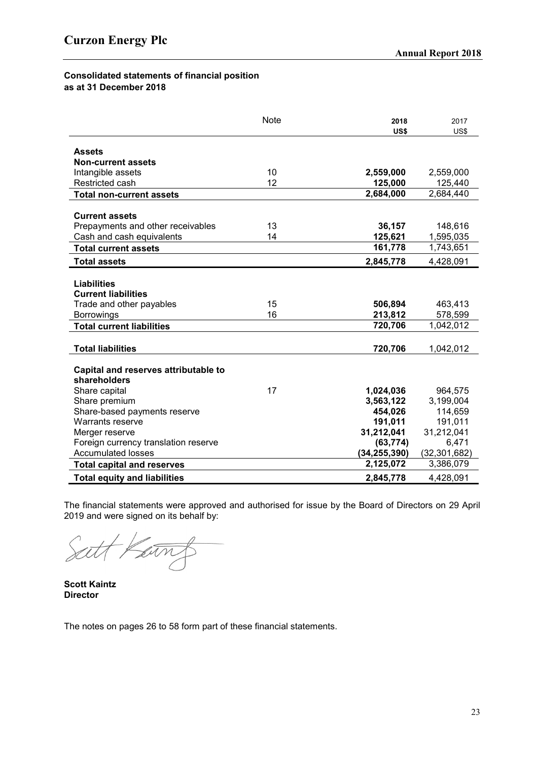## **Consolidated statements of financial position as at 31 December 2018**

|                                            | Note | 2018                 | 2017                 |
|--------------------------------------------|------|----------------------|----------------------|
|                                            |      | US\$                 | US\$                 |
|                                            |      |                      |                      |
| <b>Assets</b><br><b>Non-current assets</b> |      |                      |                      |
| Intangible assets                          | 10   |                      |                      |
| Restricted cash                            | 12   | 2,559,000            | 2,559,000            |
|                                            |      | 125,000<br>2,684,000 | 125,440              |
| <b>Total non-current assets</b>            |      |                      | 2,684,440            |
| <b>Current assets</b>                      |      |                      |                      |
| Prepayments and other receivables          | 13   | 36,157               | 148,616              |
| Cash and cash equivalents                  | 14   | 125,621              | 1,595,035            |
| <b>Total current assets</b>                |      | 161,778              | 1,743,651            |
|                                            |      |                      |                      |
| <b>Total assets</b>                        |      | 2,845,778            | 4,428,091            |
|                                            |      |                      |                      |
| <b>Liabilities</b>                         |      |                      |                      |
| <b>Current liabilities</b>                 | 15   |                      |                      |
| Trade and other payables                   | 16   | 506,894              | 463,413              |
| Borrowings                                 |      | 213,812<br>720,706   | 578,599<br>1,042,012 |
| <b>Total current liabilities</b>           |      |                      |                      |
|                                            |      |                      |                      |
| <b>Total liabilities</b>                   |      | 720,706              | 1,042,012            |
| Capital and reserves attributable to       |      |                      |                      |
| shareholders                               |      |                      |                      |
| Share capital                              | 17   | 1,024,036            | 964,575              |
| Share premium                              |      | 3,563,122            | 3,199,004            |
| Share-based payments reserve               |      | 454,026              | 114,659              |
| <b>Warrants reserve</b>                    |      | 191,011              | 191,011              |
| Merger reserve                             |      | 31,212,041           | 31,212,041           |
| Foreign currency translation reserve       |      | (63, 774)            | 6,471                |
| <b>Accumulated losses</b>                  |      | (34, 255, 390)       | (32, 301, 682)       |
| <b>Total capital and reserves</b>          |      | 2,125,072            | 3,386,079            |
| <b>Total equity and liabilities</b>        |      | 2,845,778            | 4,428,091            |

The financial statements were approved and authorised for issue by the Board of Directors on 29 April 2019 and were signed on its behalf by:

Sett Ketn

**Scott Kaintz Director**

The notes on pages [26](#page-28-0) to [58](#page-60-0) form part of these financial statements.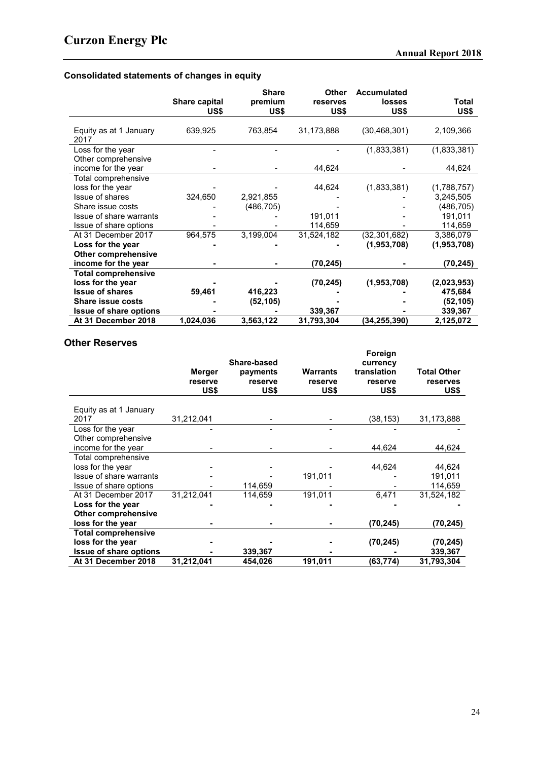|                                            |                              | <b>Share</b>    | <b>Other</b>     | <b>Accumulated</b>    |               |
|--------------------------------------------|------------------------------|-----------------|------------------|-----------------------|---------------|
|                                            | <b>Share capital</b><br>US\$ | premium<br>US\$ | reserves<br>US\$ | <b>losses</b><br>US\$ | Total<br>US\$ |
|                                            |                              |                 |                  |                       |               |
| Equity as at 1 January<br>2017             | 639,925                      | 763,854         | 31,173,888       | (30, 468, 301)        | 2,109,366     |
| Loss for the year                          |                              |                 |                  | (1,833,381)           | (1,833,381)   |
| Other comprehensive<br>income for the year |                              |                 | 44,624           |                       | 44,624        |
| Total comprehensive                        |                              |                 |                  |                       |               |
| loss for the year                          |                              |                 | 44,624           | (1,833,381)           | (1,788,757)   |
| Issue of shares                            | 324,650                      | 2,921,855       |                  |                       | 3,245,505     |
| Share issue costs                          |                              | (486, 705)      |                  |                       | (486, 705)    |
| Issue of share warrants                    |                              |                 | 191,011          |                       | 191,011       |
| Issue of share options                     |                              |                 | 114,659          |                       | 114,659       |
| At 31 December 2017                        | 964,575                      | 3,199,004       | 31,524,182       | (32, 301, 682)        | 3,386,079     |
| Loss for the year                          |                              |                 |                  | (1,953,708)           | (1,953,708)   |
| <b>Other comprehensive</b>                 |                              |                 |                  |                       |               |
| income for the year                        |                              |                 | (70, 245)        |                       | (70,245)      |
| <b>Total comprehensive</b>                 |                              |                 |                  |                       |               |
| loss for the year                          |                              |                 | (70, 245)        | (1,953,708)           | (2,023,953)   |
| <b>Issue of shares</b>                     | 59,461                       | 416,223         |                  |                       | 475,684       |
| <b>Share issue costs</b>                   |                              | (52, 105)       |                  |                       | (52,105)      |
| Issue of share options                     |                              |                 | 339,367          |                       | 339,367       |
| At 31 December 2018                        | 1,024,036                    | 3,563,122       | 31,793,304       | (34,255,390)          | 2,125,072     |

## **Consolidated statements of changes in equity**

## **Other Reserves**

|                               | <b>Merger</b><br>reserve<br>US\$ | Share-based<br>payments<br>reserve<br>US\$ | Warrants<br>reserve<br>US\$ | Foreign<br>currency<br>translation<br>reserve<br>US\$ | <b>Total Other</b><br>reserves<br>US\$ |
|-------------------------------|----------------------------------|--------------------------------------------|-----------------------------|-------------------------------------------------------|----------------------------------------|
| Equity as at 1 January        |                                  |                                            |                             |                                                       |                                        |
| 2017                          | 31,212,041                       |                                            |                             | (38,153)                                              | 31,173,888                             |
| Loss for the year             |                                  |                                            |                             |                                                       |                                        |
| Other comprehensive           |                                  |                                            |                             |                                                       |                                        |
| income for the year           |                                  |                                            |                             | 44,624                                                | 44,624                                 |
| Total comprehensive           |                                  |                                            |                             |                                                       |                                        |
| loss for the year             |                                  |                                            |                             | 44,624                                                | 44,624                                 |
| Issue of share warrants       |                                  |                                            | 191,011                     |                                                       | 191.011                                |
| Issue of share options        |                                  | 114,659                                    |                             |                                                       | 114,659                                |
| At 31 December 2017           | 31,212,041                       | 114,659                                    | 191,011                     | 6,471                                                 | 31,524,182                             |
| Loss for the year             |                                  |                                            |                             |                                                       |                                        |
| Other comprehensive           |                                  |                                            |                             |                                                       |                                        |
| loss for the year             |                                  |                                            |                             | (70,245)                                              | (70,245)                               |
| <b>Total comprehensive</b>    |                                  |                                            |                             |                                                       |                                        |
| loss for the year             |                                  |                                            |                             | (70, 245)                                             | (70, 245)                              |
| <b>Issue of share options</b> |                                  | 339,367                                    |                             |                                                       | 339,367                                |
| At 31 December 2018           | 31,212,041                       | 454,026                                    | 191,011                     | (63,774)                                              | 31,793,304                             |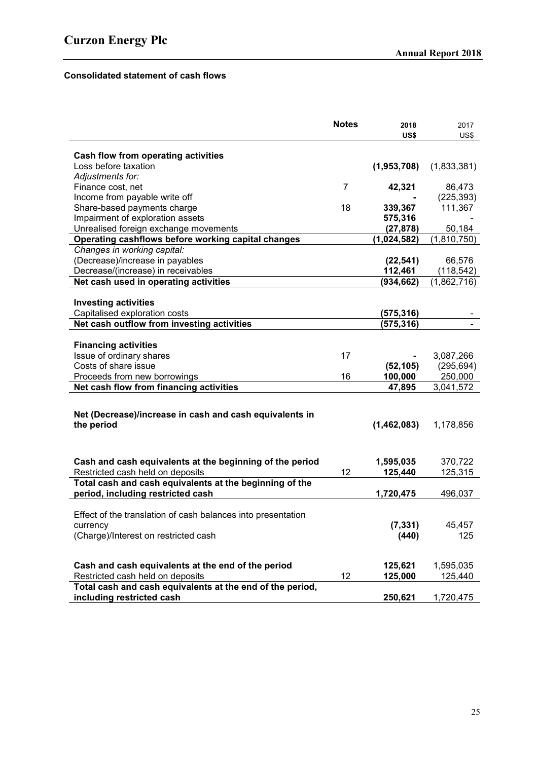## **Consolidated statement of cash flows**

|                                                              | <b>Notes</b> | 2018        | 2017        |
|--------------------------------------------------------------|--------------|-------------|-------------|
|                                                              |              | US\$        | US\$        |
|                                                              |              |             |             |
| Cash flow from operating activities                          |              |             |             |
| Loss before taxation                                         |              | (1,953,708) | (1,833,381) |
| Adjustments for:                                             |              |             |             |
| Finance cost, net                                            | 7            | 42,321      | 86,473      |
| Income from payable write off                                |              |             | (225, 393)  |
| Share-based payments charge                                  | 18           | 339,367     | 111,367     |
| Impairment of exploration assets                             |              | 575,316     |             |
| Unrealised foreign exchange movements                        |              | (27, 878)   | 50,184      |
| Operating cashflows before working capital changes           |              | (1,024,582) | (1,810,750) |
| Changes in working capital:                                  |              |             |             |
| (Decrease)/increase in payables                              |              | (22, 541)   | 66,576      |
| Decrease/(increase) in receivables                           |              | 112,461     | (118,542)   |
| Net cash used in operating activities                        |              | (934, 662)  | (1,862,716) |
|                                                              |              |             |             |
| <b>Investing activities</b>                                  |              |             |             |
| Capitalised exploration costs                                |              | (575, 316)  |             |
| Net cash outflow from investing activities                   |              | (575, 316)  |             |
|                                                              |              |             |             |
| <b>Financing activities</b>                                  |              |             |             |
| Issue of ordinary shares                                     | 17           |             | 3,087,266   |
| Costs of share issue                                         |              | (52, 105)   | (295, 694)  |
| Proceeds from new borrowings                                 | 16           | 100,000     | 250,000     |
| Net cash flow from financing activities                      |              | 47,895      | 3,041,572   |
|                                                              |              |             |             |
|                                                              |              |             |             |
| Net (Decrease)/increase in cash and cash equivalents in      |              |             |             |
| the period                                                   |              | (1,462,083) | 1,178,856   |
|                                                              |              |             |             |
|                                                              |              |             |             |
| Cash and cash equivalents at the beginning of the period     |              | 1,595,035   | 370,722     |
| Restricted cash held on deposits                             | 12           | 125,440     | 125,315     |
| Total cash and cash equivalents at the beginning of the      |              |             |             |
| period, including restricted cash                            |              | 1,720,475   | 496,037     |
|                                                              |              |             |             |
| Effect of the translation of cash balances into presentation |              |             |             |
| currency                                                     |              | (7, 331)    | 45,457      |
| (Charge)/Interest on restricted cash                         |              | (440)       | 125         |
|                                                              |              |             |             |
|                                                              |              |             |             |
| Cash and cash equivalents at the end of the period           |              | 125,621     | 1,595,035   |
| Restricted cash held on deposits                             | 12           | 125,000     | 125,440     |
| Total cash and cash equivalents at the end of the period,    |              |             |             |
| including restricted cash                                    |              | 250,621     | 1,720,475   |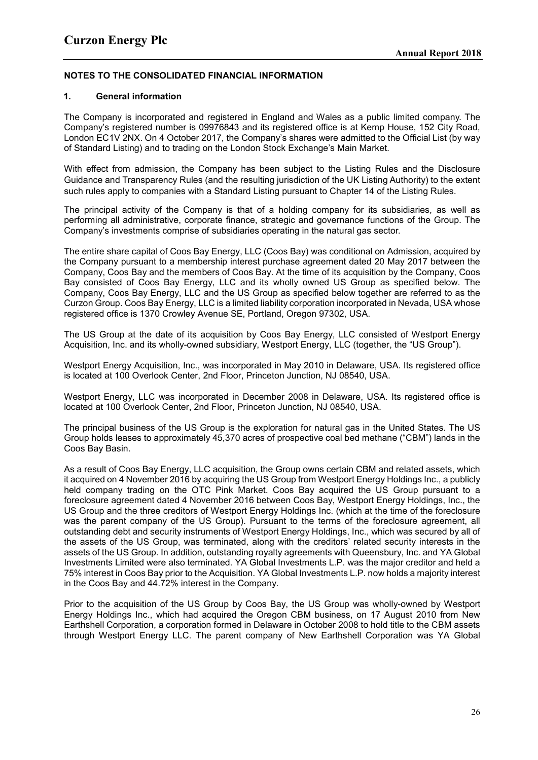## **NOTES TO THE CONSOLIDATED FINANCIAL INFORMATION**

### <span id="page-28-0"></span>**1. General information**

The Company is incorporated and registered in England and Wales as a public limited company. The Company's registered number is 09976843 and its registered office is at Kemp House, 152 City Road, London EC1V 2NX. On 4 October 2017, the Company's shares were admitted to the Official List (by way of Standard Listing) and to trading on the London Stock Exchange's Main Market.

With effect from admission, the Company has been subject to the Listing Rules and the Disclosure Guidance and Transparency Rules (and the resulting jurisdiction of the UK Listing Authority) to the extent such rules apply to companies with a Standard Listing pursuant to Chapter 14 of the Listing Rules.

The principal activity of the Company is that of a holding company for its subsidiaries, as well as performing all administrative, corporate finance, strategic and governance functions of the Group. The Company's investments comprise of subsidiaries operating in the natural gas sector.

The entire share capital of Coos Bay Energy, LLC (Coos Bay) was conditional on Admission, acquired by the Company pursuant to a membership interest purchase agreement dated 20 May 2017 between the Company, Coos Bay and the members of Coos Bay. At the time of its acquisition by the Company, Coos Bay consisted of Coos Bay Energy, LLC and its wholly owned US Group as specified below. The Company, Coos Bay Energy, LLC and the US Group as specified below together are referred to as the Curzon Group. Coos Bay Energy, LLC is a limited liability corporation incorporated in Nevada, USA whose registered office is 1370 Crowley Avenue SE, Portland, Oregon 97302, USA.

The US Group at the date of its acquisition by Coos Bay Energy, LLC consisted of Westport Energy Acquisition, Inc. and its wholly-owned subsidiary, Westport Energy, LLC (together, the "US Group").

Westport Energy Acquisition, Inc., was incorporated in May 2010 in Delaware, USA. Its registered office is located at 100 Overlook Center, 2nd Floor, Princeton Junction, NJ 08540, USA.

Westport Energy, LLC was incorporated in December 2008 in Delaware, USA. Its registered office is located at 100 Overlook Center, 2nd Floor, Princeton Junction, NJ 08540, USA.

The principal business of the US Group is the exploration for natural gas in the United States. The US Group holds leases to approximately 45,370 acres of prospective coal bed methane ("CBM") lands in the Coos Bay Basin.

As a result of Coos Bay Energy, LLC acquisition, the Group owns certain CBM and related assets, which it acquired on 4 November 2016 by acquiring the US Group from Westport Energy Holdings Inc., a publicly held company trading on the OTC Pink Market. Coos Bay acquired the US Group pursuant to a foreclosure agreement dated 4 November 2016 between Coos Bay, Westport Energy Holdings, Inc., the US Group and the three creditors of Westport Energy Holdings Inc. (which at the time of the foreclosure was the parent company of the US Group). Pursuant to the terms of the foreclosure agreement, all outstanding debt and security instruments of Westport Energy Holdings, Inc., which was secured by all of the assets of the US Group, was terminated, along with the creditors' related security interests in the assets of the US Group. In addition, outstanding royalty agreements with Queensbury, Inc. and YA Global Investments Limited were also terminated. YA Global Investments L.P. was the major creditor and held a 75% interest in Coos Bay prior to the Acquisition. YA Global Investments L.P. now holds a majority interest in the Coos Bay and 44.72% interest in the Company.

Prior to the acquisition of the US Group by Coos Bay, the US Group was wholly-owned by Westport Energy Holdings Inc., which had acquired the Oregon CBM business, on 17 August 2010 from New Earthshell Corporation, a corporation formed in Delaware in October 2008 to hold title to the CBM assets through Westport Energy LLC. The parent company of New Earthshell Corporation was YA Global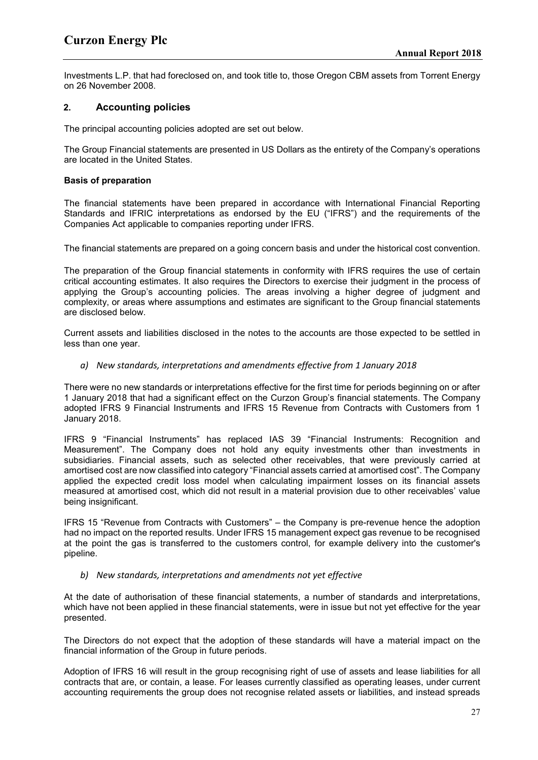Investments L.P. that had foreclosed on, and took title to, those Oregon CBM assets from Torrent Energy on 26 November 2008.

## <span id="page-29-0"></span>**2. Accounting policies**

The principal accounting policies adopted are set out below.

The Group Financial statements are presented in US Dollars as the entirety of the Company's operations are located in the United States.

#### **Basis of preparation**

The financial statements have been prepared in accordance with International Financial Reporting Standards and IFRIC interpretations as endorsed by the EU ("IFRS") and the requirements of the Companies Act applicable to companies reporting under IFRS.

The financial statements are prepared on a going concern basis and under the historical cost convention.

The preparation of the Group financial statements in conformity with IFRS requires the use of certain critical accounting estimates. It also requires the Directors to exercise their judgment in the process of applying the Group's accounting policies. The areas involving a higher degree of judgment and complexity, or areas where assumptions and estimates are significant to the Group financial statements are disclosed below.

Current assets and liabilities disclosed in the notes to the accounts are those expected to be settled in less than one year.

#### *a) New standards, interpretations and amendments effective from 1 January 2018*

There were no new standards or interpretations effective for the first time for periods beginning on or after 1 January 2018 that had a significant effect on the Curzon Group's financial statements. The Company adopted IFRS 9 Financial Instruments and IFRS 15 Revenue from Contracts with Customers from 1 January 2018.

IFRS 9 "Financial Instruments" has replaced IAS 39 "Financial Instruments: Recognition and Measurement". The Company does not hold any equity investments other than investments in subsidiaries. Financial assets, such as selected other receivables, that were previously carried at amortised cost are now classified into category "Financial assets carried at amortised cost". The Company applied the expected credit loss model when calculating impairment losses on its financial assets measured at amortised cost, which did not result in a material provision due to other receivables' value being insignificant.

IFRS 15 "Revenue from Contracts with Customers" – the Company is pre-revenue hence the adoption had no impact on the reported results. Under IFRS 15 management expect gas revenue to be recognised at the point the gas is transferred to the customers control, for example delivery into the customer's pipeline.

#### *b) New standards, interpretations and amendments not yet effective*

At the date of authorisation of these financial statements, a number of standards and interpretations, which have not been applied in these financial statements, were in issue but not yet effective for the year presented.

The Directors do not expect that the adoption of these standards will have a material impact on the financial information of the Group in future periods.

Adoption of IFRS 16 will result in the group recognising right of use of assets and lease liabilities for all contracts that are, or contain, a lease. For leases currently classified as operating leases, under current accounting requirements the group does not recognise related assets or liabilities, and instead spreads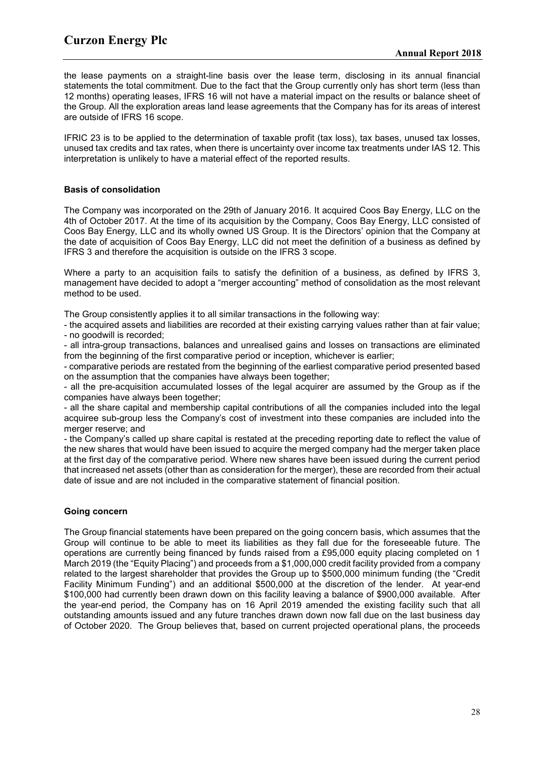the lease payments on a straight-line basis over the lease term, disclosing in its annual financial statements the total commitment. Due to the fact that the Group currently only has short term (less than 12 months) operating leases, IFRS 16 will not have a material impact on the results or balance sheet of the Group. All the exploration areas land lease agreements that the Company has for its areas of interest are outside of IFRS 16 scope.

IFRIC 23 is to be applied to the determination of taxable profit (tax loss), tax bases, unused tax losses, unused tax credits and tax rates, when there is uncertainty over income tax treatments under IAS 12. This interpretation is unlikely to have a material effect of the reported results.

## **Basis of consolidation**

The Company was incorporated on the 29th of January 2016. It acquired Coos Bay Energy, LLC on the 4th of October 2017. At the time of its acquisition by the Company, Coos Bay Energy, LLC consisted of Coos Bay Energy, LLC and its wholly owned US Group. It is the Directors' opinion that the Company at the date of acquisition of Coos Bay Energy, LLC did not meet the definition of a business as defined by IFRS 3 and therefore the acquisition is outside on the IFRS 3 scope.

Where a party to an acquisition fails to satisfy the definition of a business, as defined by IFRS 3, management have decided to adopt a "merger accounting" method of consolidation as the most relevant method to be used.

The Group consistently applies it to all similar transactions in the following way:

- the acquired assets and liabilities are recorded at their existing carrying values rather than at fair value; - no goodwill is recorded;

- all intra-group transactions, balances and unrealised gains and losses on transactions are eliminated from the beginning of the first comparative period or inception, whichever is earlier;

- comparative periods are restated from the beginning of the earliest comparative period presented based on the assumption that the companies have always been together;

- all the pre-acquisition accumulated losses of the legal acquirer are assumed by the Group as if the companies have always been together;

- all the share capital and membership capital contributions of all the companies included into the legal acquiree sub-group less the Company's cost of investment into these companies are included into the merger reserve; and

- the Company's called up share capital is restated at the preceding reporting date to reflect the value of the new shares that would have been issued to acquire the merged company had the merger taken place at the first day of the comparative period. Where new shares have been issued during the current period that increased net assets (other than as consideration for the merger), these are recorded from their actual date of issue and are not included in the comparative statement of financial position.

## **Going concern**

The Group financial statements have been prepared on the going concern basis, which assumes that the Group will continue to be able to meet its liabilities as they fall due for the foreseeable future. The operations are currently being financed by funds raised from a £95,000 equity placing completed on 1 March 2019 (the "Equity Placing") and proceeds from a \$1,000,000 credit facility provided from a company related to the largest shareholder that provides the Group up to \$500,000 minimum funding (the "Credit Facility Minimum Funding") and an additional \$500,000 at the discretion of the lender. At year-end \$100,000 had currently been drawn down on this facility leaving a balance of \$900,000 available. After the year-end period, the Company has on 16 April 2019 amended the existing facility such that all outstanding amounts issued and any future tranches drawn down now fall due on the last business day of October 2020. The Group believes that, based on current projected operational plans, the proceeds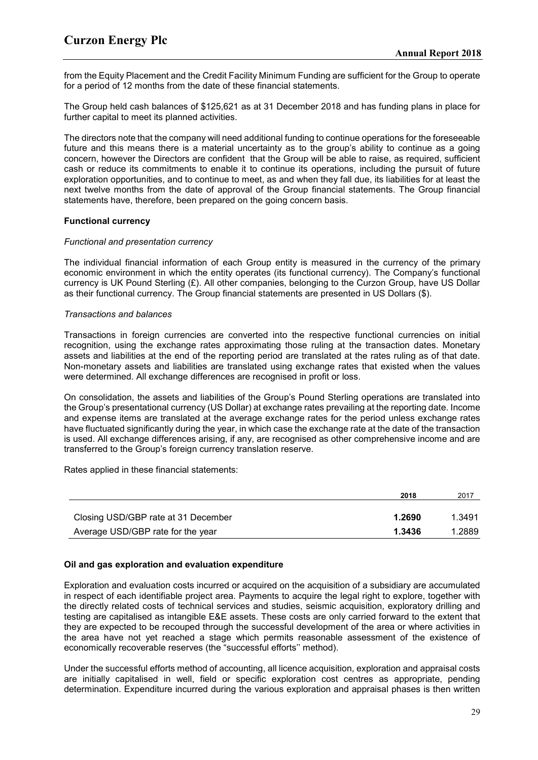from the Equity Placement and the Credit Facility Minimum Funding are sufficient for the Group to operate for a period of 12 months from the date of these financial statements.

The Group held cash balances of \$125,621 as at 31 December 2018 and has funding plans in place for further capital to meet its planned activities.

The directors note that the company will need additional funding to continue operations for the foreseeable future and this means there is a material uncertainty as to the group's ability to continue as a going concern, however the Directors are confident that the Group will be able to raise, as required, sufficient cash or reduce its commitments to enable it to continue its operations, including the pursuit of future exploration opportunities, and to continue to meet, as and when they fall due, its liabilities for at least the next twelve months from the date of approval of the Group financial statements. The Group financial statements have, therefore, been prepared on the going concern basis.

#### **Functional currency**

#### *Functional and presentation currency*

The individual financial information of each Group entity is measured in the currency of the primary economic environment in which the entity operates (its functional currency). The Company's functional currency is UK Pound Sterling (£). All other companies, belonging to the Curzon Group, have US Dollar as their functional currency. The Group financial statements are presented in US Dollars (\$).

#### *Transactions and balances*

Transactions in foreign currencies are converted into the respective functional currencies on initial recognition, using the exchange rates approximating those ruling at the transaction dates. Monetary assets and liabilities at the end of the reporting period are translated at the rates ruling as of that date. Non-monetary assets and liabilities are translated using exchange rates that existed when the values were determined. All exchange differences are recognised in profit or loss.

On consolidation, the assets and liabilities of the Group's Pound Sterling operations are translated into the Group's presentational currency (US Dollar) at exchange rates prevailing at the reporting date. Income and expense items are translated at the average exchange rates for the period unless exchange rates have fluctuated significantly during the year, in which case the exchange rate at the date of the transaction is used. All exchange differences arising, if any, are recognised as other comprehensive income and are transferred to the Group's foreign currency translation reserve.

Rates applied in these financial statements:

|                                     | 2018   | 2017   |
|-------------------------------------|--------|--------|
|                                     |        |        |
| Closing USD/GBP rate at 31 December | 1.2690 | 1.3491 |
| Average USD/GBP rate for the year   | 1.3436 | 1.2889 |

#### **Oil and gas exploration and evaluation expenditure**

Exploration and evaluation costs incurred or acquired on the acquisition of a subsidiary are accumulated in respect of each identifiable project area. Payments to acquire the legal right to explore, together with the directly related costs of technical services and studies, seismic acquisition, exploratory drilling and testing are capitalised as intangible E&E assets. These costs are only carried forward to the extent that they are expected to be recouped through the successful development of the area or where activities in the area have not yet reached a stage which permits reasonable assessment of the existence of economically recoverable reserves (the "successful efforts'' method).

Under the successful efforts method of accounting, all licence acquisition, exploration and appraisal costs are initially capitalised in well, field or specific exploration cost centres as appropriate, pending determination. Expenditure incurred during the various exploration and appraisal phases is then written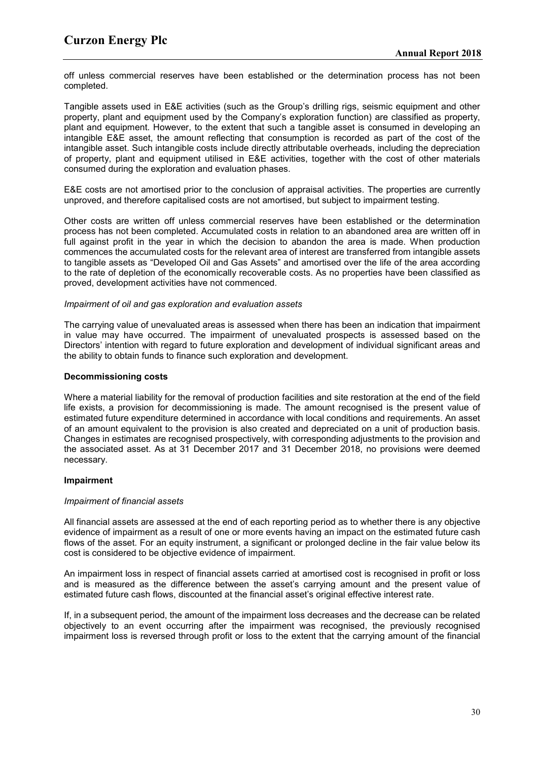off unless commercial reserves have been established or the determination process has not been completed.

Tangible assets used in E&E activities (such as the Group's drilling rigs, seismic equipment and other property, plant and equipment used by the Company's exploration function) are classified as property, plant and equipment. However, to the extent that such a tangible asset is consumed in developing an intangible E&E asset, the amount reflecting that consumption is recorded as part of the cost of the intangible asset. Such intangible costs include directly attributable overheads, including the depreciation of property, plant and equipment utilised in E&E activities, together with the cost of other materials consumed during the exploration and evaluation phases.

E&E costs are not amortised prior to the conclusion of appraisal activities. The properties are currently unproved, and therefore capitalised costs are not amortised, but subject to impairment testing.

Other costs are written off unless commercial reserves have been established or the determination process has not been completed. Accumulated costs in relation to an abandoned area are written off in full against profit in the year in which the decision to abandon the area is made. When production commences the accumulated costs for the relevant area of interest are transferred from intangible assets to tangible assets as "Developed Oil and Gas Assets" and amortised over the life of the area according to the rate of depletion of the economically recoverable costs. As no properties have been classified as proved, development activities have not commenced.

#### *Impairment of oil and gas exploration and evaluation assets*

The carrying value of unevaluated areas is assessed when there has been an indication that impairment in value may have occurred. The impairment of unevaluated prospects is assessed based on the Directors' intention with regard to future exploration and development of individual significant areas and the ability to obtain funds to finance such exploration and development.

#### **Decommissioning costs**

Where a material liability for the removal of production facilities and site restoration at the end of the field life exists, a provision for decommissioning is made. The amount recognised is the present value of estimated future expenditure determined in accordance with local conditions and requirements. An asset of an amount equivalent to the provision is also created and depreciated on a unit of production basis. Changes in estimates are recognised prospectively, with corresponding adjustments to the provision and the associated asset. As at 31 December 2017 and 31 December 2018, no provisions were deemed necessary.

## **Impairment**

#### *Impairment of financial assets*

All financial assets are assessed at the end of each reporting period as to whether there is any objective evidence of impairment as a result of one or more events having an impact on the estimated future cash flows of the asset. For an equity instrument, a significant or prolonged decline in the fair value below its cost is considered to be objective evidence of impairment.

An impairment loss in respect of financial assets carried at amortised cost is recognised in profit or loss and is measured as the difference between the asset's carrying amount and the present value of estimated future cash flows, discounted at the financial asset's original effective interest rate.

If, in a subsequent period, the amount of the impairment loss decreases and the decrease can be related objectively to an event occurring after the impairment was recognised, the previously recognised impairment loss is reversed through profit or loss to the extent that the carrying amount of the financial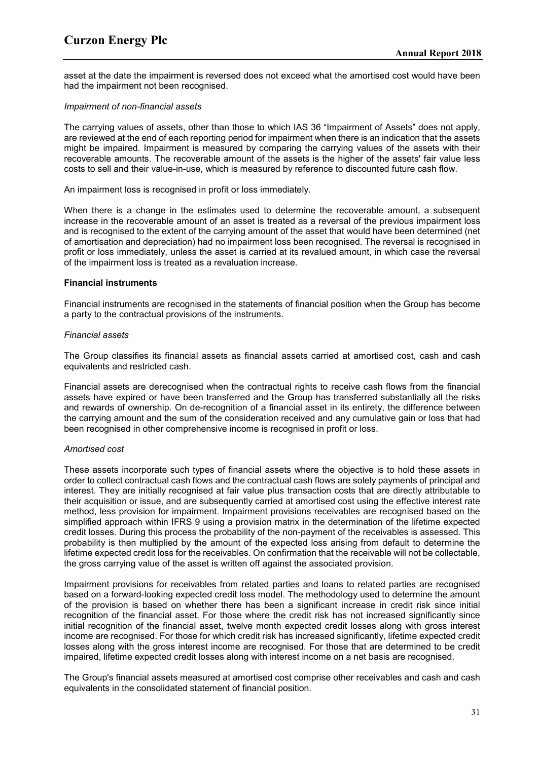asset at the date the impairment is reversed does not exceed what the amortised cost would have been had the impairment not been recognised.

#### *Impairment of non-financial assets*

The carrying values of assets, other than those to which IAS 36 "Impairment of Assets" does not apply, are reviewed at the end of each reporting period for impairment when there is an indication that the assets might be impaired. Impairment is measured by comparing the carrying values of the assets with their recoverable amounts. The recoverable amount of the assets is the higher of the assets' fair value less costs to sell and their value-in-use, which is measured by reference to discounted future cash flow.

An impairment loss is recognised in profit or loss immediately.

When there is a change in the estimates used to determine the recoverable amount, a subsequent increase in the recoverable amount of an asset is treated as a reversal of the previous impairment loss and is recognised to the extent of the carrying amount of the asset that would have been determined (net of amortisation and depreciation) had no impairment loss been recognised. The reversal is recognised in profit or loss immediately, unless the asset is carried at its revalued amount, in which case the reversal of the impairment loss is treated as a revaluation increase.

#### **Financial instruments**

Financial instruments are recognised in the statements of financial position when the Group has become a party to the contractual provisions of the instruments.

#### *Financial assets*

The Group classifies its financial assets as financial assets carried at amortised cost, cash and cash equivalents and restricted cash.

Financial assets are derecognised when the contractual rights to receive cash flows from the financial assets have expired or have been transferred and the Group has transferred substantially all the risks and rewards of ownership. On de-recognition of a financial asset in its entirety, the difference between the carrying amount and the sum of the consideration received and any cumulative gain or loss that had been recognised in other comprehensive income is recognised in profit or loss.

#### *Amortised cost*

These assets incorporate such types of financial assets where the objective is to hold these assets in order to collect contractual cash flows and the contractual cash flows are solely payments of principal and interest. They are initially recognised at fair value plus transaction costs that are directly attributable to their acquisition or issue, and are subsequently carried at amortised cost using the effective interest rate method, less provision for impairment. Impairment provisions receivables are recognised based on the simplified approach within IFRS 9 using a provision matrix in the determination of the lifetime expected credit losses. During this process the probability of the non-payment of the receivables is assessed. This probability is then multiplied by the amount of the expected loss arising from default to determine the lifetime expected credit loss for the receivables. On confirmation that the receivable will not be collectable, the gross carrying value of the asset is written off against the associated provision.

Impairment provisions for receivables from related parties and loans to related parties are recognised based on a forward-looking expected credit loss model. The methodology used to determine the amount of the provision is based on whether there has been a significant increase in credit risk since initial recognition of the financial asset. For those where the credit risk has not increased significantly since initial recognition of the financial asset, twelve month expected credit losses along with gross interest income are recognised. For those for which credit risk has increased significantly, lifetime expected credit losses along with the gross interest income are recognised. For those that are determined to be credit impaired, lifetime expected credit losses along with interest income on a net basis are recognised.

The Group's financial assets measured at amortised cost comprise other receivables and cash and cash equivalents in the consolidated statement of financial position.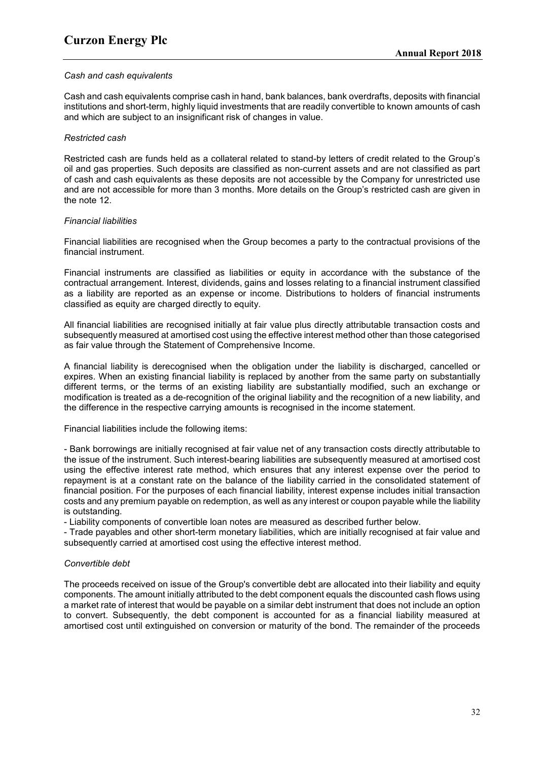#### *Cash and cash equivalents*

Cash and cash equivalents comprise cash in hand, bank balances, bank overdrafts, deposits with financial institutions and short-term, highly liquid investments that are readily convertible to known amounts of cash and which are subject to an insignificant risk of changes in value.

#### *Restricted cash*

Restricted cash are funds held as a collateral related to stand-by letters of credit related to the Group's oil and gas properties. Such deposits are classified as non-current assets and are not classified as part of cash and cash equivalents as these deposits are not accessible by the Company for unrestricted use and are not accessible for more than 3 months. More details on the Group's restricted cash are given in the note [12.](#page-44-0)

#### *Financial liabilities*

Financial liabilities are recognised when the Group becomes a party to the contractual provisions of the financial instrument.

Financial instruments are classified as liabilities or equity in accordance with the substance of the contractual arrangement. Interest, dividends, gains and losses relating to a financial instrument classified as a liability are reported as an expense or income. Distributions to holders of financial instruments classified as equity are charged directly to equity.

All financial liabilities are recognised initially at fair value plus directly attributable transaction costs and subsequently measured at amortised cost using the effective interest method other than those categorised as fair value through the Statement of Comprehensive Income.

A financial liability is derecognised when the obligation under the liability is discharged, cancelled or expires. When an existing financial liability is replaced by another from the same party on substantially different terms, or the terms of an existing liability are substantially modified, such an exchange or modification is treated as a de-recognition of the original liability and the recognition of a new liability, and the difference in the respective carrying amounts is recognised in the income statement.

Financial liabilities include the following items:

- Bank borrowings are initially recognised at fair value net of any transaction costs directly attributable to the issue of the instrument. Such interest-bearing liabilities are subsequently measured at amortised cost using the effective interest rate method, which ensures that any interest expense over the period to repayment is at a constant rate on the balance of the liability carried in the consolidated statement of financial position. For the purposes of each financial liability, interest expense includes initial transaction costs and any premium payable on redemption, as well as any interest or coupon payable while the liability is outstanding.

- Liability components of convertible loan notes are measured as described further below.

- Trade payables and other short-term monetary liabilities, which are initially recognised at fair value and subsequently carried at amortised cost using the effective interest method.

## *Convertible debt*

The proceeds received on issue of the Group's convertible debt are allocated into their liability and equity components. The amount initially attributed to the debt component equals the discounted cash flows using a market rate of interest that would be payable on a similar debt instrument that does not include an option to convert. Subsequently, the debt component is accounted for as a financial liability measured at amortised cost until extinguished on conversion or maturity of the bond. The remainder of the proceeds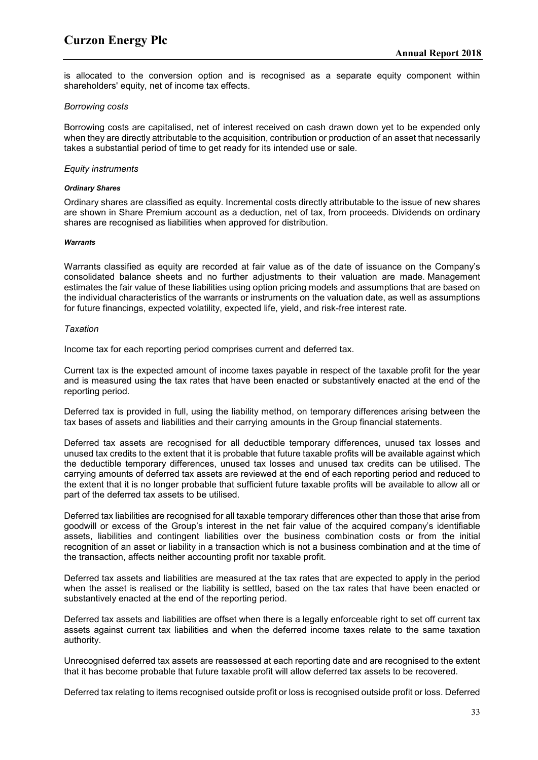is allocated to the conversion option and is recognised as a separate equity component within shareholders' equity, net of income tax effects.

#### *Borrowing costs*

Borrowing costs are capitalised, net of interest received on cash drawn down yet to be expended only when they are directly attributable to the acquisition, contribution or production of an asset that necessarily takes a substantial period of time to get ready for its intended use or sale.

#### *Equity instruments*

#### *Ordinary Shares*

Ordinary shares are classified as equity. Incremental costs directly attributable to the issue of new shares are shown in Share Premium account as a deduction, net of tax, from proceeds. Dividends on ordinary shares are recognised as liabilities when approved for distribution.

#### *Warrants*

Warrants classified as equity are recorded at fair value as of the date of issuance on the Company's consolidated balance sheets and no further adjustments to their valuation are made. Management estimates the fair value of these liabilities using option pricing models and assumptions that are based on the individual characteristics of the warrants or instruments on the valuation date, as well as assumptions for future financings, expected volatility, expected life, yield, and risk-free interest rate.

#### *Taxation*

Income tax for each reporting period comprises current and deferred tax.

Current tax is the expected amount of income taxes payable in respect of the taxable profit for the year and is measured using the tax rates that have been enacted or substantively enacted at the end of the reporting period.

Deferred tax is provided in full, using the liability method, on temporary differences arising between the tax bases of assets and liabilities and their carrying amounts in the Group financial statements.

Deferred tax assets are recognised for all deductible temporary differences, unused tax losses and unused tax credits to the extent that it is probable that future taxable profits will be available against which the deductible temporary differences, unused tax losses and unused tax credits can be utilised. The carrying amounts of deferred tax assets are reviewed at the end of each reporting period and reduced to the extent that it is no longer probable that sufficient future taxable profits will be available to allow all or part of the deferred tax assets to be utilised.

Deferred tax liabilities are recognised for all taxable temporary differences other than those that arise from goodwill or excess of the Group's interest in the net fair value of the acquired company's identifiable assets, liabilities and contingent liabilities over the business combination costs or from the initial recognition of an asset or liability in a transaction which is not a business combination and at the time of the transaction, affects neither accounting profit nor taxable profit.

Deferred tax assets and liabilities are measured at the tax rates that are expected to apply in the period when the asset is realised or the liability is settled, based on the tax rates that have been enacted or substantively enacted at the end of the reporting period.

Deferred tax assets and liabilities are offset when there is a legally enforceable right to set off current tax assets against current tax liabilities and when the deferred income taxes relate to the same taxation authority.

Unrecognised deferred tax assets are reassessed at each reporting date and are recognised to the extent that it has become probable that future taxable profit will allow deferred tax assets to be recovered.

Deferred tax relating to items recognised outside profit or loss is recognised outside profit or loss. Deferred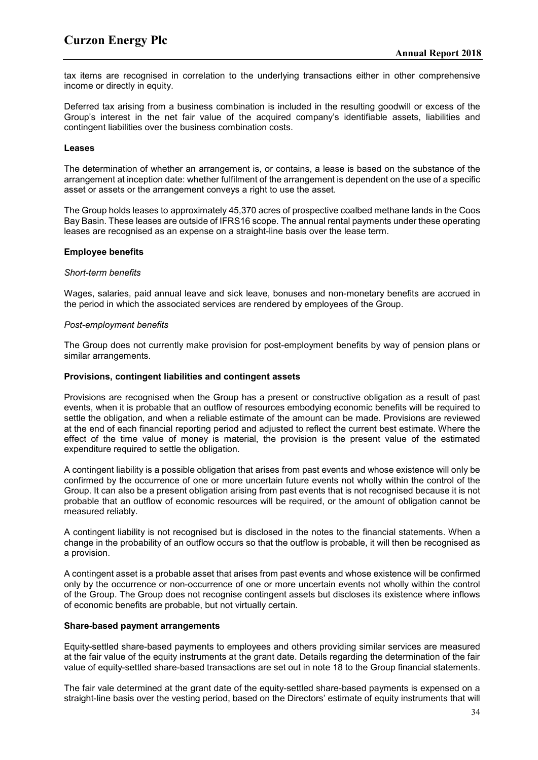tax items are recognised in correlation to the underlying transactions either in other comprehensive income or directly in equity.

Deferred tax arising from a business combination is included in the resulting goodwill or excess of the Group's interest in the net fair value of the acquired company's identifiable assets, liabilities and contingent liabilities over the business combination costs.

#### **Leases**

The determination of whether an arrangement is, or contains, a lease is based on the substance of the arrangement at inception date: whether fulfilment of the arrangement is dependent on the use of a specific asset or assets or the arrangement conveys a right to use the asset.

The Group holds leases to approximately 45,370 acres of prospective coalbed methane lands in the Coos Bay Basin. These leases are outside of IFRS16 scope. The annual rental payments under these operating leases are recognised as an expense on a straight-line basis over the lease term.

### **Employee benefits**

#### *Short-term benefits*

Wages, salaries, paid annual leave and sick leave, bonuses and non-monetary benefits are accrued in the period in which the associated services are rendered by employees of the Group.

#### *Post-employment benefits*

The Group does not currently make provision for post-employment benefits by way of pension plans or similar arrangements.

#### **Provisions, contingent liabilities and contingent assets**

Provisions are recognised when the Group has a present or constructive obligation as a result of past events, when it is probable that an outflow of resources embodying economic benefits will be required to settle the obligation, and when a reliable estimate of the amount can be made. Provisions are reviewed at the end of each financial reporting period and adjusted to reflect the current best estimate. Where the effect of the time value of money is material, the provision is the present value of the estimated expenditure required to settle the obligation.

A contingent liability is a possible obligation that arises from past events and whose existence will only be confirmed by the occurrence of one or more uncertain future events not wholly within the control of the Group. It can also be a present obligation arising from past events that is not recognised because it is not probable that an outflow of economic resources will be required, or the amount of obligation cannot be measured reliably.

A contingent liability is not recognised but is disclosed in the notes to the financial statements. When a change in the probability of an outflow occurs so that the outflow is probable, it will then be recognised as a provision.

A contingent asset is a probable asset that arises from past events and whose existence will be confirmed only by the occurrence or non-occurrence of one or more uncertain events not wholly within the control of the Group. The Group does not recognise contingent assets but discloses its existence where inflows of economic benefits are probable, but not virtually certain.

#### **Share-based payment arrangements**

Equity-settled share-based payments to employees and others providing similar services are measured at the fair value of the equity instruments at the grant date. Details regarding the determination of the fair value of equity-settled share-based transactions are set out in note [18](#page-47-0) to the Group financial statements.

The fair vale determined at the grant date of the equity-settled share-based payments is expensed on a straight-line basis over the vesting period, based on the Directors' estimate of equity instruments that will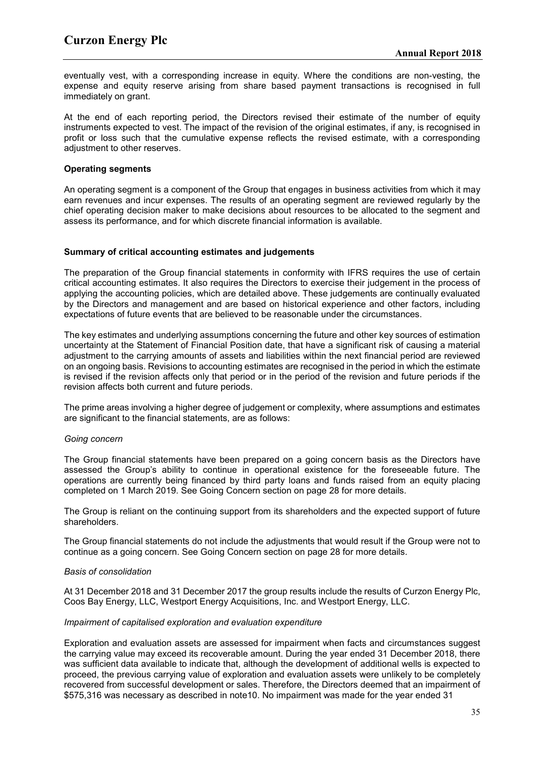eventually vest, with a corresponding increase in equity. Where the conditions are non-vesting, the expense and equity reserve arising from share based payment transactions is recognised in full immediately on grant.

At the end of each reporting period, the Directors revised their estimate of the number of equity instruments expected to vest. The impact of the revision of the original estimates, if any, is recognised in profit or loss such that the cumulative expense reflects the revised estimate, with a corresponding adiustment to other reserves.

#### **Operating segments**

An operating segment is a component of the Group that engages in business activities from which it may earn revenues and incur expenses. The results of an operating segment are reviewed regularly by the chief operating decision maker to make decisions about resources to be allocated to the segment and assess its performance, and for which discrete financial information is available.

#### **Summary of critical accounting estimates and judgements**

The preparation of the Group financial statements in conformity with IFRS requires the use of certain critical accounting estimates. It also requires the Directors to exercise their judgement in the process of applying the accounting policies, which are detailed above. These judgements are continually evaluated by the Directors and management and are based on historical experience and other factors, including expectations of future events that are believed to be reasonable under the circumstances.

The key estimates and underlying assumptions concerning the future and other key sources of estimation uncertainty at the Statement of Financial Position date, that have a significant risk of causing a material adjustment to the carrying amounts of assets and liabilities within the next financial period are reviewed on an ongoing basis. Revisions to accounting estimates are recognised in the period in which the estimate is revised if the revision affects only that period or in the period of the revision and future periods if the revision affects both current and future periods.

The prime areas involving a higher degree of judgement or complexity, where assumptions and estimates are significant to the financial statements, are as follows:

#### *Going concern*

The Group financial statements have been prepared on a going concern basis as the Directors have assessed the Group's ability to continue in operational existence for the foreseeable future. The operations are currently being financed by third party loans and funds raised from an equity placing completed on 1 March 2019. See Going Concern section on page 28 for more details.

The Group is reliant on the continuing support from its shareholders and the expected support of future shareholders.

The Group financial statements do not include the adjustments that would result if the Group were not to continue as a going concern. See Going Concern section on page 28 for more details.

#### *Basis of consolidation*

At 31 December 2018 and 31 December 2017 the group results include the results of Curzon Energy Plc, Coos Bay Energy, LLC, Westport Energy Acquisitions, Inc. and Westport Energy, LLC.

#### *Impairment of capitalised exploration and evaluation expenditure*

Exploration and evaluation assets are assessed for impairment when facts and circumstances suggest the carrying value may exceed its recoverable amount. During the year ended 31 December 2018, there was sufficient data available to indicate that, although the development of additional wells is expected to proceed, the previous carrying value of exploration and evaluation assets were unlikely to be completely recovered from successful development or sales. Therefore, the Directors deemed that an impairment of \$575,316 was necessary as described in note10. No impairment was made for the year ended 31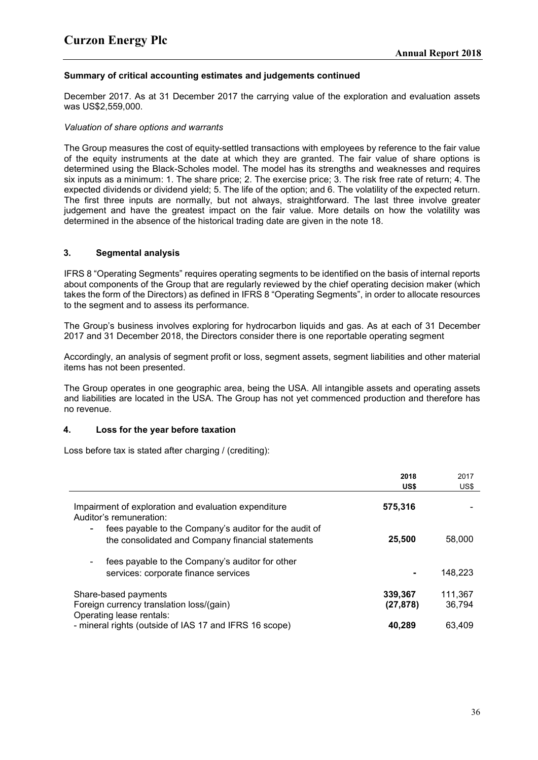## **Summary of critical accounting estimates and judgements continued**

December 2017. As at 31 December 2017 the carrying value of the exploration and evaluation assets was US\$2,559,000.

#### *Valuation of share options and warrants*

The Group measures the cost of equity-settled transactions with employees by reference to the fair value of the equity instruments at the date at which they are granted. The fair value of share options is determined using the Black-Scholes model. The model has its strengths and weaknesses and requires six inputs as a minimum: 1. The share price; 2. The exercise price; 3. The risk free rate of return; 4. The expected dividends or dividend yield; 5. The life of the option; and 6. The volatility of the expected return. The first three inputs are normally, but not always, straightforward. The last three involve greater judgement and have the greatest impact on the fair value. More details on how the volatility was determined in the absence of the historical trading date are given in the note [18.](#page-47-0)

#### **3. Segmental analysis**

IFRS 8 "Operating Segments" requires operating segments to be identified on the basis of internal reports about components of the Group that are regularly reviewed by the chief operating decision maker (which takes the form of the Directors) as defined in IFRS 8 "Operating Segments", in order to allocate resources to the segment and to assess its performance.

The Group's business involves exploring for hydrocarbon liquids and gas. As at each of 31 December 2017 and 31 December 2018, the Directors consider there is one reportable operating segment

Accordingly, an analysis of segment profit or loss, segment assets, segment liabilities and other material items has not been presented.

The Group operates in one geographic area, being the USA. All intangible assets and operating assets and liabilities are located in the USA. The Group has not yet commenced production and therefore has no revenue.

## **4. Loss for the year before taxation**

Loss before tax is stated after charging / (crediting):

|                                                                                                                  | 2018<br>US\$ | 2017<br>US\$ |
|------------------------------------------------------------------------------------------------------------------|--------------|--------------|
|                                                                                                                  |              |              |
| Impairment of exploration and evaluation expenditure<br>Auditor's remuneration:                                  | 575,316      |              |
| fees payable to the Company's auditor for the audit of<br>۰<br>the consolidated and Company financial statements | 25,500       | 58,000       |
| fees payable to the Company's auditor for other<br>$\blacksquare$                                                |              |              |
| services: corporate finance services                                                                             |              | 148.223      |
| Share-based payments                                                                                             | 339,367      | 111,367      |
| Foreign currency translation loss/(gain)                                                                         | (27, 878)    | 36.794       |
| Operating lease rentals:<br>- mineral rights (outside of IAS 17 and IFRS 16 scope)                               | 40.289       | 63.409       |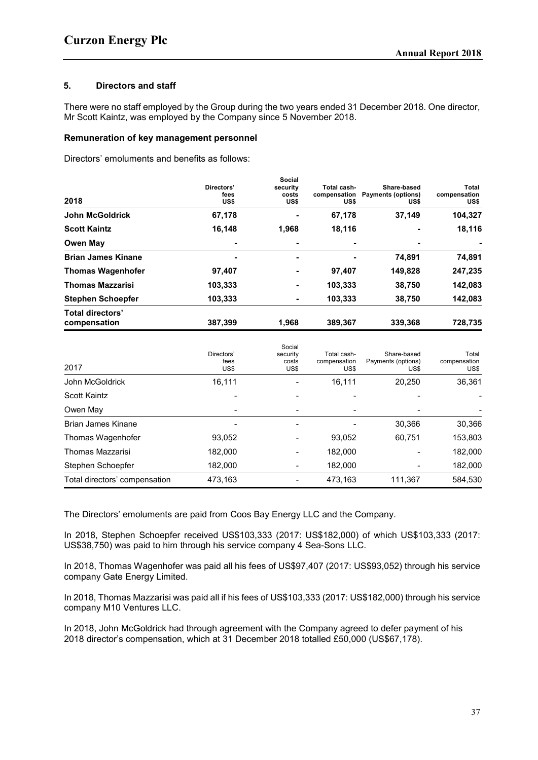## <span id="page-39-0"></span>**5. Directors and staff**

There were no staff employed by the Group during the two years ended 31 December 2018. One director, Mr Scott Kaintz, was employed by the Company since 5 November 2018.

## **Remuneration of key management personnel**

Directors' emoluments and benefits as follows:

| 2018                             | Directors'<br>fees<br>US\$ | Social<br>security<br>costs<br>US\$ | Total cash-<br>compensation<br>US\$ | Share-based<br><b>Payments (options)</b><br>US\$ | <b>Total</b><br>compensation<br>US\$ |
|----------------------------------|----------------------------|-------------------------------------|-------------------------------------|--------------------------------------------------|--------------------------------------|
| <b>John McGoldrick</b>           | 67,178                     |                                     | 67,178                              | 37,149                                           | 104,327                              |
| <b>Scott Kaintz</b>              | 16,148                     | 1,968                               | 18,116                              | ۰                                                | 18,116                               |
| Owen May                         | ٠                          |                                     |                                     |                                                  |                                      |
| <b>Brian James Kinane</b>        |                            | $\overline{\phantom{0}}$            |                                     | 74,891                                           | 74,891                               |
| <b>Thomas Wagenhofer</b>         | 97,407                     |                                     | 97,407                              | 149,828                                          | 247,235                              |
| <b>Thomas Mazzarisi</b>          | 103,333                    | ٠                                   | 103,333                             | 38,750                                           | 142,083                              |
| <b>Stephen Schoepfer</b>         | 103,333                    |                                     | 103,333                             | 38,750                                           | 142,083                              |
| Total directors'<br>compensation | 387,399                    | 1,968                               | 389,367                             | 339,368                                          | 728,735                              |

| 2017                          | Directors'<br>fees<br>US\$ | Social<br>security<br>costs<br>US\$ | Total cash-<br>compensation<br>US\$ | Share-based<br>Payments (options)<br>US\$ | Total<br>compensation<br>US\$ |
|-------------------------------|----------------------------|-------------------------------------|-------------------------------------|-------------------------------------------|-------------------------------|
| John McGoldrick               | 16,111                     |                                     | 16,111                              | 20,250                                    | 36,361                        |
| <b>Scott Kaintz</b>           |                            |                                     |                                     |                                           |                               |
| Owen May                      |                            |                                     |                                     |                                           |                               |
| Brian James Kinane            |                            |                                     |                                     | 30.366                                    | 30,366                        |
| Thomas Wagenhofer             | 93.052                     |                                     | 93.052                              | 60.751                                    | 153,803                       |
| Thomas Mazzarisi              | 182,000                    |                                     | 182,000                             |                                           | 182,000                       |
| Stephen Schoepfer             | 182,000                    |                                     | 182,000                             |                                           | 182,000                       |
| Total directors' compensation | 473,163                    |                                     | 473.163                             | 111.367                                   | 584,530                       |

The Directors' emoluments are paid from Coos Bay Energy LLC and the Company.

In 2018, Stephen Schoepfer received US\$103,333 (2017: US\$182,000) of which US\$103,333 (2017: US\$38,750) was paid to him through his service company 4 Sea-Sons LLC.

In 2018, Thomas Wagenhofer was paid all his fees of US\$97,407 (2017: US\$93,052) through his service company Gate Energy Limited.

In 2018, Thomas Mazzarisi was paid all if his fees of US\$103,333 (2017: US\$182,000) through his service company M10 Ventures LLC.

In 2018, John McGoldrick had through agreement with the Company agreed to defer payment of his 2018 director's compensation, which at 31 December 2018 totalled £50,000 (US\$67,178).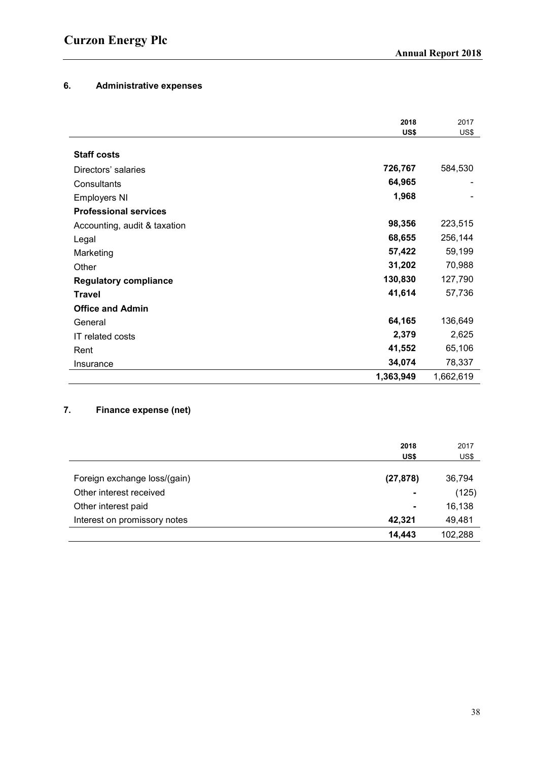## **6. Administrative expenses**

|                              | 2018      | 2017      |
|------------------------------|-----------|-----------|
|                              | US\$      | US\$      |
| <b>Staff costs</b>           |           |           |
| Directors' salaries          | 726,767   | 584,530   |
| Consultants                  | 64,965    |           |
| <b>Employers NI</b>          | 1,968     |           |
| <b>Professional services</b> |           |           |
| Accounting, audit & taxation | 98,356    | 223,515   |
| Legal                        | 68,655    | 256,144   |
| Marketing                    | 57,422    | 59,199    |
| Other                        | 31,202    | 70,988    |
| <b>Regulatory compliance</b> | 130,830   | 127,790   |
| <b>Travel</b>                | 41,614    | 57,736    |
| <b>Office and Admin</b>      |           |           |
| General                      | 64,165    | 136,649   |
| IT related costs             | 2,379     | 2,625     |
| Rent                         | 41,552    | 65,106    |
| Insurance                    | 34,074    | 78,337    |
|                              | 1,363,949 | 1,662,619 |

## **7. Finance expense (net)**

|                              | 2018<br>US\$   | 2017<br>US\$ |
|------------------------------|----------------|--------------|
| Foreign exchange loss/(gain) | (27, 878)      | 36,794       |
| Other interest received      | $\blacksquare$ | (125)        |
| Other interest paid          | $\blacksquare$ | 16,138       |
| Interest on promissory notes | 42,321         | 49,481       |
|                              | 14,443         | 102,288      |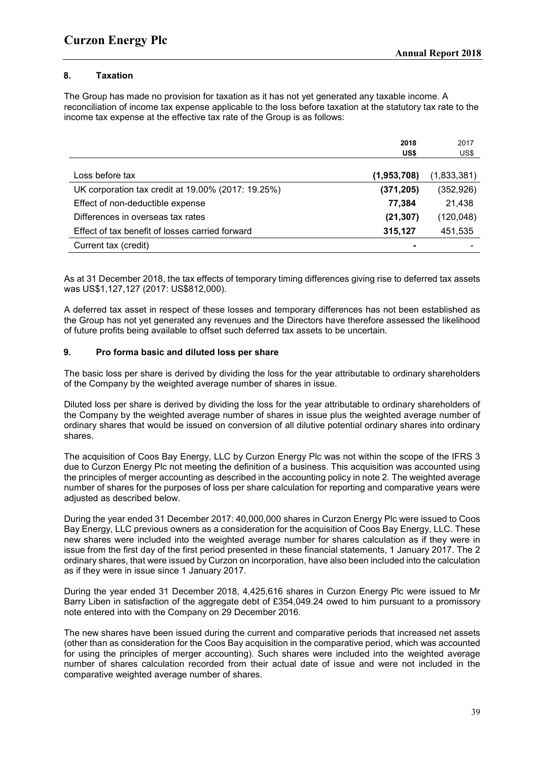## **8. Taxation**

The Group has made no provision for taxation as it has not yet generated any taxable income. A reconciliation of income tax expense applicable to the loss before taxation at the statutory tax rate to the income tax expense at the effective tax rate of the Group is as follows:

|                                                    | 2018        | 2017        |
|----------------------------------------------------|-------------|-------------|
|                                                    | US\$        | US\$        |
|                                                    |             |             |
| Loss before tax                                    | (1,953,708) | (1,833,381) |
| UK corporation tax credit at 19.00% (2017: 19.25%) | (371, 205)  | (352, 926)  |
| Effect of non-deductible expense                   | 77,384      | 21,438      |
| Differences in overseas tax rates                  | (21, 307)   | (120, 048)  |
| Effect of tax benefit of losses carried forward    | 315,127     | 451,535     |
| Current tax (credit)                               |             |             |

As at 31 December 2018, the tax effects of temporary timing differences giving rise to deferred tax assets was US\$1,127,127 (2017: US\$812,000).

A deferred tax asset in respect of these losses and temporary differences has not been established as the Group has not yet generated any revenues and the Directors have therefore assessed the likelihood of future profits being available to offset such deferred tax assets to be uncertain.

## **9. Pro forma basic and diluted loss per share**

The basic loss per share is derived by dividing the loss for the year attributable to ordinary shareholders of the Company by the weighted average number of shares in issue.

Diluted loss per share is derived by dividing the loss for the year attributable to ordinary shareholders of the Company by the weighted average number of shares in issue plus the weighted average number of ordinary shares that would be issued on conversion of all dilutive potential ordinary shares into ordinary shares.

The acquisition of Coos Bay Energy, LLC by Curzon Energy Plc was not within the scope of the IFRS 3 due to Curzon Energy Plc not meeting the definition of a business. This acquisition was accounted using the principles of merger accounting as described in the accounting policy in note 2. The weighted average number of shares for the purposes of loss per share calculation for reporting and comparative years were adjusted as described below.

During the year ended 31 December 2017: 40,000,000 shares in Curzon Energy Plc were issued to Coos Bay Energy, LLC previous owners as a consideration for the acquisition of Coos Bay Energy, LLC. These new shares were included into the weighted average number for shares calculation as if they were in issue from the first day of the first period presented in these financial statements, 1 January 2017. The 2 ordinary shares, that were issued by Curzon on incorporation, have also been included into the calculation as if they were in issue since 1 January 2017.

During the year ended 31 December 2018, 4,425,616 shares in Curzon Energy Plc were issued to Mr Barry Liben in satisfaction of the aggregate debt of £354,049.24 owed to him pursuant to a promissory note entered into with the Company on 29 December 2016.

The new shares have been issued during the current and comparative periods that increased net assets (other than as consideration for the Coos Bay acquisition in the comparative period, which was accounted for using the principles of merger accounting). Such shares were included into the weighted average number of shares calculation recorded from their actual date of issue and were not included in the comparative weighted average number of shares.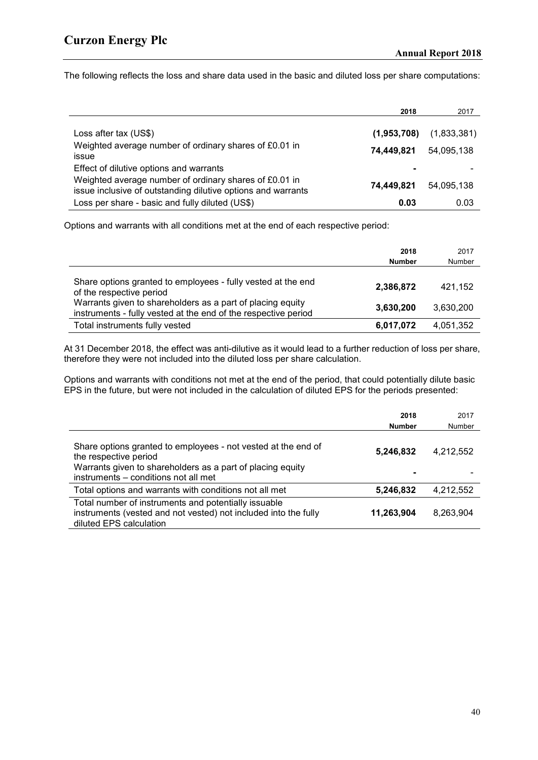The following reflects the loss and share data used in the basic and diluted loss per share computations:

|                                                                                                                        | 2018        | 2017        |
|------------------------------------------------------------------------------------------------------------------------|-------------|-------------|
|                                                                                                                        |             |             |
| Loss after tax (US\$)                                                                                                  | (1,953,708) | (1,833,381) |
| Weighted average number of ordinary shares of £0.01 in<br>issue                                                        | 74,449,821  | 54,095,138  |
| Effect of dilutive options and warrants                                                                                |             |             |
| Weighted average number of ordinary shares of £0.01 in<br>issue inclusive of outstanding dilutive options and warrants | 74,449,821  | 54,095,138  |
| Loss per share - basic and fully diluted (US\$)                                                                        | 0.03        | 0.03        |

Options and warrants with all conditions met at the end of each respective period:

|                                                                                                                              | 2018<br><b>Number</b> | 2017<br>Number |
|------------------------------------------------------------------------------------------------------------------------------|-----------------------|----------------|
|                                                                                                                              |                       |                |
| Share options granted to employees - fully vested at the end<br>of the respective period                                     | 2,386,872             | 421.152        |
| Warrants given to shareholders as a part of placing equity<br>instruments - fully vested at the end of the respective period | 3,630,200             | 3,630,200      |
| Total instruments fully vested                                                                                               | 6,017,072             | 4,051,352      |

At 31 December 2018, the effect was anti-dilutive as it would lead to a further reduction of loss per share, therefore they were not included into the diluted loss per share calculation.

Options and warrants with conditions not met at the end of the period, that could potentially dilute basic EPS in the future, but were not included in the calculation of diluted EPS for the periods presented:

|                                                                                                                                                                                              | 2018          | 2017      |
|----------------------------------------------------------------------------------------------------------------------------------------------------------------------------------------------|---------------|-----------|
|                                                                                                                                                                                              | <b>Number</b> | Number    |
| Share options granted to employees - not vested at the end of<br>the respective period<br>Warrants given to shareholders as a part of placing equity<br>instruments - conditions not all met | 5,246,832     | 4,212,552 |
| Total options and warrants with conditions not all met                                                                                                                                       | 5,246,832     | 4,212,552 |
| Total number of instruments and potentially issuable<br>instruments (vested and not vested) not included into the fully<br>diluted EPS calculation                                           | 11,263,904    | 8.263.904 |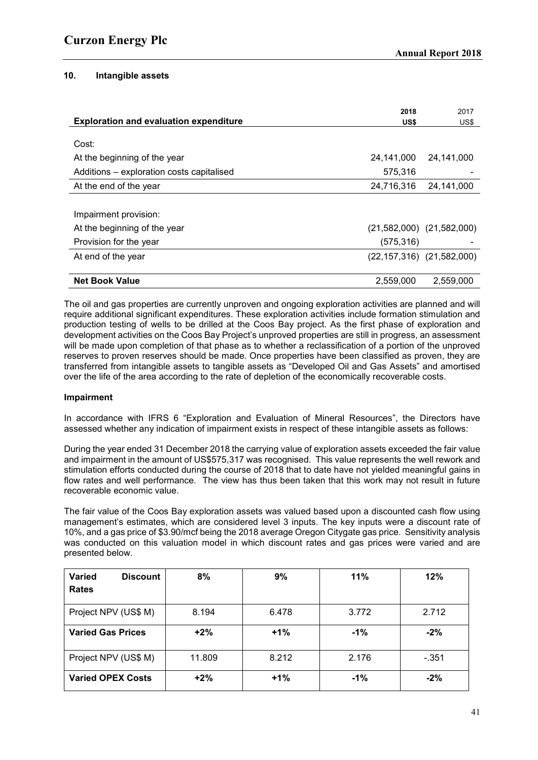### **10. Intangible assets**

| <b>Exploration and evaluation expenditure</b> | 2018<br>US\$ | 2017<br>US\$                      |
|-----------------------------------------------|--------------|-----------------------------------|
| Cost:                                         |              |                                   |
| At the beginning of the year                  | 24,141,000   | 24,141,000                        |
| Additions - exploration costs capitalised     | 575,316      |                                   |
| At the end of the year                        | 24,716,316   | 24,141,000                        |
|                                               |              |                                   |
| Impairment provision:                         |              |                                   |
| At the beginning of the year                  |              | $(21,582,000)$ $(21,582,000)$     |
| Provision for the year                        | (575, 316)   |                                   |
| At end of the year                            |              | $(22, 157, 316)$ $(21, 582, 000)$ |
| <b>Net Book Value</b>                         | 2,559,000    | 2,559,000                         |

The oil and gas properties are currently unproven and ongoing exploration activities are planned and will require additional significant expenditures. These exploration activities include formation stimulation and production testing of wells to be drilled at the Coos Bay project. As the first phase of exploration and development activities on the Coos Bay Project's unproved properties are still in progress, an assessment will be made upon completion of that phase as to whether a reclassification of a portion of the unproved reserves to proven reserves should be made. Once properties have been classified as proven, they are transferred from intangible assets to tangible assets as "Developed Oil and Gas Assets" and amortised over the life of the area according to the rate of depletion of the economically recoverable costs.

#### **Impairment**

In accordance with IFRS 6 "Exploration and Evaluation of Mineral Resources", the Directors have assessed whether any indication of impairment exists in respect of these intangible assets as follows:

During the year ended 31 December 2018 the carrying value of exploration assets exceeded the fair value and impairment in the amount of US\$575,317 was recognised. This value represents the well rework and stimulation efforts conducted during the course of 2018 that to date have not yielded meaningful gains in flow rates and well performance. The view has thus been taken that this work may not result in future recoverable economic value.

The fair value of the Coos Bay exploration assets was valued based upon a discounted cash flow using management's estimates, which are considered level 3 inputs. The key inputs were a discount rate of 10%, and a gas price of \$3.90/mcf being the 2018 average Oregon Citygate gas price. Sensitivity analysis was conducted on this valuation model in which discount rates and gas prices were varied and are presented below.

| Varied<br><b>Discount</b> | 8%     | 9%    | 11%   | 12%     |
|---------------------------|--------|-------|-------|---------|
| <b>Rates</b>              |        |       |       |         |
| Project NPV (US\$ M)      | 8.194  | 6.478 | 3.772 | 2.712   |
| <b>Varied Gas Prices</b>  | $+2%$  | $+1%$ | $-1%$ | $-2%$   |
| Project NPV (US\$ M)      | 11.809 | 8.212 | 2.176 | $-.351$ |
| <b>Varied OPEX Costs</b>  | $+2%$  | $+1%$ | $-1%$ | $-2%$   |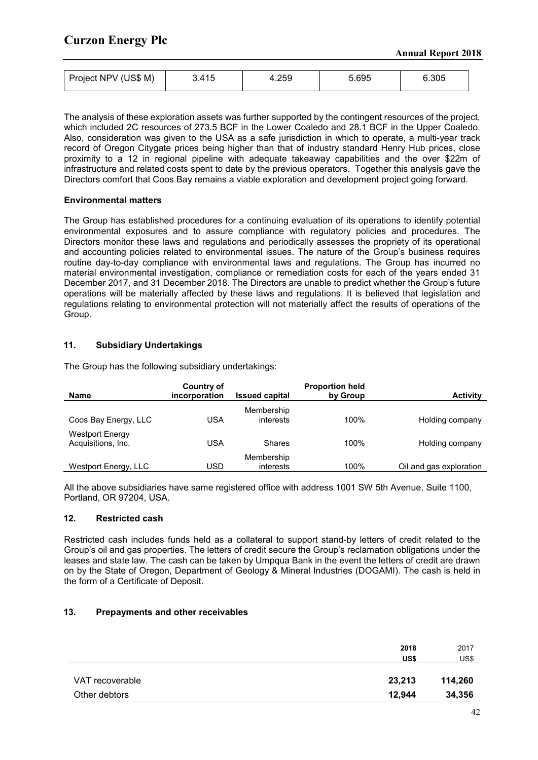| M)<br><b>Project NPV</b><br>415<br>(US\$<br>ں ، + ن | 4.259 | 5.695 | 6.305 |
|-----------------------------------------------------|-------|-------|-------|
|-----------------------------------------------------|-------|-------|-------|

The analysis of these exploration assets was further supported by the contingent resources of the project, which included 2C resources of 273.5 BCF in the Lower Coaledo and 28.1 BCF in the Upper Coaledo. Also, consideration was given to the USA as a safe jurisdiction in which to operate, a multi-year track record of Oregon Citygate prices being higher than that of industry standard Henry Hub prices, close proximity to a 12 in regional pipeline with adequate takeaway capabilities and the over \$22m of infrastructure and related costs spent to date by the previous operators. Together this analysis gave the Directors comfort that Coos Bay remains a viable exploration and development project going forward.

#### **Environmental matters**

The Group has established procedures for a continuing evaluation of its operations to identify potential environmental exposures and to assure compliance with regulatory policies and procedures. The Directors monitor these laws and regulations and periodically assesses the propriety of its operational and accounting policies related to environmental issues. The nature of the Group's business requires routine day-to-day compliance with environmental laws and regulations. The Group has incurred no material environmental investigation, compliance or remediation costs for each of the years ended 31 December 2017, and 31 December 2018. The Directors are unable to predict whether the Group's future operations will be materially affected by these laws and regulations. It is believed that legislation and regulations relating to environmental protection will not materially affect the results of operations of the Group.

## **11. Subsidiary Undertakings**

| <b>Name</b>                                  | Country of<br>incorporation | <b>Issued capital</b>   | <b>Proportion held</b><br>by Group | <b>Activity</b>         |
|----------------------------------------------|-----------------------------|-------------------------|------------------------------------|-------------------------|
| Coos Bay Energy, LLC                         | USA                         | Membership<br>interests | 100%                               | Holding company         |
| <b>Westport Energy</b><br>Acquisitions, Inc. | USA                         | <b>Shares</b>           | 100%                               | Holding company         |
| Westport Energy, LLC                         | USD                         | Membership<br>interests | 100%                               | Oil and gas exploration |

The Group has the following subsidiary undertakings:

All the above subsidiaries have same registered office with address 1001 SW 5th Avenue, Suite 1100, Portland, OR 97204, USA.

#### <span id="page-44-0"></span>**12. Restricted cash**

Restricted cash includes funds held as a collateral to support stand-by letters of credit related to the Group's oil and gas properties. The letters of credit secure the Group's reclamation obligations under the leases and state law. The cash can be taken by Umpqua Bank in the event the letters of credit are drawn on by the State of Oregon, Department of Geology & Mineral Industries (DOGAMI). The cash is held in the form of a Certificate of Deposit.

## **13. Prepayments and other receivables**

|                 | 2018   | 2017    |
|-----------------|--------|---------|
|                 | US\$   | US\$    |
|                 |        |         |
| VAT recoverable | 23,213 | 114,260 |
| Other debtors   | 12,944 | 34,356  |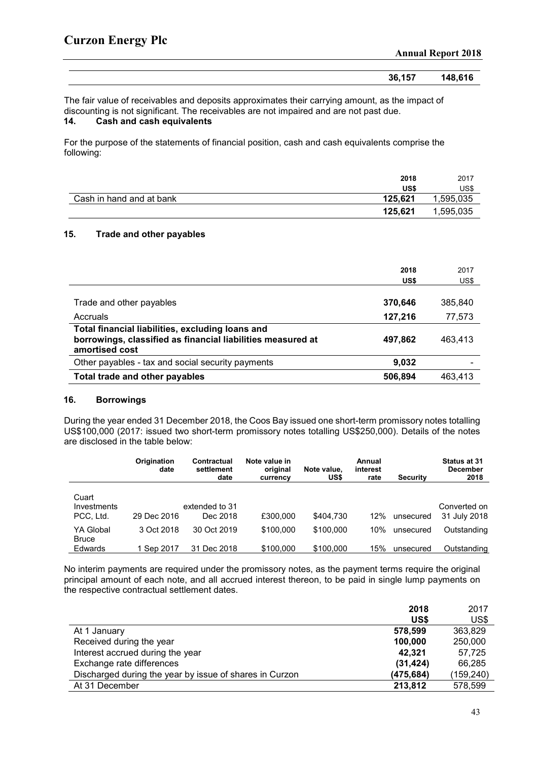| 36,157 | 148,616 |
|--------|---------|

The fair value of receivables and deposits approximates their carrying amount, as the impact of discounting is not significant. The receivables are not impaired and are not past due.

## **14. Cash and cash equivalents**

For the purpose of the statements of financial position, cash and cash equivalents comprise the following:

|                          | 2018    | 2017      |
|--------------------------|---------|-----------|
|                          | US\$    | US\$      |
| Cash in hand and at bank | 125.621 | 1,595,035 |
|                          | 125.621 | 1,595,035 |

## **15. Trade and other payables**

|                                                                                                                                   | 2018<br>US\$ | 2017<br>US\$ |
|-----------------------------------------------------------------------------------------------------------------------------------|--------------|--------------|
| Trade and other payables                                                                                                          | 370,646      | 385.840      |
| Accruals                                                                                                                          | 127,216      | 77,573       |
| Total financial liabilities, excluding loans and<br>borrowings, classified as financial liabilities measured at<br>amortised cost | 497,862      | 463,413      |
| Other payables - tax and social security payments                                                                                 | 9,032        |              |
| Total trade and other payables                                                                                                    | 506,894      | 463.413      |

## <span id="page-45-0"></span>**16. Borrowings**

During the year ended 31 December 2018, the Coos Bay issued one short-term promissory notes totalling US\$100,000 (2017: issued two short-term promissory notes totalling US\$250,000). Details of the notes are disclosed in the table below:

|                                      | Origination<br>date      | Contractual<br>settlement<br>date | Note value in<br>original<br>currency | Note value.<br>US\$    | Annual<br>interest<br>rate | <b>Security</b>        | Status at 31<br><b>December</b><br>2018 |
|--------------------------------------|--------------------------|-----------------------------------|---------------------------------------|------------------------|----------------------------|------------------------|-----------------------------------------|
| Cuart<br>Investments<br>PCC, Ltd.    | 29 Dec 2016              | extended to 31<br>Dec 2018        | £300,000                              | \$404.730              | 12%                        | unsecured              | Converted on<br>31 July 2018            |
| YA Global<br><b>Bruce</b><br>Edwards | 3 Oct 2018<br>1 Sep 2017 | 30 Oct 2019<br>31 Dec 2018        | \$100,000<br>\$100,000                | \$100,000<br>\$100,000 | 10%<br>15%                 | unsecured<br>unsecured | Outstanding<br>Outstanding              |

No interim payments are required under the promissory notes, as the payment terms require the original principal amount of each note, and all accrued interest thereon, to be paid in single lump payments on the respective contractual settlement dates.

|                                                         | 2018      | 2017       |
|---------------------------------------------------------|-----------|------------|
|                                                         | US\$      | US\$       |
| At 1 January                                            | 578,599   | 363,829    |
| Received during the year                                | 100,000   | 250,000    |
| Interest accrued during the year                        | 42.321    | 57.725     |
| Exchange rate differences                               | (31, 424) | 66,285     |
| Discharged during the year by issue of shares in Curzon | (475,684) | (159, 240) |
| At 31 December                                          | 213,812   | 578,599    |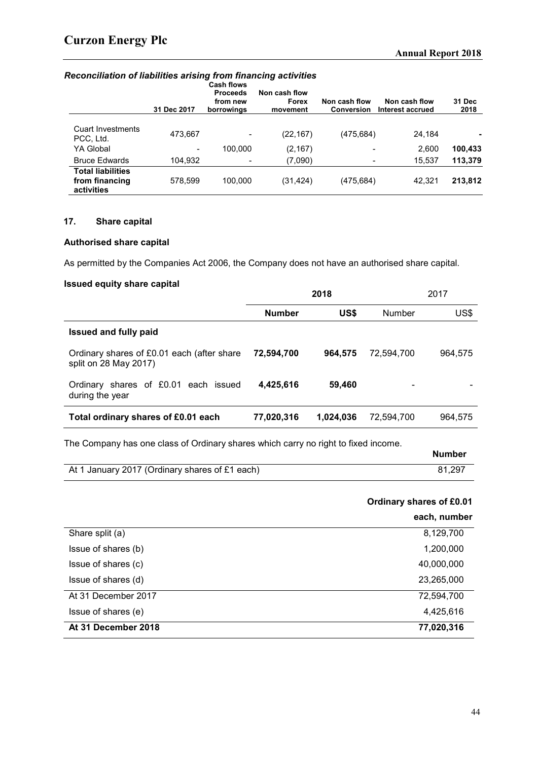# **Curzon Energy Plc Curzon Energy Plc Annual Report 2018**

|                                                          | 31 Dec 2017              | ີ<br>Cash flows<br><b>Proceeds</b><br>from new<br>borrowings | Non cash flow<br>Forex<br>movement | Non cash flow<br><b>Conversion</b> | Non cash flow<br>Interest accrued | 31 Dec<br>2018 |
|----------------------------------------------------------|--------------------------|--------------------------------------------------------------|------------------------------------|------------------------------------|-----------------------------------|----------------|
| <b>Cuart Investments</b><br>PCC, Ltd.                    | 473,667                  |                                                              | (22,167)                           | (475,684)                          | 24,184                            | ٠              |
| YA Global                                                | $\overline{\phantom{a}}$ | 100.000                                                      | (2, 167)                           | ۰                                  | 2,600                             | 100,433        |
| <b>Bruce Edwards</b>                                     | 104,932                  | $\overline{\phantom{a}}$                                     | (7,090)                            |                                    | 15.537                            | 113,379        |
| <b>Total liabilities</b><br>from financing<br>activities | 578,599                  | 100,000                                                      | (31,424)                           | (475,684)                          | 42,321                            | 213,812        |

## *Reconciliation of liabilities arising from financing activities*

## <span id="page-46-0"></span>**17. Share capital**

## **Authorised share capital**

As permitted by the Companies Act 2006, the Company does not have an authorised share capital.

## **Issued equity share capital**

|                                                                     |               | 2018      |               | 2017    |
|---------------------------------------------------------------------|---------------|-----------|---------------|---------|
|                                                                     | <b>Number</b> | US\$      | <b>Number</b> | US\$    |
| <b>Issued and fully paid</b>                                        |               |           |               |         |
| Ordinary shares of £0.01 each (after share<br>split on 28 May 2017) | 72,594,700    | 964,575   | 72,594,700    | 964,575 |
| Ordinary shares of £0.01 each issued<br>during the year             | 4,425,616     | 59,460    | -             |         |
| Total ordinary shares of £0.01 each                                 | 77,020,316    | 1,024,036 | 72,594,700    | 964,575 |
|                                                                     |               |           |               |         |

The Company has one class of Ordinary shares which carry no right to fixed income.

|                                                | Number |
|------------------------------------------------|--------|
| At 1 January 2017 (Ordinary shares of £1 each) | 81.297 |

#### **Ordinary shares of £0.01**

|                     | each, number |
|---------------------|--------------|
| Share split (a)     | 8,129,700    |
| Issue of shares (b) | 1,200,000    |
| Issue of shares (c) | 40,000,000   |
| Issue of shares (d) | 23,265,000   |
| At 31 December 2017 | 72,594,700   |
| Issue of shares (e) | 4,425,616    |
| At 31 December 2018 | 77,020,316   |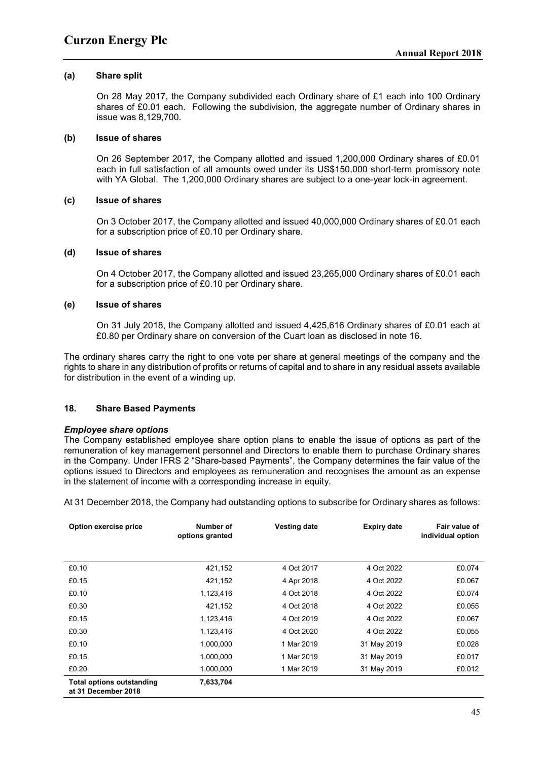#### **(a) Share split**

On 28 May 2017, the Company subdivided each Ordinary share of £1 each into 100 Ordinary shares of £0.01 each. Following the subdivision, the aggregate number of Ordinary shares in issue was 8,129,700.

### **(b) Issue of shares**

On 26 September 2017, the Company allotted and issued 1,200,000 Ordinary shares of £0.01 each in full satisfaction of all amounts owed under its US\$150,000 short-term promissory note with YA Global. The 1,200,000 Ordinary shares are subject to a one-year lock-in agreement.

## **(c) Issue of shares**

On 3 October 2017, the Company allotted and issued 40,000,000 Ordinary shares of £0.01 each for a subscription price of £0.10 per Ordinary share.

#### **(d) Issue of shares**

On 4 October 2017, the Company allotted and issued 23,265,000 Ordinary shares of £0.01 each for a subscription price of £0.10 per Ordinary share.

#### **(e) Issue of shares**

On 31 July 2018, the Company allotted and issued 4,425,616 Ordinary shares of £0.01 each at £0.80 per Ordinary share on conversion of the Cuart loan as disclosed in note 16.

The ordinary shares carry the right to one vote per share at general meetings of the company and the rights to share in any distribution of profits or returns of capital and to share in any residual assets available for distribution in the event of a winding up.

## <span id="page-47-0"></span>**18. Share Based Payments**

#### *Employee share options*

The Company established employee share option plans to enable the issue of options as part of the remuneration of key management personnel and Directors to enable them to purchase Ordinary shares in the Company. Under IFRS 2 "Share-based Payments", the Company determines the fair value of the options issued to Directors and employees as remuneration and recognises the amount as an expense in the statement of income with a corresponding increase in equity.

At 31 December 2018, the Company had outstanding options to subscribe for Ordinary shares as follows:

| Option exercise price                                   | Number of<br>options granted | <b>Vesting date</b> | <b>Expiry date</b> | Fair value of<br>individual option |
|---------------------------------------------------------|------------------------------|---------------------|--------------------|------------------------------------|
|                                                         |                              |                     |                    |                                    |
| £0.10                                                   | 421,152                      | 4 Oct 2017          | 4 Oct 2022         | £0.074                             |
| £0.15                                                   | 421,152                      | 4 Apr 2018          | 4 Oct 2022         | £0.067                             |
| £0.10                                                   | 1,123,416                    | 4 Oct 2018          | 4 Oct 2022         | £0.074                             |
| £0.30                                                   | 421,152                      | 4 Oct 2018          | 4 Oct 2022         | £0.055                             |
| £0.15                                                   | 1,123,416                    | 4 Oct 2019          | 4 Oct 2022         | £0.067                             |
| £0.30                                                   | 1,123,416                    | 4 Oct 2020          | 4 Oct 2022         | £0.055                             |
| £0.10                                                   | 1,000,000                    | 1 Mar 2019          | 31 May 2019        | £0.028                             |
| £0.15                                                   | 1,000,000                    | 1 Mar 2019          | 31 May 2019        | £0.017                             |
| £0.20                                                   | 1,000,000                    | 1 Mar 2019          | 31 May 2019        | £0.012                             |
| <b>Total options outstanding</b><br>at 31 December 2018 | 7,633,704                    |                     |                    |                                    |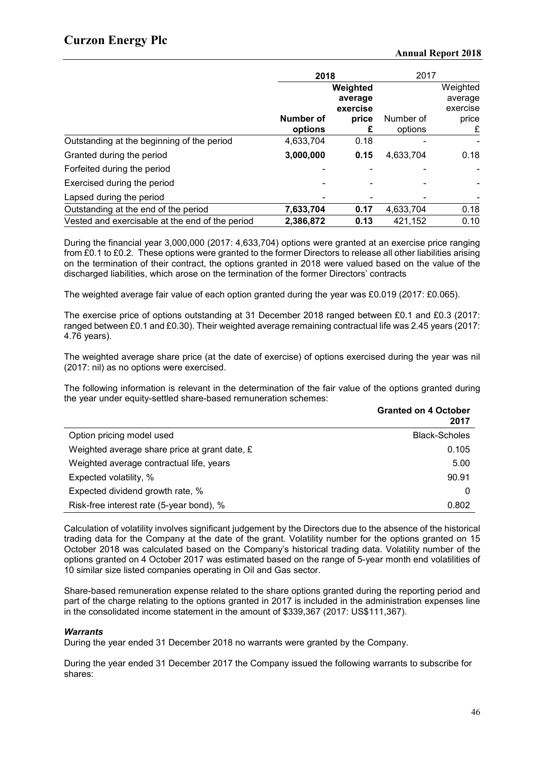|                                                 | 2018                            |            | 2017                 |                                 |
|-------------------------------------------------|---------------------------------|------------|----------------------|---------------------------------|
|                                                 | Weighted<br>average<br>exercise |            |                      | Weighted<br>average<br>exercise |
|                                                 | Number of<br>options            | price<br>£ | Number of<br>options | price<br>£                      |
| Outstanding at the beginning of the period      | 4,633,704                       | 0.18       |                      |                                 |
| Granted during the period                       | 3,000,000                       | 0.15       | 4,633,704            | 0.18                            |
| Forfeited during the period                     |                                 |            |                      |                                 |
| Exercised during the period                     |                                 |            |                      |                                 |
| Lapsed during the period                        |                                 |            |                      |                                 |
| Outstanding at the end of the period            | 7,633,704                       | 0.17       | 4,633,704            | 0.18                            |
| Vested and exercisable at the end of the period | 2,386,872                       | 0.13       | 421,152              | 0.10                            |

During the financial year 3,000,000 (2017: 4,633,704) options were granted at an exercise price ranging from £0.1 to £0.2. These options were granted to the former Directors to release all other liabilities arising on the termination of their contract, the options granted in 2018 were valued based on the value of the discharged liabilities, which arose on the termination of the former Directors' contracts

The weighted average fair value of each option granted during the year was £0.019 (2017: £0.065).

The exercise price of options outstanding at 31 December 2018 ranged between £0.1 and £0.3 (2017: ranged between £0.1 and £0.30). Their weighted average remaining contractual life was 2.45 years (2017: 4.76 years).

The weighted average share price (at the date of exercise) of options exercised during the year was nil (2017: nil) as no options were exercised.

The following information is relevant in the determination of the fair value of the options granted during the year under equity-settled share-based remuneration schemes:

|                                               | <b>Granted on 4 October</b><br>2017 |
|-----------------------------------------------|-------------------------------------|
| Option pricing model used                     | <b>Black-Scholes</b>                |
| Weighted average share price at grant date, £ | 0.105                               |
| Weighted average contractual life, years      | 5.00                                |
| Expected volatility, %                        | 90.91                               |
| Expected dividend growth rate, %              | 0                                   |
| Risk-free interest rate (5-year bond), %      | 0.802                               |

Calculation of volatility involves significant judgement by the Directors due to the absence of the historical trading data for the Company at the date of the grant. Volatility number for the options granted on 15 October 2018 was calculated based on the Company's historical trading data. Volatility number of the options granted on 4 October 2017 was estimated based on the range of 5-year month end volatilities of 10 similar size listed companies operating in Oil and Gas sector.

Share-based remuneration expense related to the share options granted during the reporting period and part of the charge relating to the options granted in 2017 is included in the administration expenses line in the consolidated income statement in the amount of \$339,367 (2017: US\$111,367).

## *Warrants*

During the year ended 31 December 2018 no warrants were granted by the Company.

During the year ended 31 December 2017 the Company issued the following warrants to subscribe for shares: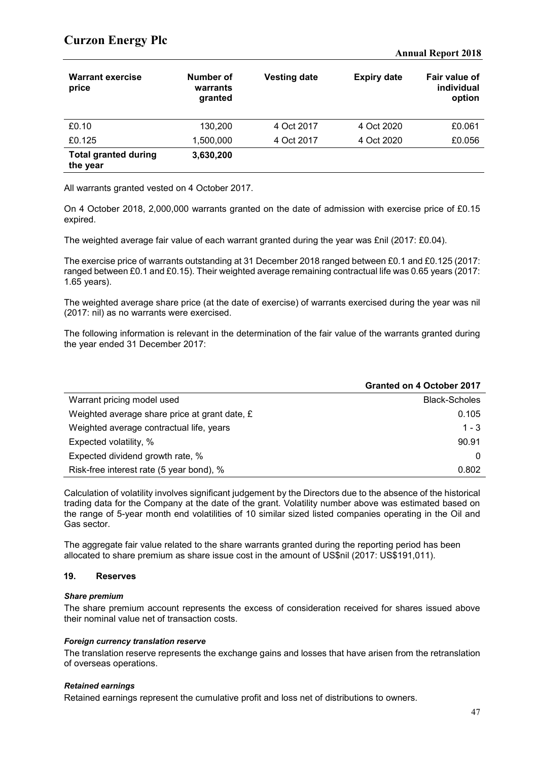# **Curzon Energy Plc** Annual Report 2018

| <b>Warrant exercise</b><br>price        | Number of<br>warrants<br>granted | <b>Vesting date</b> | <b>Expiry date</b> | Fair value of<br>individual<br>option |
|-----------------------------------------|----------------------------------|---------------------|--------------------|---------------------------------------|
| £0.10                                   | 130.200                          | 4 Oct 2017          | 4 Oct 2020         | £0.061                                |
| £0.125                                  | 1.500.000                        | 4 Oct 2017          | 4 Oct 2020         | £0.056                                |
| <b>Total granted during</b><br>the year | 3,630,200                        |                     |                    |                                       |

All warrants granted vested on 4 October 2017.

On 4 October 2018, 2,000,000 warrants granted on the date of admission with exercise price of £0.15 expired.

The weighted average fair value of each warrant granted during the year was £nil (2017: £0.04).

The exercise price of warrants outstanding at 31 December 2018 ranged between £0.1 and £0.125 (2017: ranged between £0.1 and £0.15). Their weighted average remaining contractual life was 0.65 years (2017: 1.65 years).

The weighted average share price (at the date of exercise) of warrants exercised during the year was nil (2017: nil) as no warrants were exercised.

The following information is relevant in the determination of the fair value of the warrants granted during the year ended 31 December 2017:

|                                               | <b>Granted on 4 October 2017</b> |
|-----------------------------------------------|----------------------------------|
| Warrant pricing model used                    | <b>Black-Scholes</b>             |
| Weighted average share price at grant date, £ | 0.105                            |
| Weighted average contractual life, years      | $1 - 3$                          |
| Expected volatility, %                        | 90.91                            |
| Expected dividend growth rate, %              | 0                                |
| Risk-free interest rate (5 year bond), %      | 0.802                            |

Calculation of volatility involves significant judgement by the Directors due to the absence of the historical trading data for the Company at the date of the grant. Volatility number above was estimated based on the range of 5-year month end volatilities of 10 similar sized listed companies operating in the Oil and Gas sector.

The aggregate fair value related to the share warrants granted during the reporting period has been allocated to share premium as share issue cost in the amount of US\$nil (2017: US\$191,011).

#### **19. Reserves**

#### *Share premium*

The share premium account represents the excess of consideration received for shares issued above their nominal value net of transaction costs.

#### *Foreign currency translation reserve*

The translation reserve represents the exchange gains and losses that have arisen from the retranslation of overseas operations.

#### *Retained earnings*

Retained earnings represent the cumulative profit and loss net of distributions to owners.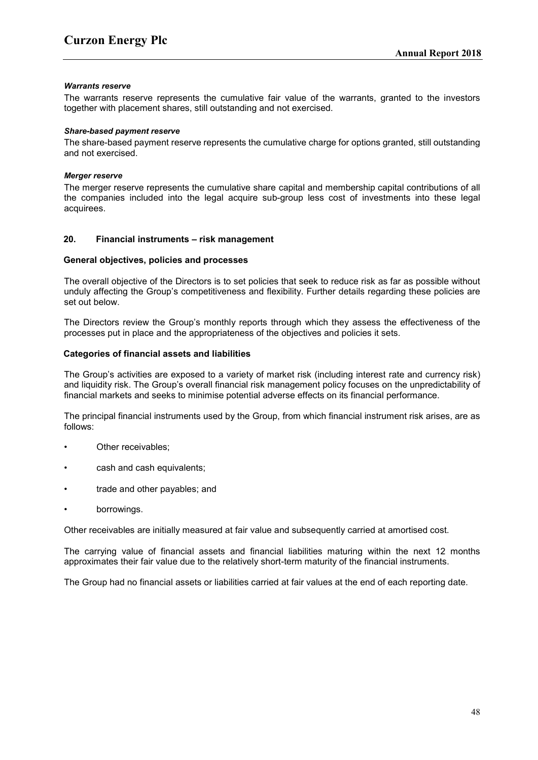#### *Warrants reserve*

The warrants reserve represents the cumulative fair value of the warrants, granted to the investors together with placement shares, still outstanding and not exercised.

#### *Share-based payment reserve*

The share-based payment reserve represents the cumulative charge for options granted, still outstanding and not exercised.

#### *Merger reserve*

The merger reserve represents the cumulative share capital and membership capital contributions of all the companies included into the legal acquire sub-group less cost of investments into these legal acquirees.

#### <span id="page-50-0"></span>**20. Financial instruments – risk management**

#### **General objectives, policies and processes**

The overall objective of the Directors is to set policies that seek to reduce risk as far as possible without unduly affecting the Group's competitiveness and flexibility. Further details regarding these policies are set out below.

The Directors review the Group's monthly reports through which they assess the effectiveness of the processes put in place and the appropriateness of the objectives and policies it sets.

#### **Categories of financial assets and liabilities**

The Group's activities are exposed to a variety of market risk (including interest rate and currency risk) and liquidity risk. The Group's overall financial risk management policy focuses on the unpredictability of financial markets and seeks to minimise potential adverse effects on its financial performance.

The principal financial instruments used by the Group, from which financial instrument risk arises, are as follows:

- Other receivables:
- cash and cash equivalents;
- trade and other payables; and
- borrowings.

Other receivables are initially measured at fair value and subsequently carried at amortised cost.

The carrying value of financial assets and financial liabilities maturing within the next 12 months approximates their fair value due to the relatively short-term maturity of the financial instruments.

The Group had no financial assets or liabilities carried at fair values at the end of each reporting date.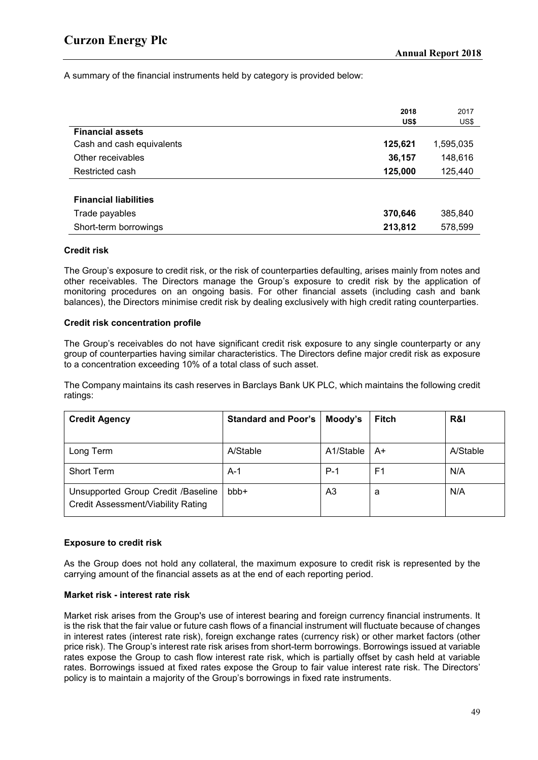A summary of the financial instruments held by category is provided below:

|                              | 2018    | 2017      |
|------------------------------|---------|-----------|
|                              | US\$    | US\$      |
| <b>Financial assets</b>      |         |           |
| Cash and cash equivalents    | 125,621 | 1,595,035 |
| Other receivables            | 36,157  | 148,616   |
| Restricted cash              | 125,000 | 125,440   |
|                              |         |           |
| <b>Financial liabilities</b> |         |           |
| Trade payables               | 370,646 | 385,840   |
| Short-term borrowings        | 213,812 | 578,599   |

### **Credit risk**

The Group's exposure to credit risk, or the risk of counterparties defaulting, arises mainly from notes and other receivables. The Directors manage the Group's exposure to credit risk by the application of monitoring procedures on an ongoing basis. For other financial assets (including cash and bank balances), the Directors minimise credit risk by dealing exclusively with high credit rating counterparties.

#### **Credit risk concentration profile**

The Group's receivables do not have significant credit risk exposure to any single counterparty or any group of counterparties having similar characteristics. The Directors define major credit risk as exposure to a concentration exceeding 10% of a total class of such asset.

The Company maintains its cash reserves in Barclays Bank UK PLC, which maintains the following credit ratings:

| <b>Credit Agency</b>                                                     | <b>Standard and Poor's</b> | Moody's   | <b>Fitch</b>   | R&I      |
|--------------------------------------------------------------------------|----------------------------|-----------|----------------|----------|
| Long Term                                                                | A/Stable                   | A1/Stable | A+             | A/Stable |
| <b>Short Term</b>                                                        | $A-1$                      | $P-1$     | F <sub>1</sub> | N/A      |
| Unsupported Group Credit /Baseline<br>Credit Assessment/Viability Rating | $bbb+$                     | A3        | a              | N/A      |

#### **Exposure to credit risk**

As the Group does not hold any collateral, the maximum exposure to credit risk is represented by the carrying amount of the financial assets as at the end of each reporting period.

#### **Market risk - interest rate risk**

Market risk arises from the Group's use of interest bearing and foreign currency financial instruments. It is the risk that the fair value or future cash flows of a financial instrument will fluctuate because of changes in interest rates (interest rate risk), foreign exchange rates (currency risk) or other market factors (other price risk). The Group's interest rate risk arises from short-term borrowings. Borrowings issued at variable rates expose the Group to cash flow interest rate risk, which is partially offset by cash held at variable rates. Borrowings issued at fixed rates expose the Group to fair value interest rate risk. The Directors' policy is to maintain a majority of the Group's borrowings in fixed rate instruments.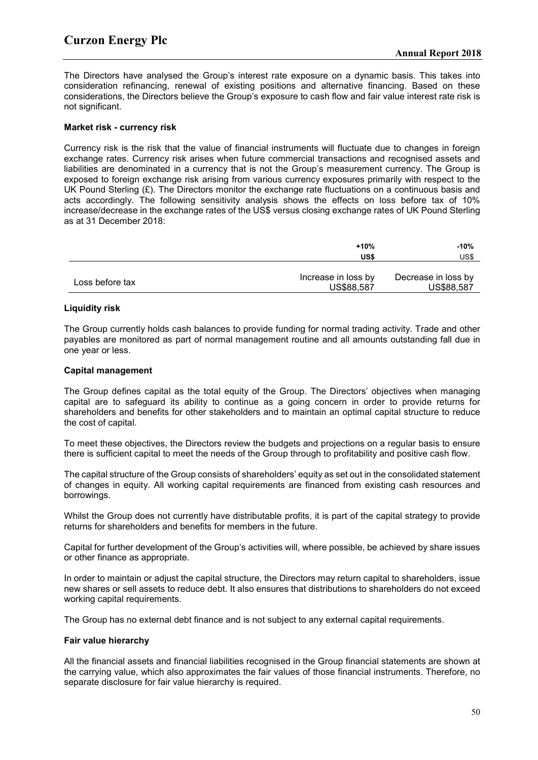The Directors have analysed the Group's interest rate exposure on a dynamic basis. This takes into consideration refinancing, renewal of existing positions and alternative financing. Based on these considerations, the Directors believe the Group's exposure to cash flow and fair value interest rate risk is not significant.

#### **Market risk - currency risk**

Currency risk is the risk that the value of financial instruments will fluctuate due to changes in foreign exchange rates. Currency risk arises when future commercial transactions and recognised assets and liabilities are denominated in a currency that is not the Group's measurement currency. The Group is exposed to foreign exchange risk arising from various currency exposures primarily with respect to the UK Pound Sterling  $(E)$ . The Directors monitor the exchange rate fluctuations on a continuous basis and acts accordingly. The following sensitivity analysis shows the effects on loss before tax of 10% increase/decrease in the exchange rates of the US\$ versus closing exchange rates of UK Pound Sterling as at 31 December 2018:

|                 | $+10%$              | $-10%$              |
|-----------------|---------------------|---------------------|
|                 | US\$                | US\$                |
|                 |                     |                     |
|                 | Increase in loss by | Decrease in loss by |
| Loss before tax | US\$88,587          | US\$88,587          |

#### **Liquidity risk**

The Group currently holds cash balances to provide funding for normal trading activity. Trade and other payables are monitored as part of normal management routine and all amounts outstanding fall due in one year or less.

### **Capital management**

The Group defines capital as the total equity of the Group. The Directors' objectives when managing capital are to safeguard its ability to continue as a going concern in order to provide returns for shareholders and benefits for other stakeholders and to maintain an optimal capital structure to reduce the cost of capital.

To meet these objectives, the Directors review the budgets and projections on a regular basis to ensure there is sufficient capital to meet the needs of the Group through to profitability and positive cash flow.

The capital structure of the Group consists of shareholders' equity as set out in the consolidated statement of changes in equity. All working capital requirements are financed from existing cash resources and borrowings.

Whilst the Group does not currently have distributable profits, it is part of the capital strategy to provide returns for shareholders and benefits for members in the future.

Capital for further development of the Group's activities will, where possible, be achieved by share issues or other finance as appropriate.

In order to maintain or adjust the capital structure, the Directors may return capital to shareholders, issue new shares or sell assets to reduce debt. It also ensures that distributions to shareholders do not exceed working capital requirements.

The Group has no external debt finance and is not subject to any external capital requirements.

#### **Fair value hierarchy**

All the financial assets and financial liabilities recognised in the Group financial statements are shown at the carrying value, which also approximates the fair values of those financial instruments. Therefore, no separate disclosure for fair value hierarchy is required.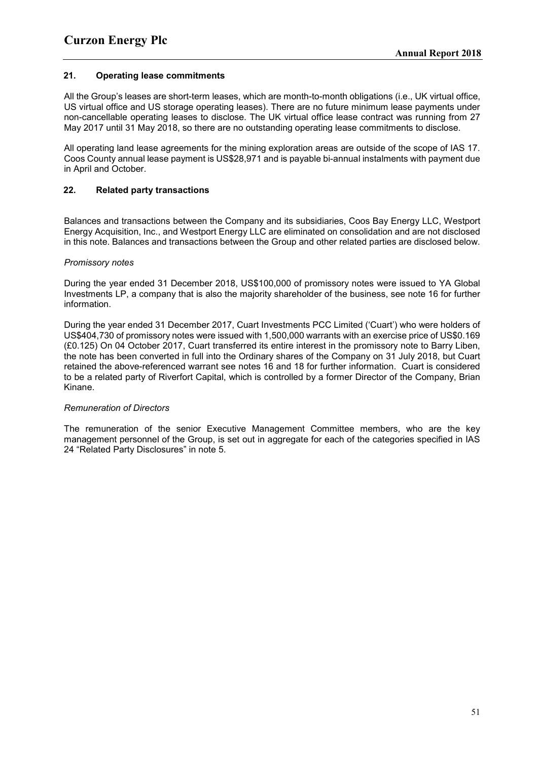## **21. Operating lease commitments**

All the Group's leases are short-term leases, which are month-to-month obligations (i.e., UK virtual office, US virtual office and US storage operating leases). There are no future minimum lease payments under non-cancellable operating leases to disclose. The UK virtual office lease contract was running from 27 May 2017 until 31 May 2018, so there are no outstanding operating lease commitments to disclose.

All operating land lease agreements for the mining exploration areas are outside of the scope of IAS 17. Coos County annual lease payment is US\$28,971 and is payable bi-annual instalments with payment due in April and October.

#### **22. Related party transactions**

Balances and transactions between the Company and its subsidiaries, Coos Bay Energy LLC, Westport Energy Acquisition, Inc., and Westport Energy LLC are eliminated on consolidation and are not disclosed in this note. Balances and transactions between the Group and other related parties are disclosed below.

#### *Promissory notes*

During the year ended 31 December 2018, US\$100,000 of promissory notes were issued to YA Global Investments LP, a company that is also the majority shareholder of the business, see note 16 for further information.

During the year ended 31 December 2017, Cuart Investments PCC Limited ('Cuart') who were holders of US\$404,730 of promissory notes were issued with 1,500,000 warrants with an exercise price of US\$0.169 (£0.125) On 04 October 2017, Cuart transferred its entire interest in the promissory note to Barry Liben, the note has been converted in full into the Ordinary shares of the Company on 31 July 2018, but Cuart retained the above-referenced warrant see notes [16](#page-45-0) and [18](#page-47-0) for further information. Cuart is considered to be a related party of Riverfort Capital, which is controlled by a former Director of the Company, Brian Kinane.

#### *Remuneration of Directors*

The remuneration of the senior Executive Management Committee members, who are the key management personnel of the Group, is set out in aggregate for each of the categories specified in IAS 24 "Related Party Disclosures" in note [5.](#page-39-0)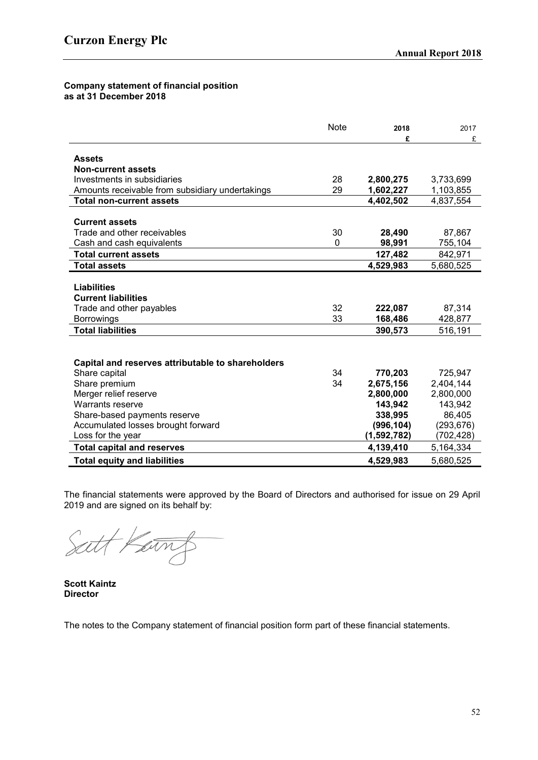#### **Company statement of financial position as at 31 December 2018**

|                                                   | <b>Note</b> | 2018        | 2017       |
|---------------------------------------------------|-------------|-------------|------------|
|                                                   |             | £           | £          |
|                                                   |             |             |            |
| <b>Assets</b>                                     |             |             |            |
| <b>Non-current assets</b>                         |             |             |            |
| Investments in subsidiaries                       | 28          | 2,800,275   | 3,733,699  |
| Amounts receivable from subsidiary undertakings   | 29          | 1,602,227   | 1,103,855  |
| <b>Total non-current assets</b>                   |             | 4,402,502   | 4,837,554  |
|                                                   |             |             |            |
| <b>Current assets</b>                             |             |             |            |
| Trade and other receivables                       | 30          | 28,490      | 87,867     |
| Cash and cash equivalents                         | 0           | 98,991      | 755,104    |
| <b>Total current assets</b>                       |             | 127,482     | 842,971    |
| <b>Total assets</b>                               |             | 4,529,983   | 5,680,525  |
|                                                   |             |             |            |
| <b>Liabilities</b>                                |             |             |            |
| <b>Current liabilities</b>                        |             |             |            |
| Trade and other payables                          | 32          | 222,087     | 87,314     |
| <b>Borrowings</b>                                 | 33          | 168,486     | 428,877    |
| <b>Total liabilities</b>                          |             | 390,573     | 516,191    |
|                                                   |             |             |            |
|                                                   |             |             |            |
| Capital and reserves attributable to shareholders |             |             |            |
| Share capital                                     | 34          | 770,203     | 725,947    |
| Share premium                                     | 34          | 2,675,156   | 2,404,144  |
| Merger relief reserve                             |             | 2,800,000   | 2,800,000  |
| <b>Warrants reserve</b>                           |             | 143,942     | 143,942    |
| Share-based payments reserve                      |             | 338,995     | 86,405     |
| Accumulated losses brought forward                |             | (996, 104)  | (293, 676) |
| Loss for the year                                 |             | (1,592,782) | (702, 428) |
| <b>Total capital and reserves</b>                 |             | 4,139,410   | 5,164,334  |
| <b>Total equity and liabilities</b>               |             | 4,529,983   | 5,680,525  |

The financial statements were approved by the Board of Directors and authorised for issue on 29 April 2019 and are signed on its behalf by:

Satt Kath

**Scott Kaintz Director**

The notes to the Company statement of financial position form part of these financial statements.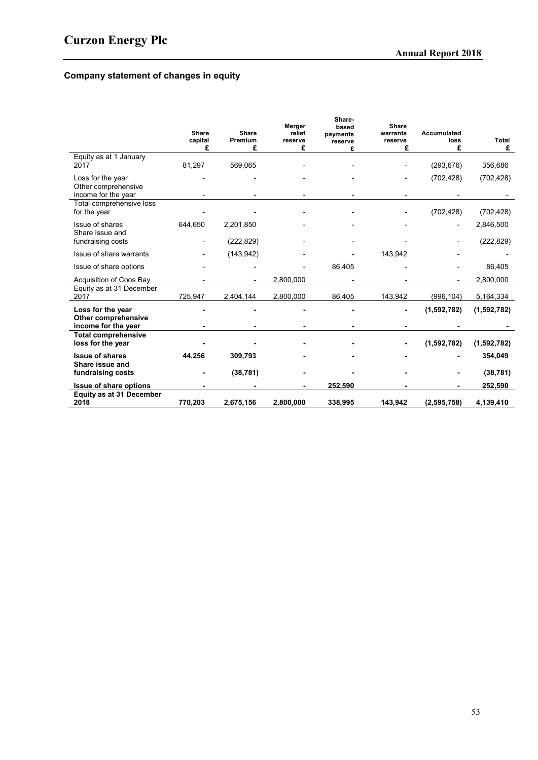## **Company statement of changes in equity**

|                                                                 | <b>Share</b><br>capital<br>£ | <b>Share</b><br>Premium<br>£ | Merger<br>relief<br>reserve<br>£ | Share-<br>based<br>payments<br>reserve<br>£ | <b>Share</b><br>warrants<br>reserve<br>£ | <b>Accumulated</b><br>loss<br>£ | Total<br>£  |
|-----------------------------------------------------------------|------------------------------|------------------------------|----------------------------------|---------------------------------------------|------------------------------------------|---------------------------------|-------------|
| Equity as at 1 January<br>2017                                  | 81,297                       | 569,065                      |                                  |                                             |                                          | (293, 676)                      | 356,686     |
| Loss for the year<br>Other comprehensive<br>income for the year |                              |                              |                                  |                                             |                                          | (702, 428)                      | (702, 428)  |
| Total comprehensive loss<br>for the year                        |                              |                              |                                  |                                             |                                          | (702, 428)                      | (702, 428)  |
| Issue of shares<br>Share issue and                              | 644,650                      | 2,201,850                    |                                  |                                             |                                          | $\overline{\phantom{a}}$        | 2,846,500   |
| fundraising costs                                               |                              | (222, 829)                   |                                  |                                             |                                          |                                 | (222, 829)  |
| Issue of share warrants                                         |                              | (143, 942)                   |                                  |                                             | 143,942                                  |                                 |             |
| Issue of share options                                          |                              |                              |                                  | 86,405                                      |                                          |                                 | 86,405      |
| Acquisition of Coos Bay                                         |                              |                              | 2,800,000                        |                                             |                                          |                                 | 2,800,000   |
| Equity as at 31 December<br>2017                                | 725,947                      | 2,404,144                    | 2,800,000                        | 86,405                                      | 143,942                                  | (996, 104)                      | 5,164,334   |
| Loss for the year<br>Other comprehensive                        |                              |                              |                                  |                                             |                                          | (1,592,782)                     | (1,592,782) |
| income for the year                                             |                              |                              |                                  |                                             |                                          |                                 |             |
| <b>Total comprehensive</b><br>loss for the year                 |                              |                              |                                  |                                             |                                          | (1,592,782)                     | (1,592,782) |
| <b>Issue of shares</b><br>Share issue and                       | 44,256                       | 309,793                      |                                  |                                             |                                          |                                 | 354,049     |
| fundraising costs                                               |                              | (38, 781)                    |                                  |                                             |                                          |                                 | (38, 781)   |
| <b>Issue of share options</b>                                   |                              |                              |                                  | 252,590                                     |                                          |                                 | 252,590     |
| <b>Equity as at 31 December</b><br>2018                         | 770,203                      | 2,675,156                    | 2,800,000                        | 338,995                                     | 143,942                                  | (2, 595, 758)                   | 4,139,410   |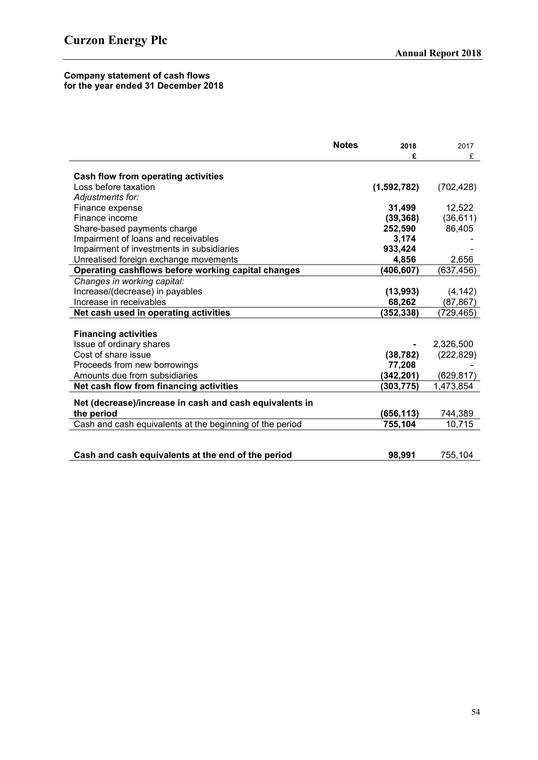#### **Company statement of cash flows for the year ended 31 December 2018**

| <b>Notes</b>                                             | 2018        | 2017                   |
|----------------------------------------------------------|-------------|------------------------|
|                                                          | £           | £                      |
|                                                          |             |                        |
| Cash flow from operating activities                      |             |                        |
| Loss before taxation                                     | (1,592,782) | (702, 428)             |
| Adjustments for:                                         |             |                        |
| Finance expense                                          | 31,499      | 12,522                 |
| Finance income                                           | (39, 368)   | (36, 611)              |
| Share-based payments charge                              | 252,590     | 86,405                 |
| Impairment of loans and receivables                      | 3,174       |                        |
| Impairment of investments in subsidiaries                | 933,424     |                        |
| Unrealised foreign exchange movements                    | 4,856       | 2,656                  |
| Operating cashflows before working capital changes       | (406, 607)  | $\overline{(}637,456)$ |
| Changes in working capital:                              |             |                        |
| Increase/(decrease) in payables                          | (13,993)    | (4, 142)               |
| Increase in receivables                                  | 68,262      | (87,867)               |
| Net cash used in operating activities                    | (352, 338)  | (729, 465)             |
|                                                          |             |                        |
| <b>Financing activities</b>                              |             |                        |
| Issue of ordinary shares                                 |             | 2,326,500              |
| Cost of share issue                                      | (38, 782)   | (222, 829)             |
| Proceeds from new borrowings                             | 77,208      |                        |
| Amounts due from subsidiaries                            | (342, 201)  | (629, 817)             |
| Net cash flow from financing activities                  | (303, 775)  | 1,473,854              |
| Net (decrease)/increase in cash and cash equivalents in  |             |                        |
| the period                                               | (656,113)   | 744,389                |
| Cash and cash equivalents at the beginning of the period | 755,104     | 10,715                 |
|                                                          |             |                        |
|                                                          |             |                        |
| Cash and cash equivalents at the end of the period       | 98,991      | 755,104                |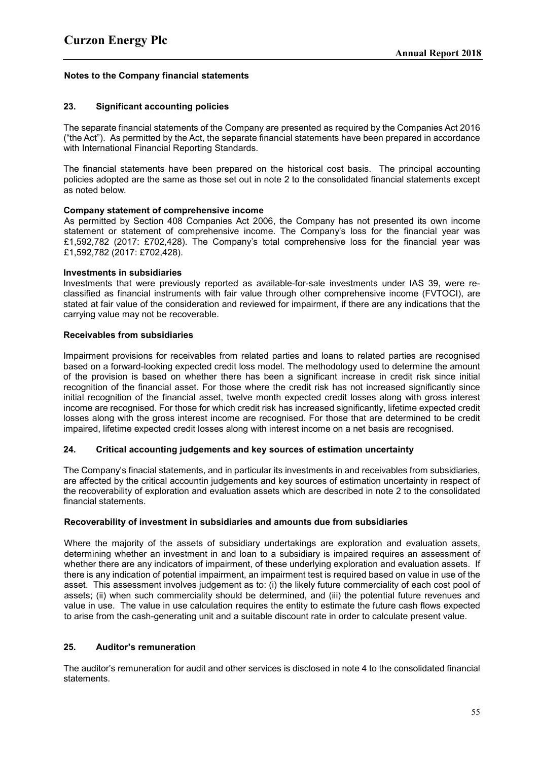## **Notes to the Company financial statements**

## **23. Significant accounting policies**

The separate financial statements of the Company are presented as required by the Companies Act 2016 ("the Act"). As permitted by the Act, the separate financial statements have been prepared in accordance with International Financial Reporting Standards.

The financial statements have been prepared on the historical cost basis. The principal accounting policies adopted are the same as those set out in note [2](#page-29-0) to the consolidated financial statements except as noted below.

#### **Company statement of comprehensive income**

As permitted by Section 408 Companies Act 2006, the Company has not presented its own income statement or statement of comprehensive income. The Company's loss for the financial year was £1,592,782 (2017: £702,428). The Company's total comprehensive loss for the financial year was £1,592,782 (2017: £702,428).

#### **Investments in subsidiaries**

Investments that were previously reported as available-for-sale investments under IAS 39, were reclassified as financial instruments with fair value through other comprehensive income (FVTOCI), are stated at fair value of the consideration and reviewed for impairment, if there are any indications that the carrying value may not be recoverable.

## **Receivables from subsidiaries**

Impairment provisions for receivables from related parties and loans to related parties are recognised based on a forward-looking expected credit loss model. The methodology used to determine the amount of the provision is based on whether there has been a significant increase in credit risk since initial recognition of the financial asset. For those where the credit risk has not increased significantly since initial recognition of the financial asset, twelve month expected credit losses along with gross interest income are recognised. For those for which credit risk has increased significantly, lifetime expected credit losses along with the gross interest income are recognised. For those that are determined to be credit impaired, lifetime expected credit losses along with interest income on a net basis are recognised.

## **24. Critical accounting judgements and key sources of estimation uncertainty**

The Company's finacial statements, and in particular its investments in and receivables from subsidiaries, are affected by the critical accountin judgements and key sources of estimation uncertainty in respect of the recoverability of exploration and evaluation assets which are described in note [2](#page-29-0) to the consolidated financial statements.

## **Recoverability of investment in subsidiaries and amounts due from subsidiaries**

Where the majority of the assets of subsidiary undertakings are exploration and evaluation assets, determining whether an investment in and loan to a subsidiary is impaired requires an assessment of whether there are any indicators of impairment, of these underlying exploration and evaluation assets. If there is any indication of potential impairment, an impairment test is required based on value in use of the asset. This assessment involves judgement as to: (i) the likely future commerciality of each cost pool of assets; (ii) when such commerciality should be determined, and (iii) the potential future revenues and value in use. The value in use calculation requires the entity to estimate the future cash flows expected to arise from the cash-generating unit and a suitable discount rate in order to calculate present value.

## **25. Auditor's remuneration**

The auditor's remuneration for audit and other services is disclosed in note 4 to the consolidated financial statements.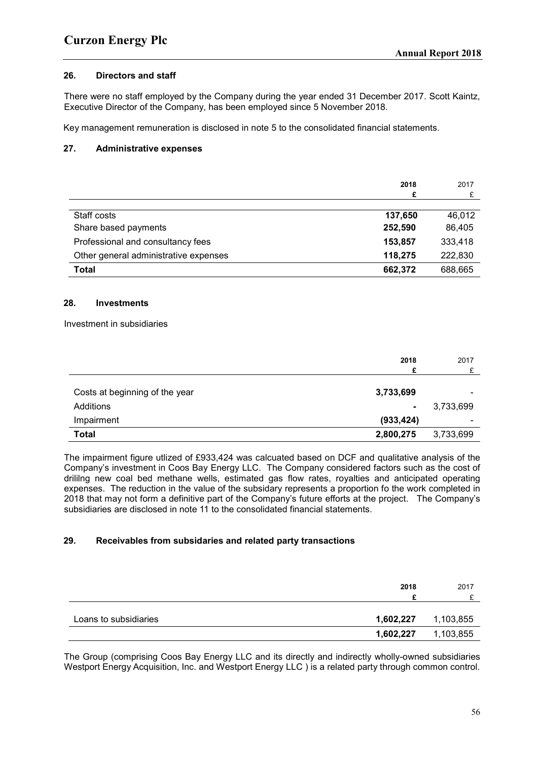## **26. Directors and staff**

There were no staff employed by the Company during the year ended 31 December 2017. Scott Kaintz, Executive Director of the Company, has been employed since 5 November 2018.

Key management remuneration is disclosed in note [5](#page-39-0) to the consolidated financial statements.

## **27. Administrative expenses**

|                                       | 2018    | 2017    |
|---------------------------------------|---------|---------|
|                                       | £       |         |
| Staff costs                           | 137,650 | 46,012  |
| Share based payments                  | 252,590 | 86,405  |
| Professional and consultancy fees     | 153,857 | 333,418 |
| Other general administrative expenses | 118,275 | 222,830 |
| <b>Total</b>                          | 662,372 | 688,665 |

### <span id="page-58-0"></span>**28. Investments**

Investment in subsidiaries

|                                | 2018<br>£      | 2017           |
|--------------------------------|----------------|----------------|
| Costs at beginning of the year | 3,733,699      | $\blacksquare$ |
| Additions                      | $\blacksquare$ | 3,733,699      |
| Impairment                     | (933, 424)     | ۰              |
| <b>Total</b>                   | 2,800,275      | 3,733,699      |

The impairment figure utlized of £933,424 was calcuated based on DCF and qualitative analysis of the Company's investment in Coos Bay Energy LLC. The Company considered factors such as the cost of drililng new coal bed methane wells, estimated gas flow rates, royalties and anticipated operating expenses. The reduction in the value of the subsidary represents a proportion fo the work completed in 2018 that may not form a definitive part of the Company's future efforts at the project. The Company's subsidiaries are disclosed in note 11 to the consolidated financial statements.

## <span id="page-58-1"></span>**29. Receivables from subsidaries and related party transactions**

|                       | 2018      | 2017<br>c |
|-----------------------|-----------|-----------|
| Loans to subsidiaries | 1,602,227 | 1,103,855 |
|                       | 1,602,227 | 1,103,855 |

The Group (comprising Coos Bay Energy LLC and its directly and indirectly wholly-owned subsidiaries Westport Energy Acquisition, Inc. and Westport Energy LLC ) is a related party through common control.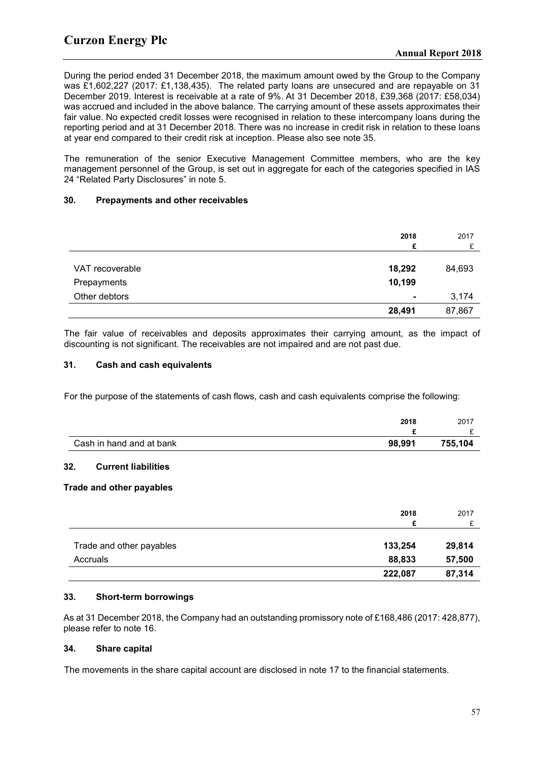During the period ended 31 December 2018, the maximum amount owed by the Group to the Company was £1,602,227 (2017: £1,138,435). The related party loans are unsecured and are repayable on 31 December 2019. Interest is receivable at a rate of 9%. At 31 December 2018, £39,368 (2017: £58,034) was accrued and included in the above balance. The carrying amount of these assets approximates their fair value. No expected credit losses were recognised in relation to these intercompany loans during the reporting period and at 31 December 2018. There was no increase in credit risk in relation to these loans at year end compared to their credit risk at inception. Please also see note 35.

The remuneration of the senior Executive Management Committee members, who are the key management personnel of the Group, is set out in aggregate for each of the categories specified in IAS 24 "Related Party Disclosures" in note [5.](#page-39-0)

## <span id="page-59-0"></span>**30. Prepayments and other receivables**

|                 | 2018<br>£      | 2017<br>c |
|-----------------|----------------|-----------|
| VAT recoverable | 18,292         | 84,693    |
| Prepayments     | 10,199         |           |
| Other debtors   | $\blacksquare$ | 3,174     |
|                 | 28,491         | 87,867    |

The fair value of receivables and deposits approximates their carrying amount, as the impact of discounting is not significant. The receivables are not impaired and are not past due.

## **31. Cash and cash equivalents**

For the purpose of the statements of cash flows, cash and cash equivalents comprise the following:

|                          | 2018   | 2017    |
|--------------------------|--------|---------|
|                          |        |         |
| Cash in hand and at bank | 98,991 | 755,104 |

## <span id="page-59-1"></span>**32. Current liabilities**

## **Trade and other payables**

|                          | 2018<br>£ | 2017<br>c |
|--------------------------|-----------|-----------|
| Trade and other payables | 133,254   | 29,814    |
| Accruals                 | 88,833    | 57,500    |
|                          | 222,087   | 87,314    |

## **33. Short-term borrowings**

As at 31 December 2018, the Company had an outstanding promissory note of £168,486 (2017: 428,877), please refer to note 16.

## <span id="page-59-2"></span>**34. Share capital**

The movements in the share capital account are disclosed in note 17 to the financial statements.